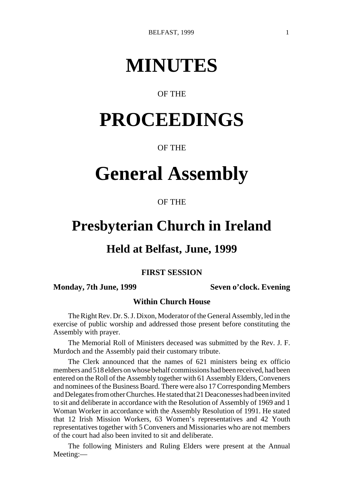# **MINUTES**

### OF THE

# **PROCEEDINGS**

### OF THE

# **General Assembly**

### OF THE

## **Presbyterian Church in Ireland**

### **Held at Belfast, June, 1999**

### **FIRST SESSION**

### **Monday, 7th June, 1999** Seven o'clock. Evening

### **Within Church House**

The Right Rev. Dr. S. J. Dixon, Moderator of the General Assembly, led in the exercise of public worship and addressed those present before constituting the Assembly with prayer.

The Memorial Roll of Ministers deceased was submitted by the Rev. J. F. Murdoch and the Assembly paid their customary tribute.

The Clerk announced that the names of 621 ministers being ex officio members and 518 elders on whose behalf commissions had been received, had been entered on the Roll of the Assembly together with 61 Assembly Elders, Conveners and nominees of the Business Board. There were also 17 Corresponding Members and Delegates from other Churches. He stated that 21 Deaconesses had been invited to sit and deliberate in accordance with the Resolution of Assembly of 1969 and 1 Woman Worker in accordance with the Assembly Resolution of 1991. He stated that 12 Irish Mission Workers, 63 Women's representatives and 42 Youth representatives together with 5 Conveners and Missionaries who are not members of the court had also been invited to sit and deliberate.

The following Ministers and Ruling Elders were present at the Annual Meeting:—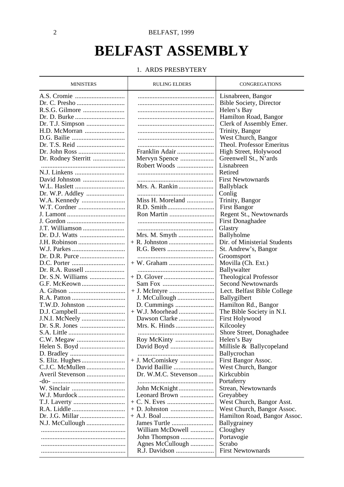# **BELFAST ASSEMBLY**

### 1. ARDS PRESBYTERY

| <b>MINISTERS</b>    | <b>RULING ELDERS</b> | CONGREGATIONS                |
|---------------------|----------------------|------------------------------|
|                     |                      | Lisnabreen, Bangor           |
| Dr. C. Presho       |                      | Bible Society, Director      |
|                     |                      | Helen's Bay                  |
|                     |                      | Hamilton Road, Bangor        |
|                     |                      | Clerk of Assembly Emer.      |
| H.D. McMorran       |                      | Trinity, Bangor              |
|                     |                      | West Church, Bangor          |
|                     |                      | Theol. Professor Emeritus    |
|                     | Franklin Adair       | High Street, Holywood        |
| Dr. Rodney Sterritt | Mervyn Spence        | Greenwell St., N'ards        |
|                     | Robert Woods         | Lisnabreen                   |
| N.J. Linkens        |                      | Retired                      |
|                     |                      | <b>First Newtownards</b>     |
| David Johnston      |                      |                              |
| W.L. Haslett        | Mrs. A. Rankin       | Ballyblack                   |
|                     |                      | Conlig                       |
|                     | Miss H. Moreland     | Trinity, Bangor              |
| W.T. Cordner        |                      | <b>First Bangor</b>          |
|                     |                      | Regent St., Newtownards      |
| J. Gordon           |                      | <b>First Donaghadee</b>      |
| J.T. Williamson     |                      | Glastry                      |
|                     | Mrs. M. Smyth        | Ballyholme                   |
| J.H. Robinson       |                      | Dir. of Ministerial Students |
| W.J. Parkes         |                      | St. Andrew's, Bangor         |
|                     |                      | Groomsport                   |
|                     |                      | Movilla (Ch. Ext.)           |
| Dr. R.A. Russell    |                      | Ballywalter                  |
| Dr. S.N. Williams   |                      | <b>Theological Professor</b> |
| G.F. McKeown        |                      | Second Newtownards           |
| A. Gibson           |                      | Lect. Belfast Bible College  |
|                     | J. McCullough        | Ballygilbert                 |
| T.W.D. Johnston     |                      | Hamilton Rd., Bangor         |
|                     |                      | The Bible Society in N.I.    |
| J.N.I. McNeely      | Dawson Clarke        | <b>First Holywood</b>        |
|                     | Mrs. K. Hinds        | Kilcooley                    |
|                     |                      | Shore Street, Donaghadee     |
|                     | Roy McKinty          | Helen's Bay                  |
|                     |                      | Millisle & Ballycopeland     |
|                     |                      | Ballycrochan                 |
| S. Eliz. Hughes     | + J. McComiskey      | First Bangor Assoc.          |
| C.J.C. McMullen     | David Baillie        | West Church, Bangor          |
| Averil Stevenson    | Dr. W.M.C. Stevenson | Kirkcubbin                   |
|                     |                      | Portaferry                   |
|                     | John McKnight        | Strean, Newtownards          |
| W.J. Murdock        | Leonard Brown        | Greyabbey                    |
|                     |                      | West Church, Bangor Asst.    |
| R.A. Liddle         |                      | West Church, Bangor Assoc.   |
| Dr. J.G. Millar     |                      | Hamilton Road, Bangor Assoc. |
| N.J. McCullough     |                      | Ballygrainey                 |
|                     | William McDowell     | Cloughey                     |
|                     | John Thompson        | Portavogie                   |
|                     | Agnes McCullough     | Scrabo                       |
|                     | R.J. Davidson        | <b>First Newtownards</b>     |
|                     |                      |                              |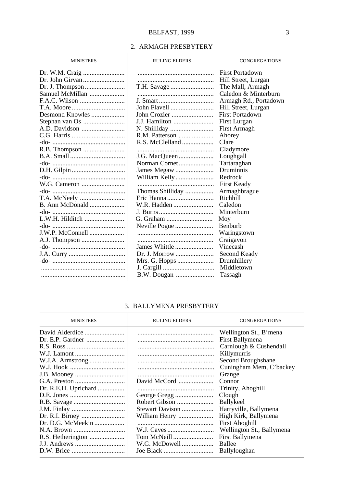### BELFAST, 1999 3

### 2. ARMAGH PRESBYTERY

| <b>MINISTERS</b> | <b>RULING ELDERS</b> | <b>CONGREGATIONS</b>  |
|------------------|----------------------|-----------------------|
|                  |                      | First Portadown       |
|                  |                      | Hill Street, Lurgan   |
|                  |                      | The Mall, Armagh      |
| Samuel McMillan  |                      | Caledon & Minterburn  |
|                  |                      | Armagh Rd., Portadown |
|                  |                      | Hill Street, Lurgan   |
| Desmond Knowles  | John Crozier         | First Portadown       |
|                  | J.J. Hamilton        | First Lurgan          |
|                  |                      | First Armagh          |
|                  |                      | Ahorey                |
|                  |                      | Clare                 |
|                  |                      | Cladymore             |
|                  | J.G. MacQueen        | Loughgall             |
|                  | Norman Cornet        | Tartaraghan           |
|                  |                      | Druminnis             |
|                  |                      | Redrock               |
|                  |                      | First Keady           |
|                  | Thomas Shilliday     | Armaghbrague          |
| T.A. McNeely     |                      | Richhill              |
|                  | W.R. Hadden          | Caledon               |
|                  |                      | Minterburn            |
| L.W.H. Hilditch  |                      | Moy                   |
|                  |                      | Benburb               |
|                  |                      | Waringstown           |
|                  |                      | Craigavon             |
|                  | James Whittle        | Vinecash              |
|                  | Dr. J. Morrow        | Second Keady          |
|                  | Mrs. G. Hopps        | Drumhillery           |
|                  |                      | Middletown            |
|                  |                      | Tassagh               |

### 3. BALLYMENA PRESBYTERY

| <b>MINISTERS</b>     | <b>RULING ELDERS</b> | CONGREGATIONS             |
|----------------------|----------------------|---------------------------|
| David Alderdice      |                      | Wellington St., B'mena    |
|                      |                      | First Ballymena           |
|                      |                      | Carnlough & Cushendall    |
|                      |                      | Killymurris               |
| W.J.A. Armstrong     |                      | Second Broughshane        |
|                      |                      | Cuningham Mem, C'backey   |
|                      |                      | Grange                    |
|                      | David McCord         | Connor                    |
| Dr. R.E.H. Uprichard |                      | Trinity, Ahoghill         |
|                      | George Gregg         | Clough                    |
|                      | Robert Gibson        | Ballykeel                 |
|                      | Stewart Davison      | Harryville, Ballymena     |
|                      | William Henry        | High Kirk, Ballymena      |
| Dr. D.G. McMeekin    |                      | <b>First Ahoghill</b>     |
|                      |                      | Wellington St., Ballymena |
| R.S. Hetherington    | Tom McNeill          | First Ballymena           |
|                      | W.G. McDowell        | Ballee                    |
|                      |                      | Ballyloughan              |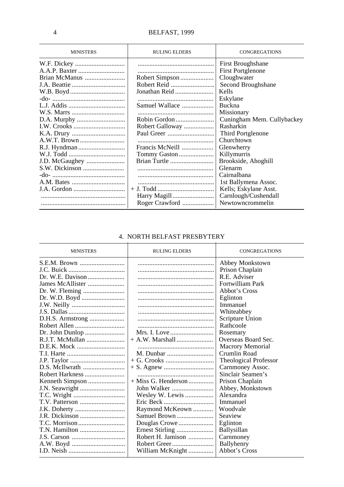| <b>MINISTERS</b> | <b>RULING ELDERS</b> | <b>CONGREGATIONS</b>       |
|------------------|----------------------|----------------------------|
| W.F. Dickey      |                      | <b>First Broughshane</b>   |
|                  |                      | <b>First Portglenone</b>   |
| Brian McManus    | Robert Simpson       | Cloughwater                |
|                  |                      | Second Broughshane         |
|                  | Jonathan Reid        | Kells                      |
|                  |                      | Eskylane                   |
|                  | Samuel Wallace       | <b>Buckna</b>              |
|                  |                      | Missionary                 |
|                  | Robin Gordon         | Cuningham Mem. Cullybackey |
|                  | Robert Galloway      | Rasharkin                  |
|                  |                      | Third Portglenone          |
|                  |                      | Churchtown                 |
|                  | Francis McNeill      | Glenwherry                 |
|                  | Tommy Gaston         | Killymurris                |
| J.D. McGaughey   |                      | Brookside, Ahoghill        |
|                  |                      | Glenarm                    |
|                  |                      | Cairnalbana                |
|                  |                      | 1st Ballymena Assoc.       |
| J.A. Gordon      |                      | Kells; Eskylane Asst.      |
|                  |                      | Carnlough/Cushendall       |
|                  | Roger Crawford       | Newtowncrommelin           |

### 4. NORTH BELFAST PRESBYTERY

| <b>MINISTERS</b> | <b>RULING ELDERS</b>  | <b>CONGREGATIONS</b>  |
|------------------|-----------------------|-----------------------|
|                  |                       | Abbey Monkstown       |
|                  |                       | Prison Chaplain       |
|                  |                       | R.E. Adviser          |
| James McAllister |                       | Fortwilliam Park      |
|                  |                       | Abbot's Cross         |
|                  |                       | Eglinton              |
|                  |                       | Immanuel              |
|                  |                       | Whiteabbey            |
|                  |                       | Scripture Union       |
|                  |                       | Rathcoole             |
|                  |                       | Rosemary              |
| R.J.T. McMullan  |                       | Overseas Board Sec.   |
|                  |                       | Macrory Memorial      |
|                  | M. Dunbar             | Crumlin Road          |
|                  |                       | Theological Professor |
|                  |                       | Carnmoney Assoc.      |
| Robert Harkness  |                       | Sinclair Seamen's     |
| Kenneth Simpson  | $+$ Miss G. Henderson | Prison Chaplain       |
|                  |                       | Abbey, Monkstown      |
|                  | Wesley W. Lewis       | Alexandra             |
|                  |                       | Immanuel              |
|                  | Raymond McKeown       | Woodvale              |
|                  | Samuel Brown          | Seaview               |
|                  |                       | Eglinton              |
|                  |                       | <b>Ballysillan</b>    |
|                  | Robert H. Jamison     | Carnmoney             |
| A.W. Boyd        |                       | Ballyhenry            |
|                  | William McKnight      | Abbot's Cross         |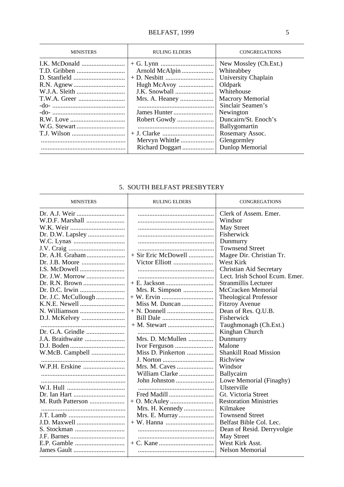| <b>MINISTERS</b> | <b>RULING ELDERS</b>                                              | <b>CONGREGATIONS</b>                                                                                                                                                                                                                           |
|------------------|-------------------------------------------------------------------|------------------------------------------------------------------------------------------------------------------------------------------------------------------------------------------------------------------------------------------------|
|                  | Arnold McAlpin<br>Hugh McAvoy<br>Mrs. A. Heaney<br>Mervyn Whittle | New Mossley (Ch.Ext.)<br>Whiteabbey<br>University Chaplain<br>Oldpark<br>Whitehouse<br><b>Macrory Memorial</b><br>Sinclair Seamen's<br>Newington<br>Duncairn/St. Enoch's<br>Ballygomartin<br>Rosemary Assoc.<br>Glengormley<br>Dunlop Memorial |

### 5. SOUTH BELFAST PRESBYTERY

| <b>MINISTERS</b>    | <b>RULING ELDERS</b> | <b>CONGREGATIONS</b>           |
|---------------------|----------------------|--------------------------------|
|                     |                      | Clerk of Assem. Emer.          |
| W.D.F. Marshall     |                      | Windsor                        |
|                     |                      | May Street                     |
|                     |                      | Fisherwick                     |
|                     |                      | Dunmurry                       |
|                     |                      | <b>Townsend Street</b>         |
| Dr. A.H. Graham     | + Sir Eric McDowell  | Magee Dir. Christian Tr.       |
|                     | Victor Elliott       | West Kirk                      |
|                     |                      | Christian Aid Secretary        |
|                     |                      | Lect. Irish School Ecum. Emer. |
|                     |                      | Stranmillis Lecturer           |
|                     | Mrs. R. Simpson      | McCracken Memorial             |
| Dr. J.C. McCullough |                      | <b>Theological Professor</b>   |
|                     |                      | <b>Fitzroy Avenue</b>          |
|                     |                      | Dean of Res. Q.U.B.            |
| D.J. McKelvey       |                      | Fisherwick                     |
|                     |                      | Taughmonagh (Ch.Ext.)          |
| Dr. G.A. Grindle    |                      | Kinghan Church                 |
| J.A. Braithwaite    | Mrs. D. McMullen     | Dunmurry                       |
|                     | Ivor Ferguson        | Malone                         |
| W.McB. Campbell     | Miss D. Pinkerton    | <b>Shankill Road Mission</b>   |
|                     |                      | Richview                       |
| W.P.H. Erskine      |                      | Windsor                        |
|                     | William Clarke       | Ballycairn                     |
|                     | John Johnston        | Lowe Memorial (Finaghy)        |
|                     |                      | Ulsterville                    |
|                     | Fred Madill          | Gt. Victoria Street            |
| M. Ruth Patterson   |                      | <b>Restoration Ministries</b>  |
|                     | Mrs. H. Kennedy      | Kilmakee                       |
|                     | Mrs. E. Murray       | <b>Townsend Street</b>         |
| J.D. Maxwell        |                      | Belfast Bible Col. Lec.        |
|                     |                      | Dean of Resid. Derryvolgie     |
|                     |                      | May Street                     |
|                     |                      | West Kirk Asst.                |
|                     |                      | Nelson Memorial                |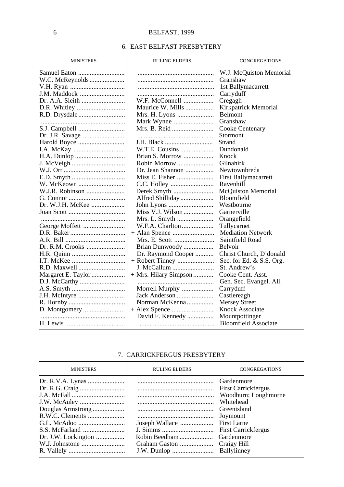### 6. EAST BELFAST PRESBYTERY

| <b>MINISTERS</b> | <b>RULING ELDERS</b>  | <b>CONGREGATIONS</b>        |
|------------------|-----------------------|-----------------------------|
|                  |                       | W.J. McQuiston Memorial     |
|                  |                       | Granshaw                    |
|                  |                       | 1st Ballymacarrett          |
| J.M. Maddock     |                       | Carryduff                   |
|                  | W.F. McConnell        | Cregagh                     |
|                  | Maurice W. Mills      | Kirkpatrick Memorial        |
|                  | Mrs. H. Lyons         | <b>Belmont</b>              |
|                  |                       | Granshaw                    |
|                  |                       | Cooke Centenary             |
|                  |                       | Stormont                    |
| Harold Boyce     | J.H. Black            | Strand                      |
|                  | W.T.E. Cousins        | Dundonald                   |
|                  | Brian S. Morrow       | Knock                       |
|                  | Robin Morrow          | Gilnahirk                   |
|                  | Dr. Jean Shannon      | Newtownbreda                |
|                  | Miss E. Fisher        | First Ballymacarrett        |
| W. McKeown       |                       | Ravenhill                   |
| W.J.R. Robinson  |                       | <b>McQuiston Memorial</b>   |
|                  |                       | Bloomfield                  |
| Dr. W.J.H. McKee |                       | Westbourne                  |
|                  | Miss V.J. Wilson      | Garnerville                 |
|                  |                       | Orangefield                 |
|                  | W.F.A. Charlton       | Tullycarnet                 |
|                  |                       | <b>Mediation Network</b>    |
|                  | Mrs. E. Scott         | Saintfield Road             |
| Dr. R.M. Crooks  | Brian Dunwoody        | <b>Belvoir</b>              |
|                  | Dr. Raymond Cooper    | Christ Church, D'donald     |
|                  |                       | Sec. for Ed. & S.S. Org.    |
| R.D. Maxwell     | J. McCallum           | St. Andrew's                |
|                  | + Mrs. Hilary Simpson | Cooke Cent. Asst.           |
|                  |                       | Gen. Sec. Evangel. All.     |
|                  | Morrell Murphy        | Carryduff                   |
|                  | Jack Anderson         | Castlereagh                 |
|                  | Norman McKenna        | <b>Mersey Street</b>        |
|                  |                       | Knock Associate             |
|                  | David F. Kennedy      | Mountpottinger              |
|                  |                       | <b>Bloomfield Associate</b> |

### 7. CARRICKFERGUS PRESBYTERY

| <b>MINISTERS</b>    | <b>RULING ELDERS</b> | <b>CONGREGATIONS</b>                                                                                                                                                       |
|---------------------|----------------------|----------------------------------------------------------------------------------------------------------------------------------------------------------------------------|
| Dr. J.W. Lockington | Robin Beedham        | Gardenmore<br><b>First Carrickfergus</b><br>Woodburn; Loughmorne<br>Whitehead<br>Greenisland<br>Joymount<br><b>First Larne</b><br><b>First Carrickfergus</b><br>Gardenmore |
|                     |                      | Ballylinney                                                                                                                                                                |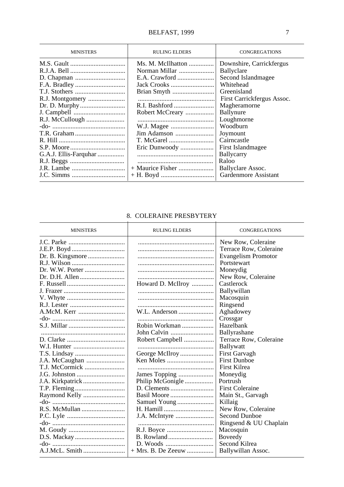### BELFAST, 1999 7

| Ms. M. McIlhatton<br>Downshire, Carrickfergus<br>Norman Millar<br><b>Ballyclare</b><br>Second Islandmagee<br>Whitehead<br>Greenisland<br>First Carrickfergus Assoc.<br>Magheramorne<br>Robert McCreary<br><b>Ballynure</b><br>R.J. McCullough<br>Loughmorne<br>W.J. Magee<br>Woodburn<br>Jim Adamson<br>Joymount<br>Cairncastle | <b>MINISTERS</b> | <b>RULING ELDERS</b> | <b>CONGREGATIONS</b> |
|---------------------------------------------------------------------------------------------------------------------------------------------------------------------------------------------------------------------------------------------------------------------------------------------------------------------------------|------------------|----------------------|----------------------|
| G.A.J. Ellis-Farquhar<br><b>Ballycarry</b><br>Raloo<br>$+$ Maurice Fisher<br>Ballyclare Assoc.<br>Gardenmore Assistant                                                                                                                                                                                                          |                  | Eric Dunwoody        | First Islandmagee    |

### 8. COLERAINE PRESBYTERY

| <b>MINISTERS</b> | <b>RULING ELDERS</b> | <b>CONGREGATIONS</b>   |
|------------------|----------------------|------------------------|
|                  |                      | New Row, Coleraine     |
|                  |                      | Terrace Row, Coleraine |
|                  |                      | Evangelism Promotor    |
|                  |                      | Portstewart            |
|                  |                      | Moneydig               |
|                  |                      | New Row, Coleraine     |
|                  | Howard D. McIlroy    | Castlerock             |
|                  |                      | Ballywillan            |
|                  |                      | Macosquin              |
|                  |                      | Ringsend               |
|                  | W.L. Anderson        | Aghadowey              |
|                  |                      | Crossgar               |
|                  | Robin Workman        | Hazelbank              |
|                  | John Calvin          | Ballyrashane           |
|                  | Robert Campbell      | Terrace Row, Coleraine |
|                  |                      | Ballywatt              |
|                  | George McIlroy       | First Garvagh          |
|                  | Ken Moles            | <b>First Dunboe</b>    |
| T.J. McCormick   |                      | First Kilrea           |
|                  | James Topping        | Moneydig               |
|                  | Philip McGonigle     | Portrush               |
|                  |                      | <b>First Coleraine</b> |
| Raymond Kelly    |                      | Main St., Garvagh      |
|                  |                      | Killaig                |
|                  |                      | New Row, Coleraine     |
|                  |                      | Second Dunboe          |
|                  |                      | Ringsend & UU Chaplain |
|                  |                      | Macosquin              |
|                  |                      | Boveedy                |
|                  |                      | Second Kilrea          |
|                  | $+$ Mrs. B. De Zeeuw | Ballywillan Assoc.     |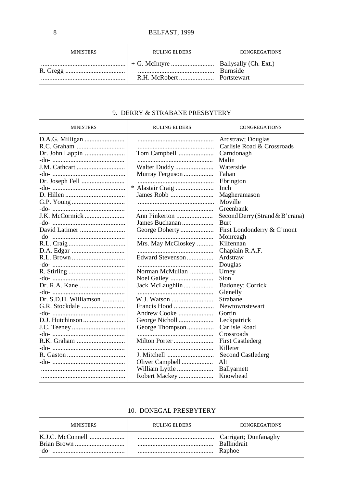| <b>MINISTERS</b> | <b>RULING ELDERS</b> | <b>CONGREGATIONS</b> |
|------------------|----------------------|----------------------|
|                  |                      |                      |

### 9. DERRY & STRABANE PRESBYTERY

| <b>MINISTERS</b>      | <b>RULING ELDERS</b> | <b>CONGREGATIONS</b>            |
|-----------------------|----------------------|---------------------------------|
|                       |                      | Ardstraw; Douglas               |
|                       |                      | Carlisle Road & Crossroads      |
|                       | Tom Campbell         | Carndonagh                      |
|                       |                      | Malin                           |
|                       | Walter Duddy         | Waterside                       |
|                       | Murray Ferguson      | Fahan                           |
| Dr. Joseph Fell       |                      | Ebrington                       |
|                       |                      | Inch                            |
|                       | James Robb           | Magheramason                    |
|                       |                      | Moville                         |
|                       |                      | Greenbank                       |
| J.K. McCormick        | Ann Pinkerton        | Second Derry (Strand & B'crana) |
|                       | James Buchanan       | <b>Burt</b>                     |
|                       |                      | First Londonderry & C'mont      |
|                       |                      | Monreagh                        |
|                       | Mrs. May McCloskey   | Kilfennan                       |
|                       |                      | Chaplain R.A.F.                 |
|                       | Edward Stevenson     | Ardstraw                        |
|                       |                      | Douglas                         |
|                       | Norman McMullan      | Urney                           |
|                       |                      | Sion                            |
|                       | Jack McLaughlin      | Badoney; Corrick                |
|                       |                      | Glenelly                        |
| Dr. S.D.H. Williamson | W.J. Watson          | Strabane                        |
|                       | Francis Hood         | Newtownstewart                  |
|                       | Andrew Cooke         | Gortin                          |
|                       |                      | Leckpatrick                     |
|                       | George Thompson      | Carlisle Road                   |
|                       |                      | Crossroads                      |
| R.K. Graham           | Milton Porter        | <b>First Castlederg</b>         |
|                       |                      | Killeter                        |
|                       | J. Mitchell          | Second Castlederg               |
|                       | Oliver Campbell      | Alt                             |
|                       | William Lyttle       | Ballyarnett                     |
|                       | Robert Mackey        | Knowhead                        |

### 10. DONEGAL PRESBYTERY

| <b>MINISTERS</b> | <b>RULING ELDERS</b> | CONGREGATIONS                                |
|------------------|----------------------|----------------------------------------------|
| -do-             |                      | <sup>1</sup> Carrigart; Dunfanaghy<br>Raphoe |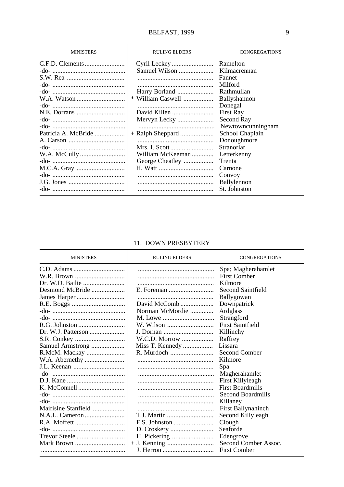| <b>MINISTERS</b>    | <b>RULING ELDERS</b> | <b>CONGREGATIONS</b> |
|---------------------|----------------------|----------------------|
|                     |                      | Ramelton             |
|                     | Samuel Wilson        | Kilmacrennan         |
|                     |                      | Fannet               |
|                     |                      | Milford              |
|                     | Harry Borland        | Rathmullan           |
|                     | * William Caswell    | Ballyshannon         |
|                     |                      | Donegal              |
|                     |                      | <b>First Ray</b>     |
|                     | Mervyn Lecky         | Second Ray           |
|                     |                      | Newtowncunningham    |
| Patricia A. McBride |                      | School Chaplain      |
|                     |                      | Donoughmore          |
|                     |                      | Stranorlar           |
|                     | William McKeeman     | Letterkenny          |
|                     | George Cheatley      | Trenta               |
|                     |                      | Carnone              |
|                     |                      | Convoy               |
|                     |                      | Ballylennon          |
|                     |                      | St. Johnston         |

### 11. DOWN PRESBYTERY

| <b>MINISTERS</b>    | <b>RULING ELDERS</b> | <b>CONGREGATIONS</b>      |
|---------------------|----------------------|---------------------------|
|                     |                      | Spa; Magherahamlet        |
|                     |                      | <b>First Comber</b>       |
|                     |                      | Kilmore                   |
| Desmond McBride     |                      | Second Saintfield         |
|                     |                      | Ballygowan                |
|                     | David McComb         | Downpatrick               |
|                     | Norman McMordie      | Ardglass                  |
|                     | M. Lowe              | Strangford                |
|                     |                      | <b>First Saintfield</b>   |
|                     |                      | Killinchy                 |
|                     | W.C.D. Morrow        | Raffrey                   |
| Samuel Armstrong    | Miss T. Kennedy      | Lissara                   |
| R.McM. Mackay       |                      | Second Comber             |
|                     |                      | Kilmore                   |
|                     |                      | Spa                       |
|                     |                      | Magherahamlet             |
|                     |                      | First Killyleagh          |
|                     |                      | <b>First Boardmills</b>   |
|                     |                      | Second Boardmills         |
|                     |                      | Killaney                  |
| Mairisine Stanfield |                      | <b>First Ballynahinch</b> |
|                     | T.J. Martin          | Second Killyleagh         |
|                     | F.S. Johnston        | Clough                    |
|                     |                      | Seaforde                  |
| Trevor Steele       |                      | Edengrove                 |
|                     |                      | Second Comber Assoc.      |
|                     |                      | <b>First Comber</b>       |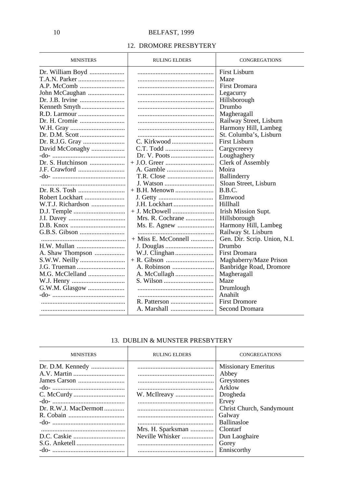### 12. DROMORE PRESBYTERY

| <b>First Lisburn</b><br>Maze<br>First Dromara<br>John McCaughan<br>Legacurry<br>Dr. J.B. Irvine<br>Hillsborough<br>Drumbo<br>Magheragall<br>Railway Street, Lisburn<br>Harmony Hill, Lambeg<br>St. Columba's, Lisburn<br><b>First Lisburn</b><br>David McConaghy<br>Cargycreevy<br>Loughaghery | <b>MINISTERS</b> | <b>RULING ELDERS</b> | <b>CONGREGATIONS</b> |
|------------------------------------------------------------------------------------------------------------------------------------------------------------------------------------------------------------------------------------------------------------------------------------------------|------------------|----------------------|----------------------|
|                                                                                                                                                                                                                                                                                                |                  |                      |                      |
|                                                                                                                                                                                                                                                                                                |                  |                      |                      |
|                                                                                                                                                                                                                                                                                                |                  |                      |                      |
|                                                                                                                                                                                                                                                                                                |                  |                      |                      |
|                                                                                                                                                                                                                                                                                                |                  |                      |                      |
|                                                                                                                                                                                                                                                                                                |                  |                      |                      |
|                                                                                                                                                                                                                                                                                                |                  |                      |                      |
|                                                                                                                                                                                                                                                                                                |                  |                      |                      |
|                                                                                                                                                                                                                                                                                                |                  |                      |                      |
|                                                                                                                                                                                                                                                                                                |                  |                      |                      |
|                                                                                                                                                                                                                                                                                                |                  |                      |                      |
|                                                                                                                                                                                                                                                                                                |                  |                      |                      |
|                                                                                                                                                                                                                                                                                                |                  |                      |                      |
|                                                                                                                                                                                                                                                                                                |                  |                      | Clerk of Assembly    |
| Moira<br>A. Gamble                                                                                                                                                                                                                                                                             |                  |                      |                      |
| Ballinderry                                                                                                                                                                                                                                                                                    |                  |                      |                      |
| Sloan Street, Lisburn<br>J. Watson                                                                                                                                                                                                                                                             |                  |                      |                      |
| B.B.C.                                                                                                                                                                                                                                                                                         |                  |                      |                      |
| Robert Lockhart<br>Elmwood                                                                                                                                                                                                                                                                     |                  |                      |                      |
| W.T.J. Richardson<br>J.H. Lockhart<br>Hillhall                                                                                                                                                                                                                                                 |                  |                      |                      |
| Irish Mission Supt.                                                                                                                                                                                                                                                                            |                  |                      |                      |
| Mrs. R. Cochrane<br>Hillsborough                                                                                                                                                                                                                                                               |                  |                      |                      |
| Harmony Hill, Lambeg<br>Ms. E. Agnew                                                                                                                                                                                                                                                           |                  |                      |                      |
| Railway St. Lisburn                                                                                                                                                                                                                                                                            |                  |                      |                      |
| $+$ Miss E. McConnell<br>Gen. Dir. Scrip. Union, N.I.                                                                                                                                                                                                                                          |                  |                      |                      |
| Drumbo                                                                                                                                                                                                                                                                                         |                  |                      |                      |
| First Dromara                                                                                                                                                                                                                                                                                  |                  |                      |                      |
| Maghaberry/Maze Prison                                                                                                                                                                                                                                                                         |                  |                      |                      |
| J.G. Trueman<br>Banbridge Road, Dromore                                                                                                                                                                                                                                                        |                  |                      |                      |
| M.G. McClelland<br>Magheragall                                                                                                                                                                                                                                                                 |                  |                      |                      |
| Maze                                                                                                                                                                                                                                                                                           |                  |                      |                      |
| G.W.M. Glasgow<br>Drumlough                                                                                                                                                                                                                                                                    |                  |                      |                      |
| Anahilt                                                                                                                                                                                                                                                                                        |                  |                      |                      |
| <b>First Dromore</b>                                                                                                                                                                                                                                                                           |                  |                      |                      |
| Second Dromara                                                                                                                                                                                                                                                                                 |                  |                      |                      |

### 13. DUBLIN & MUNSTER PRESBYTERY

| <b>MINISTERS</b>                          | <b>RULING ELDERS</b>                                 | <b>CONGREGATIONS</b>                                                                                                                                                                |
|-------------------------------------------|------------------------------------------------------|-------------------------------------------------------------------------------------------------------------------------------------------------------------------------------------|
| Dr. D.M. Kennedy<br>Dr. R.W.J. MacDermott | W. McIlreavy<br>Mrs. H. Sparksman<br>Neville Whisker | <b>Missionary Emeritus</b><br>Abbey<br>Greystones<br>Arklow<br>Drogheda<br>Ervey<br>Christ Church, Sandymount<br>Galway<br><b>Ballinasloe</b><br>Clontarf<br>Dun Laoghaire<br>Gorey |
| -do-                                      |                                                      | Enniscorthy                                                                                                                                                                         |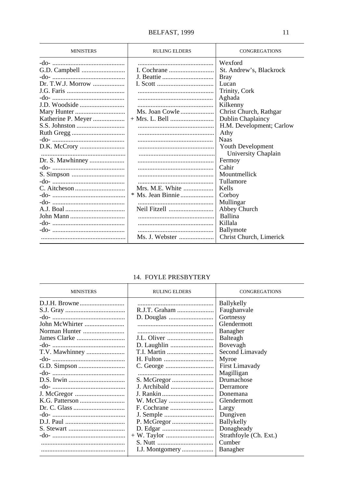| <b>MINISTERS</b>   | <b>RULING ELDERS</b> | <b>CONGREGATIONS</b>     |
|--------------------|----------------------|--------------------------|
|                    |                      | Wexford                  |
|                    |                      | St. Andrew's, Blackrock  |
|                    |                      | <b>Bray</b>              |
|                    |                      | Lucan                    |
|                    |                      | Trinity, Cork            |
|                    |                      | Aghada                   |
| J.D. Woodside      |                      | Kilkenny                 |
|                    | Ms. Joan Cowle       | Christ Church, Rathgar   |
| Katherine P. Meyer |                      | Dublin Chaplaincy        |
|                    |                      | H.M. Development; Carlow |
|                    |                      | Athy                     |
|                    |                      | <b>Naas</b>              |
|                    |                      | Youth Development        |
|                    |                      | University Chaplain      |
| Dr. S. Mawhinney   |                      | Fermoy                   |
|                    |                      | Cahir                    |
|                    |                      | Mountmellick             |
|                    |                      | Tullamore                |
|                    | Mrs. M.E. White      | Kells                    |
|                    | * Ms. Jean Binnie    | Corboy                   |
|                    |                      | Mullingar                |
|                    |                      | Abbey Church             |
|                    |                      | Ballina                  |
|                    |                      | Killala                  |
|                    |                      | Ballymote                |
|                    | Ms. J. Webster       | Christ Church, Limerick  |

### 14. FOYLE PRESBYTERY

| <b>MINISTERS</b> | <b>RULING ELDERS</b>   | <b>CONGREGATIONS</b>   |
|------------------|------------------------|------------------------|
|                  |                        | <b>Ballykelly</b>      |
|                  | R.J.T. Graham          | Faughanvale            |
|                  |                        | Gortnessy              |
| John McWhirter   |                        | Glendermott            |
| Norman Hunter    |                        | Banagher               |
|                  |                        | Balteagh               |
|                  |                        | Bovevagh               |
|                  |                        | Second Limavady        |
|                  |                        | Myroe                  |
|                  |                        | First Limavady         |
|                  |                        | Magilligan             |
|                  |                        | Drumachose             |
|                  |                        | Derramore              |
|                  | J. Rankin              | Donemana               |
|                  |                        | Glendermott            |
|                  |                        | Largy                  |
|                  |                        | Dungiven               |
|                  |                        | Ballykelly             |
|                  |                        | Donagheady             |
|                  |                        | Strathfoyle (Ch. Ext.) |
|                  |                        | Cumber                 |
|                  | <b>I.J. Montgomery</b> | Banagher               |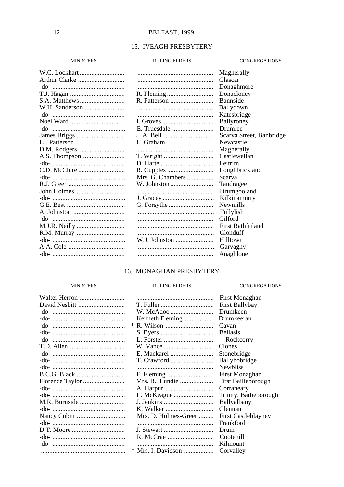### 15. IVEAGH PRESBYTERY

| <b>MINISTERS</b> | <b>RULING ELDERS</b> | <b>CONGREGATIONS</b>     |
|------------------|----------------------|--------------------------|
| W.C. Lockhart    |                      | Magherally               |
|                  |                      | Glascar                  |
|                  |                      | Donaghmore               |
|                  |                      | Donacloney               |
|                  |                      | Bannside                 |
|                  |                      | Ballydown                |
|                  |                      | Katesbridge              |
|                  | I. Groves            | Ballyroney               |
|                  |                      | Drumlee                  |
|                  |                      | Scarva Street, Banbridge |
|                  |                      | Newcastle                |
|                  |                      | Magherally               |
| A.S. Thompson    | T. Wright            | Castlewellan             |
|                  |                      | Leitrim                  |
|                  |                      | Loughbrickland           |
|                  |                      | Scarva                   |
|                  | W. Johnston          | Tandragee                |
| John Holmes      |                      | Drumgooland              |
|                  |                      | Kilkinamurry             |
|                  |                      | Newmills                 |
|                  |                      | Tullylish                |
|                  |                      | Gilford                  |
|                  |                      | <b>First Rathfriland</b> |
| R.M. Murray      |                      | Clonduff                 |
|                  |                      | Hilltown                 |
|                  |                      | Garvaghy                 |
|                  |                      | Anaghlone                |

### 16. MONAGHAN PRESBYTERY

| <b>MINISTERS</b> | <b>RULING ELDERS</b> | <b>CONGREGATIONS</b>   |
|------------------|----------------------|------------------------|
| Walter Herron    |                      | First Monaghan         |
| David Nesbitt    |                      | First Ballybay         |
|                  |                      | Drumkeen               |
|                  | Kenneth Fleming      | Drumkeeran             |
|                  |                      | Cavan                  |
|                  |                      | <b>Bellasis</b>        |
|                  |                      | Rockcorry              |
|                  |                      | Clones                 |
|                  |                      | Stonebridge            |
|                  |                      | <b>Ballyhobridge</b>   |
|                  |                      | <b>Newbliss</b>        |
|                  |                      | First Monaghan         |
|                  | Mrs. B. Lundie       | First Bailieborough    |
|                  |                      | Corraneary             |
|                  |                      | Trinity, Bailieborough |
|                  | J. Jenkins           | Ballyalbany            |
|                  |                      | Glennan                |
|                  | Mrs. D. Holmes-Greer | First Castleblayney    |
|                  |                      | Frankford              |
|                  |                      | Drum                   |
|                  |                      | Cootehill              |
|                  |                      | Kilmount               |
|                  | $*$ Mrs. I. Davidson | Corvalley              |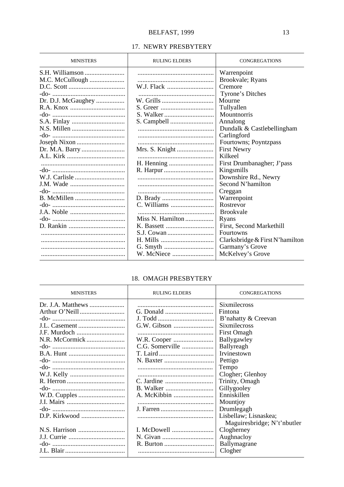### 17. NEWRY PRESBYTERY

| <b>MINISTERS</b>   | <b>RULING ELDERS</b> | <b>CONGREGATIONS</b>            |
|--------------------|----------------------|---------------------------------|
|                    |                      | Warrenpoint                     |
| M.C. McCullough    |                      | Brookvale; Ryans                |
|                    |                      | Cremore                         |
|                    |                      | Tyrone's Ditches                |
| Dr. D.J. McGaughey | W. Grills            | Mourne                          |
|                    |                      | Tullyallen                      |
|                    |                      | <b>Mountnorris</b>              |
|                    |                      | Annalong                        |
|                    |                      | Dundalk & Castlebellingham      |
|                    |                      | Carlingford                     |
|                    |                      | Fourtowns; Poyntzpass           |
|                    |                      | <b>First Newry</b>              |
|                    |                      | Kilkeel                         |
|                    |                      | First Drumbanagher; J'pass      |
|                    |                      | Kingsmills                      |
|                    |                      | Downshire Rd., Newry            |
|                    |                      | Second N'hamilton               |
|                    |                      | Creggan                         |
|                    |                      | Warrenpoint                     |
|                    |                      | Rostrevor                       |
|                    |                      | <b>Brookvale</b>                |
|                    | Miss N. Hamilton     | Ryans                           |
|                    |                      | First, Second Markethill        |
|                    |                      | <b>Fourtowns</b>                |
|                    |                      | Clarksbridge & First N'hamilton |
|                    |                      | Garmany's Grove                 |
|                    |                      | McKelvey's Grove                |

### 18. OMAGH PRESBYTERY

| <b>MINISTERS</b>           | <b>RULING ELDERS</b> | <b>CONGREGATIONS</b>        |
|----------------------------|----------------------|-----------------------------|
| Dr. J.A. <i>Matthews</i> … |                      | <b>Sixmilecross</b>         |
|                            |                      | Fintona                     |
|                            |                      | B'nahatty & Creevan         |
| <b>J.L.</b> Casement       |                      | <b>Sixmilecross</b>         |
|                            |                      | First Omagh                 |
|                            |                      | Ballygawley                 |
|                            | C.G. Somerville      | Ballyreagh                  |
|                            |                      | Irvinestown                 |
|                            |                      | Pettigo                     |
|                            |                      | Tempo                       |
|                            |                      | Clogher; Glenhoy            |
|                            |                      | Trinity, Omagh              |
|                            |                      | Gillygooley                 |
|                            |                      | Enniskillen                 |
|                            |                      | Mountjoy                    |
|                            |                      | Drumlegagh                  |
| D.P. Kirkwood              |                      | Lisbellaw; Lisnaskea;       |
|                            |                      | Maguiresbridge; N't'nbutler |
|                            | I. McDowell          | Clogherney                  |
|                            |                      | Aughnacloy                  |
|                            |                      | Ballymagrane                |
|                            |                      | Clogher                     |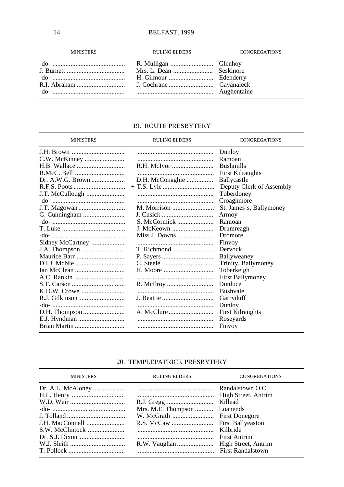| <b>MINISTERS</b> | <b>RULING ELDERS</b>                                                        | <b>CONGREGATIONS</b> |
|------------------|-----------------------------------------------------------------------------|----------------------|
|                  | R. Mulligan   Glenhoy<br>Mrs. L. Dean  Seskinore<br>H. Gilmour    Edenderry | Aughentaine          |

### 19. ROUTE PRESBYTERY

| <b>MINISTERS</b> | <b>RULING ELDERS</b> | CONGREGATIONS            |
|------------------|----------------------|--------------------------|
|                  |                      | Dunloy                   |
|                  |                      | Ramoan                   |
|                  |                      | <b>Bushmills</b>         |
|                  |                      | <b>First Kilraughts</b>  |
| Dr. A.W.G. Brown | D.H. McConaghie      | Ballycastle              |
|                  |                      | Deputy Clerk of Assembly |
| J.T. McCullough  |                      | Toberdoney               |
|                  |                      | Croaghmore               |
|                  |                      | St. James's, Ballymoney  |
|                  | J. Cusick            | Armoy                    |
|                  | S. McCormick         | Ramoan                   |
|                  | J. McKeown           | Drumreagh                |
|                  | Miss J. Downs        | Dromore                  |
| Sidney McCartney |                      | Finvoy                   |
|                  |                      | Dervock                  |
|                  |                      | Ballyweaney              |
|                  |                      | Trinity, Ballymoney      |
|                  |                      | Toberkeigh               |
|                  |                      | <b>First Ballymoney</b>  |
|                  |                      | Dunluce                  |
|                  |                      | <b>Bushvale</b>          |
|                  |                      | Garryduff                |
|                  |                      | Dunloy                   |
|                  |                      | <b>First Kilraughts</b>  |
|                  |                      | Roseyards                |
|                  |                      | Finvoy                   |

### 20. TEMPLEPATRICK PRESBYTERY

| <b>MINISTERS</b> | <b>RULING ELDERS</b> | <b>CONGREGATIONS</b>                                                                                                                                                                               |
|------------------|----------------------|----------------------------------------------------------------------------------------------------------------------------------------------------------------------------------------------------|
|                  | Mrs. M.E. Thompson   | Randalstown O.C.<br>High Street, Antrim<br>Killead<br>Loanends<br><b>First Donegore</b><br>First Ballyeaston<br>Kilbride<br><b>First Antrim</b><br>High Street, Antrim<br><b>First Randalstown</b> |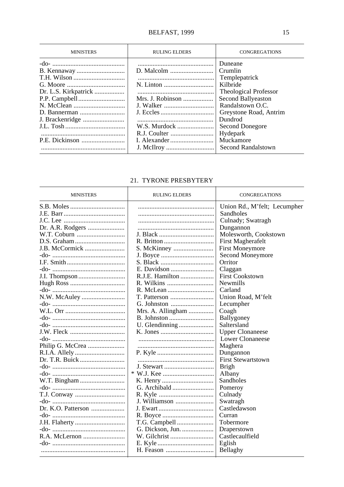| <b>MINISTERS</b>                        | <b>RULING ELDERS</b> | <b>CONGREGATIONS</b>                                                                                                                                                                                                      |
|-----------------------------------------|----------------------|---------------------------------------------------------------------------------------------------------------------------------------------------------------------------------------------------------------------------|
| Dr. L.S. Kirkpatrick<br>J. Brackenridge | Mrs. J. Robinson     | Duneane<br>Crumlin<br>Templepatrick<br>Kilbride<br>Theological Professor<br>Second Ballyeaston<br>Randalstown O.C.<br>Greystone Road, Antrim<br>Dundrod<br>Second Donegore<br>Hydepark<br>Muckamore<br>Second Randalstown |

### 21. TYRONE PRESBYTERY

| <b>MINISTERS</b>   | <b>RULING ELDERS</b> | <b>CONGREGATIONS</b>         |
|--------------------|----------------------|------------------------------|
|                    |                      | Union Rd., M'felt; Lecumpher |
|                    |                      | Sandholes                    |
|                    |                      | Culnady; Swatragh            |
|                    |                      | Dungannon                    |
|                    |                      | Molesworth, Cookstown        |
|                    |                      | First Magherafelt            |
|                    |                      | <b>First Moneymore</b>       |
|                    |                      | Second Moneymore             |
|                    |                      | Orritor                      |
|                    |                      | Claggan                      |
|                    | R.J.E. Hamilton      | <b>First Cookstown</b>       |
|                    |                      | <b>Newmills</b>              |
|                    |                      | Carland                      |
|                    |                      | Union Road, M'felt           |
|                    |                      | Lecumpher                    |
|                    | Mrs. A. Allingham    | Coagh                        |
|                    |                      | Ballygoney                   |
|                    |                      | Saltersland                  |
|                    |                      | <b>Upper Clonaneese</b>      |
|                    |                      | <b>Lower Clonaneese</b>      |
|                    |                      | Maghera                      |
|                    |                      | Dungannon                    |
| Dr. T.R. Buick     |                      | <b>First Stewartstown</b>    |
|                    |                      | <b>Brigh</b>                 |
|                    |                      | Albany                       |
|                    |                      | Sandholes                    |
|                    |                      | Pomeroy                      |
|                    |                      | Culnady                      |
|                    | J. Williamson        | Swatragh                     |
| Dr. K.O. Patterson | J. Ewart             | Castledawson                 |
|                    |                      | Curran                       |
|                    |                      | Tobermore                    |
|                    |                      | Draperstown                  |
|                    |                      | Castlecaulfield              |
|                    |                      | Eglish                       |
|                    |                      | Bellaghy                     |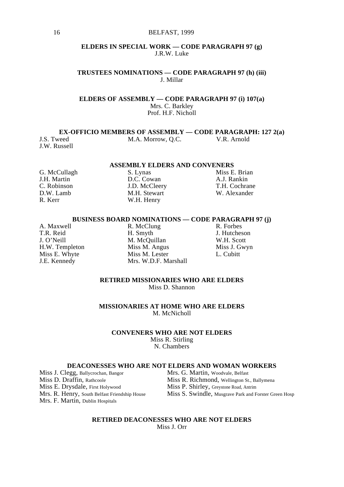### **ELDERS IN SPECIAL WORK — CODE PARAGRAPH 97 (g)** J.R.W. Luke

**TRUSTEES NOMINATIONS — CODE PARAGRAPH 97 (h) (iii)** J. Millar

**ELDERS OF ASSEMBLY — CODE PARAGRAPH 97 (i) 107(a)** Mrs. C. Barkley Prof. H.F. Nicholl

**EX-OFFICIO MEMBERS OF ASSEMBLY — CODE PARAGRAPH: 127 2(a)**<br>
IS Tweed MA Morrow OC VR Arnold

J.W. Russell

M.A. Morrow, O.C. **V.R. Arnold** 

## **ASSEMBLY ELDERS AND CONVENERS**<br>S. Lynas Miss E. Brian

G. McCullagh S. Lynas<br>
J.H. Martin D.C. Cowan R. Kerr W.H. Henry

M.H. Stewart

J.H. Martin **D.C.** Cowan **A.J. Rankin**<br>C. Robinson **A.J. Rankin C. Robinson J.D. McCleerv T.H. Cochrane** C. Robinson J.D. McCleery T.H. Cochrane

### **BUSINESS BOARD NOMINATIONS — CODE PARAGRAPH 97 (j)**<br>A Maxwell R McClung R Eorbes

A. Maxwell R. McClung<br>
T.R. Reid H. Smyth

T.R. Reid H. Smyth H. Smyth J. Hutcheson<br>
J. O'Neill M. M. McQuillan W.H. Scott<br>
H.W. Templeton Miss M. Angus Miss J. Gwyn M. McQuillan<br>Miss M. Angus H.W. Templeton Miss M. Angus Miss J. G. (Niss M. Lester Miss J. Gubitt Miss J. Gubitt Miss M. Lester Miss J. G Miss E. Whyte Miss M. Lester<br>
J.E. Kennedy Mrs. W.D.F. Ma Mrs. W.D.F. Marshall

### **RETIRED MISSIONARIES WHO ARE ELDERS**

Miss D. Shannon

**MISSIONARIES AT HOME WHO ARE ELDERS** M. McNicholl

### **CONVENERS WHO ARE NOT ELDERS**

Miss R. Stirling N. Chambers

## **DEACONESSES WHO ARE NOT ELDERS AND WOMAN WORKERS**<br>egg, Ballycrochan, Bangor Mrs. G. Martin, Woodvale, Belfast

Miss J. Clegg, Ballycrochan, Bangor<br>Miss D. Draffin, Rathcoole Miss E. Drysdale, First Holywood Miss P. Shirley, Greystone Road, Antrim Mrs. F. Martin, Dublin Hospitals

Miss D. Draffin, Rathcoole Miss R. Richmond, Wellington St., Ballymena<br>Miss E. Drysdale, First Holywood Miss P. Shirley, Greystone Road, Antrim Mrs. R. Henry, South Belfast Friendship House Miss S. Swindle, Musgrave Park and Forster Green Hosp

#### **RETIRED DEACONESSES WHO ARE NOT ELDERS** Miss J. Orr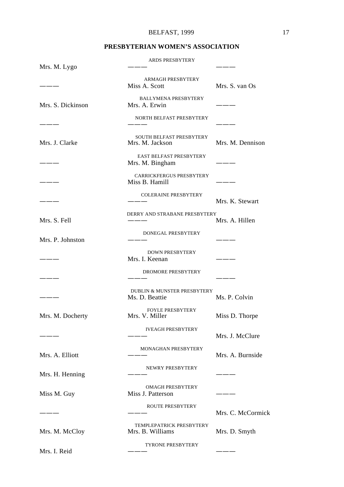### **PRESBYTERIAN WOMEN'S ASSOCIATION**

| Mrs. M. Lygo      | ARDS PRESBYTERY                                          |                   |
|-------------------|----------------------------------------------------------|-------------------|
|                   | <b>ARMAGH PRESBYTERY</b><br>Miss A. Scott                | Mrs. S. van Os    |
| Mrs. S. Dickinson | <b>BALLYMENA PRESBYTERY</b><br>Mrs. A. Erwin             | $-$               |
|                   | NORTH BELFAST PRESBYTERY                                 |                   |
| Mrs. J. Clarke    | SOUTH BELFAST PRESBYTERY<br>Mrs. M. Jackson              | Mrs. M. Dennison  |
|                   | EAST BELFAST PRESBYTERY<br>Mrs. M. Bingham               | ____              |
|                   | CARRICKFERGUS PRESBYTERY<br>Miss B. Hamill               |                   |
|                   | <b>COLERAINE PRESBYTERY</b>                              | Mrs. K. Stewart   |
| Mrs. S. Fell      | DERRY AND STRABANE PRESBYTERY                            | Mrs. A. Hillen    |
| Mrs. P. Johnston  | DONEGAL PRESBYTERY                                       | ———               |
|                   | <b>DOWN PRESBYTERY</b><br>Mrs. I. Keenan                 | ____              |
| ____              | DROMORE PRESBYTERY                                       |                   |
|                   | <b>DUBLIN &amp; MUNSTER PRESBYTERY</b><br>Ms. D. Beattie | Ms. P. Colvin     |
| Mrs. M. Docherty  | <b>FOYLE PRESBYTERY</b><br>Mrs. V. Miller                | Miss D. Thorpe    |
|                   | <b>IVEAGH PRESBYTERY</b>                                 | Mrs. J. McClure   |
| Mrs. A. Elliott   | MONAGHAN PRESBYTERY                                      | Mrs. A. Burnside  |
| Mrs. H. Henning   | NEWRY PRESBYTERY                                         |                   |
| Miss M. Guy       | <b>OMAGH PRESBYTERY</b><br>Miss J. Patterson             |                   |
|                   | ROUTE PRESBYTERY                                         | Mrs. C. McCormick |
| Mrs. M. McCloy    | TEMPLEPATRICK PRESBYTERY<br>Mrs. B. Williams             | Mrs. D. Smyth     |
| Mrs. I. Reid      | <b>TYRONE PRESBYTERY</b>                                 |                   |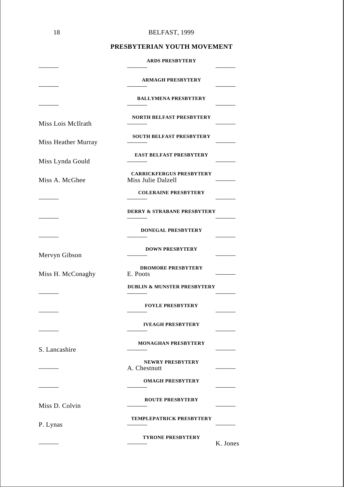| 18                  | BELFAST, 1999                                         |
|---------------------|-------------------------------------------------------|
|                     | PRESBYTERIAN YOUTH MOVEMENT                           |
|                     | <b>ARDS PRESBYTERY</b>                                |
|                     | <b>ARMAGH PRESBYTERY</b>                              |
|                     | <b>BALLYMENA PRESBYTERY</b>                           |
| Miss Lois McIlrath  | <b>NORTH BELFAST PRESBYTERY</b>                       |
| Miss Heather Murray | SOUTH BELFAST PRESBYTERY                              |
| Miss Lynda Gould    | <b>EAST BELFAST PRESBYTERY</b>                        |
| Miss A. McGhee      | <b>CARRICKFERGUS PRESBYTERY</b><br>Miss Julie Dalzell |
|                     | <b>COLERAINE PRESBYTERY</b>                           |
|                     | <b>DERRY &amp; STRABANE PRESBYTERY</b>                |
|                     | <b>DONEGAL PRESBYTERY</b>                             |
| Mervyn Gibson       | <b>DOWN PRESBYTERY</b>                                |
| Miss H. McConaghy   | <b>DROMORE PRESBYTERY</b><br>E. Poots                 |
|                     | <b>DUBLIN &amp; MUNSTER PRESBYTERY</b>                |
|                     | <b>FOYLE PRESBYTERY</b>                               |
|                     | <b>IVEAGH PRESBYTERY</b>                              |
| S. Lancashire       | <b>MONAGHAN PRESBYTERY</b>                            |
|                     | <b>NEWRY PRESBYTERY</b><br>A. Chestnutt               |
|                     | <b>OMAGH PRESBYTERY</b>                               |
| Miss D. Colvin      | <b>ROUTE PRESBYTERY</b>                               |
| P. Lynas            | TEMPLEPATRICK PRESBYTERY                              |
|                     | <b>TYRONE PRESBYTERY</b><br>K. Jones                  |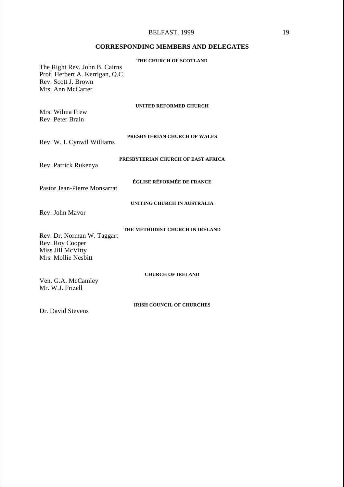### BELFAST, 1999 19

### **CORRESPONDING MEMBERS AND DELEGATES**

| The Right Rev. John B. Cairns<br>Prof. Herbert A. Kerrigan, Q.C.<br>Rev. Scott J. Brown<br>Mrs. Ann McCarter | THE CHURCH OF SCOTLAND             |
|--------------------------------------------------------------------------------------------------------------|------------------------------------|
| Mrs. Wilma Frew<br>Rev. Peter Brain                                                                          | <b>UNITED REFORMED CHURCH</b>      |
| Rev. W. I. Cynwil Williams                                                                                   | PRESBYTERIAN CHURCH OF WALES       |
| Rev. Patrick Rukenya                                                                                         | PRESBYTERIAN CHURCH OF EAST AFRICA |
| Pastor Jean-Pierre Monsarrat                                                                                 | ÉGLISE RÉFORMÉE DE FRANCE          |
| Rev. John Mayor                                                                                              | UNITING CHURCH IN AUSTRALIA        |
| Rev. Dr. Norman W. Taggart<br>Rev. Roy Cooper<br>Miss Jill McVitty<br>Mrs. Mollie Neshitt                    | THE METHODIST CHURCH IN IRELAND    |
| Ven. G.A. McCamley<br>Mr. W.J. Frizell                                                                       | <b>CHURCH OF IRELAND</b>           |
| Dr. David Stevens                                                                                            | <b>IRISH COUNCIL OF CHURCHES</b>   |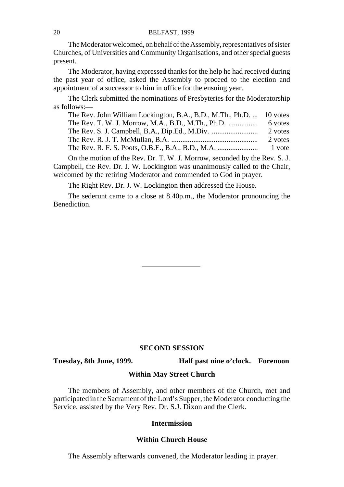The Moderator welcomed, on behalf of the Assembly, representatives of sister Churches, of Universities and Community Organisations, and other special guests present.

The Moderator, having expressed thanks for the help he had received during the past year of office, asked the Assembly to proceed to the election and appointment of a successor to him in office for the ensuing year.

The Clerk submitted the nominations of Presbyteries for the Moderatorship as follows:—

| The Rev. John William Lockington, B.A., B.D., M.Th., Ph.D.  10 votes |         |
|----------------------------------------------------------------------|---------|
| The Rev. T. W. J. Morrow, M.A., B.D., M.Th., Ph.D.                   | 6 votes |
|                                                                      | 2 votes |
|                                                                      | 2 votes |
|                                                                      | 1 vote  |

On the motion of the Rev. Dr. T. W. J. Morrow, seconded by the Rev. S. J. Campbell, the Rev. Dr. J. W. Lockington was unanimously called to the Chair, welcomed by the retiring Moderator and commended to God in prayer.

The Right Rev. Dr. J. W. Lockington then addressed the House.

The sederunt came to a close at 8.40p.m., the Moderator pronouncing the Benediction.

### **SECOND SESSION**

**Tuesday, 8th June, 1999. Half past nine o'clock. Forenoon**

### **Within May Street Church**

The members of Assembly, and other members of the Church, met and participated in the Sacrament of the Lord's Supper, the Moderator conducting the Service, assisted by the Very Rev. Dr. S.J. Dixon and the Clerk.

### **Intermission**

### **Within Church House**

The Assembly afterwards convened, the Moderator leading in prayer.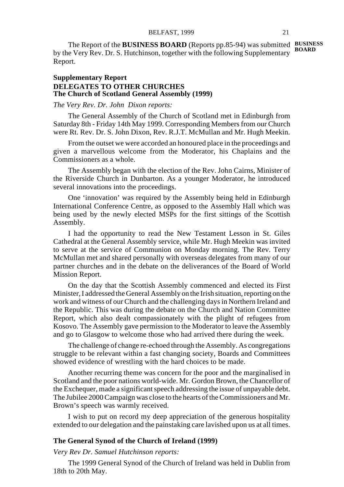The Report of the **BUSINESS BOARD** (Reports pp.85-94) was submitted **BUSINESS** by the Very Rev. Dr. S. Hutchinson, together with the following Supplementary **BOARD** Report.

### **Supplementary Report DELEGATES TO OTHER CHURCHES The Church of Scotland General Assembly (1999)**

### *The Very Rev. Dr. John Dixon reports:*

The General Assembly of the Church of Scotland met in Edinburgh from Saturday 8th - Friday 14th May 1999. Corresponding Members from our Church were Rt. Rev. Dr. S. John Dixon, Rev. R.J.T. McMullan and Mr. Hugh Meekin.

From the outset we were accorded an honoured place in the proceedings and given a marvellous welcome from the Moderator, his Chaplains and the Commissioners as a whole.

The Assembly began with the election of the Rev. John Cairns, Minister of the Riverside Church in Dunbarton. As a younger Moderator, he introduced several innovations into the proceedings.

One 'innovation' was required by the Assembly being held in Edinburgh International Conference Centre, as opposed to the Assembly Hall which was being used by the newly elected MSPs for the first sittings of the Scottish Assembly.

I had the opportunity to read the New Testament Lesson in St. Giles Cathedral at the General Assembly service, while Mr. Hugh Meekin was invited to serve at the service of Communion on Monday morning. The Rev. Terry McMullan met and shared personally with overseas delegates from many of our partner churches and in the debate on the deliverances of the Board of World Mission Report.

On the day that the Scottish Assembly commenced and elected its First Minister, I addressed the General Assembly on the Irish situation, reporting on the work and witness of our Church and the challenging days in Northern Ireland and the Republic. This was during the debate on the Church and Nation Committee Report, which also dealt compassionately with the plight of refugees from Kosovo. The Assembly gave permission to the Moderator to leave the Assembly and go to Glasgow to welcome those who had arrived there during the week.

The challenge of change re-echoed through the Assembly. As congregations struggle to be relevant within a fast changing society, Boards and Committees showed evidence of wrestling with the hard choices to be made.

Another recurring theme was concern for the poor and the marginalised in Scotland and the poor nations world-wide. Mr. Gordon Brown, the Chancellor of the Exchequer, made a significant speech addressing the issue of unpayable debt. The Jubilee 2000 Campaign was close to the hearts of the Commissioners and Mr. Brown's speech was warmly received.

I wish to put on record my deep appreciation of the generous hospitality extended to our delegation and the painstaking care lavished upon us at all times.

### **The General Synod of the Church of Ireland (1999)**

*Very Rev Dr. Samuel Hutchinson reports:*

The 1999 General Synod of the Church of Ireland was held in Dublin from 18th to 20th May.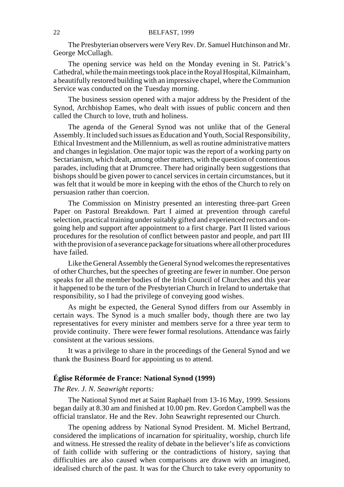The Presbyterian observers were Very Rev. Dr. Samuel Hutchinson and Mr. George McCullagh.

The opening service was held on the Monday evening in St. Patrick's Cathedral, while the main meetings took place in the Royal Hospital, Kilmainham, a beautifully restored building with an impressive chapel, where the Communion Service was conducted on the Tuesday morning.

The business session opened with a major address by the President of the Synod, Archbishop Eames, who dealt with issues of public concern and then called the Church to love, truth and holiness.

The agenda of the General Synod was not unlike that of the General Assembly. It included such issues as Education and Youth, Social Responsibility, Ethical Investment and the Millennium, as well as routine administrative matters and changes in legislation. One major topic was the report of a working party on Sectarianism, which dealt, among other matters, with the question of contentious parades, including that at Drumcree. There had originally been suggestions that bishops should be given power to cancel services in certain circumstances, but it was felt that it would be more in keeping with the ethos of the Church to rely on persuasion rather than coercion.

The Commission on Ministry presented an interesting three-part Green Paper on Pastoral Breakdown. Part I aimed at prevention through careful selection, practical training under suitably gifted and experienced rectors and ongoing help and support after appointment to a first charge. Part II listed various procedures for the resolution of conflict between pastor and people, and part III with the provision of a severance package for situations where all other procedures have failed.

Like the General Assembly the General Synod welcomes the representatives of other Churches, but the speeches of greeting are fewer in number. One person speaks for all the member bodies of the Irish Council of Churches and this year it happened to be the turn of the Presbyterian Church in Ireland to undertake that responsibility, so I had the privilege of conveying good wishes.

As might be expected, the General Synod differs from our Assembly in certain ways. The Synod is a much smaller body, though there are two lay representatives for every minister and members serve for a three year term to provide continuity. There were fewer formal resolutions. Attendance was fairly consistent at the various sessions.

It was a privilege to share in the proceedings of the General Synod and we thank the Business Board for appointing us to attend.

### **Église Réformée de France: National Synod (1999)**

### *The Rev. J. N. Seawright reports:*

The National Synod met at Saint Raphaël from 13-16 May, 1999. Sessions began daily at 8.30 am and finished at 10.00 pm. Rev. Gordon Campbell was the official translator. He and the Rev. John Seawright represented our Church.

The opening address by National Synod President. M. Michel Bertrand, considered the implications of incarnation for spirituality, worship, church life and witness. He stressed the reality of debate in the believer's life as convictions of faith collide with suffering or the contradictions of history, saying that difficulties are also caused when comparisons are drawn with an imagined, idealised church of the past. It was for the Church to take every opportunity to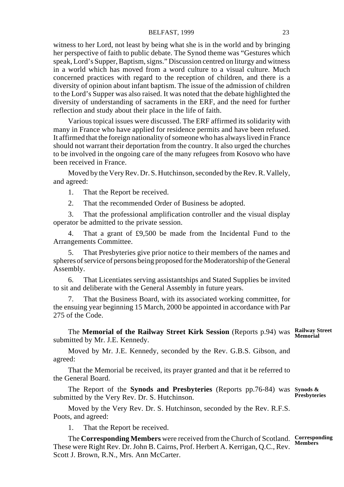### BELFAST, 1999 23

witness to her Lord, not least by being what she is in the world and by bringing her perspective of faith to public debate. The Synod theme was "Gestures which speak, Lord's Supper, Baptism, signs." Discussion centred on liturgy and witness in a world which has moved from a word culture to a visual culture. Much concerned practices with regard to the reception of children, and there is a diversity of opinion about infant baptism. The issue of the admission of children to the Lord's Supper was also raised. It was noted that the debate highlighted the diversity of understanding of sacraments in the ERF, and the need for further reflection and study about their place in the life of faith.

Various topical issues were discussed. The ERF affirmed its solidarity with many in France who have applied for residence permits and have been refused. It affirmed that the foreign nationality of someone who has always lived in France should not warrant their deportation from the country. It also urged the churches to be involved in the ongoing care of the many refugees from Kosovo who have been received in France.

Moved by the Very Rev. Dr. S. Hutchinson, seconded by the Rev. R. Vallely, and agreed:

1. That the Report be received.

2. That the recommended Order of Business be adopted.

3. That the professional amplification controller and the visual display operator be admitted to the private session.

4. That a grant of £9,500 be made from the Incidental Fund to the Arrangements Committee.

5. That Presbyteries give prior notice to their members of the names and spheres of service of persons being proposed for the Moderatorship of the General Assembly.

6. That Licentiates serving assistantships and Stated Supplies be invited to sit and deliberate with the General Assembly in future years.

7. That the Business Board, with its associated working committee, for the ensuing year beginning 15 March, 2000 be appointed in accordance with Par 275 of the Code.

The **Memorial of the Railway Street Kirk Session** (Reports p.94) was **Railway Street Memorial** submitted by Mr. J.E. Kennedy.

Moved by Mr. J.E. Kennedy, seconded by the Rev. G.B.S. Gibson, and agreed:

That the Memorial be received, its prayer granted and that it be referred to the General Board.

The Report of the **Synods and Presbyteries** (Reports pp.76-84) was **Synods &** submitted by the Very Rev. Dr. S. Hutchinson. **Presbyteries**

Moved by the Very Rev. Dr. S. Hutchinson, seconded by the Rev. R.F.S. Poots, and agreed:

1. That the Report be received.

The **Corresponding Members** were received from the Church of Scotland. **Corresponding** These were Right Rev. Dr. John B. Cairns, Prof. Herbert A. Kerrigan, Q.C., Rev. Scott J. Brown, R.N., Mrs. Ann McCarter. **Members**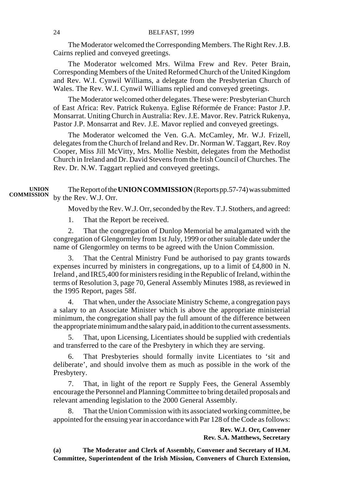The Moderator welcomed the Corresponding Members. The Right Rev. J.B. Cairns replied and conveyed greetings.

The Moderator welcomed Mrs. Wilma Frew and Rev. Peter Brain, Corresponding Members of the United Reformed Church of the United Kingdom and Rev. W.I. Cynwil Williams, a delegate from the Presbyterian Church of Wales. The Rev. W.I. Cynwil Williams replied and conveyed greetings.

The Moderator welcomed other delegates. These were: Presbyterian Church of East Africa: Rev. Patrick Rukenya. Eglise Réformée de France: Pastor J.P. Monsarrat. Uniting Church in Australia: Rev. J.E. Mavor. Rev. Patrick Rukenya, Pastor J.P. Monsarrat and Rev. J.E. Mavor replied and conveyed greetings.

The Moderator welcomed the Ven. G.A. McCamley, Mr. W.J. Frizell, delegates from the Church of Ireland and Rev. Dr. Norman W. Taggart, Rev. Roy Cooper, Miss Jill McVitty, Mrs. Mollie Nesbitt, delegates from the Methodist Church in Ireland and Dr. David Stevens from the Irish Council of Churches. The Rev. Dr. N.W. Taggart replied and conveyed greetings.

The Report of the **UNION COMMISSION** (Reports pp.57-74) was submitted by the Rev. W.J. Orr. **UNION COMMISSION**

Moved by the Rev. W.J. Orr, seconded by the Rev. T.J. Stothers, and agreed:

1. That the Report be received.

2. That the congregation of Dunlop Memorial be amalgamated with the congregation of Glengormley from 1st July, 1999 or other suitable date under the name of Glengormley on terms to be agreed with the Union Commission.

That the Central Ministry Fund be authorised to pay grants towards expenses incurred by ministers in congregations, up to a limit of £4,800 in N. Ireland , and IR£5,400 for ministers residing in the Republic of Ireland, within the terms of Resolution 3, page 70, General Assembly Minutes 1988, as reviewed in the 1995 Report, pages 58f.

4. That when, under the Associate Ministry Scheme, a congregation pays a salary to an Associate Minister which is above the appropriate ministerial minimum, the congregation shall pay the full amount of the difference between the appropriate minimum and the salary paid, in addition to the current assessments.

5. That, upon Licensing, Licentiates should be supplied with credentials and transferred to the care of the Presbytery in which they are serving.

6. That Presbyteries should formally invite Licentiates to 'sit and deliberate', and should involve them as much as possible in the work of the Presbytery.

7. That, in light of the report re Supply Fees, the General Assembly encourage the Personnel and Planning Committee to bring detailed proposals and relevant amending legislation to the 2000 General Assembly.

That the Union Commission with its associated working committee, be appointed for the ensuing year in accordance with Par 128 of the Code as follows:

> **Rev. W.J. Orr, Convener Rev. S.A. Matthews, Secretary**

**(a) The Moderator and Clerk of Assembly, Convener and Secretary of H.M. Committee, Superintendent of the Irish Mission, Conveners of Church Extension,**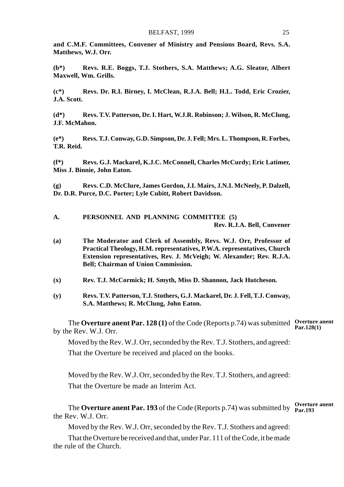**and C.M.F. Committees, Convener of Ministry and Pensions Board, Revs. S.A. Matthews, W.J. Orr.**

**(b\*) Revs. R.E. Boggs, T.J. Stothers, S.A. Matthews; A.G. Sleator, Albert Maxwell, Wm. Grills.**

**(c\*) Revs. Dr. R.I. Birney, I. McClean, R.J.A. Bell; H.L. Todd, Eric Crozier, J.A. Scott.**

**(d\*) Revs. T.V. Patterson, Dr. I. Hart, W.J.R. Robinson; J. Wilson, R. McClung, J.F. McMahon.**

**(e\*) Revs. T.J. Conway, G.D. Simpson, Dr. J. Fell; Mrs. L. Thompson, R. Forbes, T.R. Reid.**

**(f\*) Revs. G.J. Mackarel, K.J.C. McConnell, Charles McCurdy; Eric Latimer, Miss J. Binnie, John Eaton.**

**(g) Revs. C.D. McClure, James Gordon, J.I. Mairs, J.N.I. McNeely, P. Dalzell, Dr. D.R. Purce, D.C. Porter; Lyle Cubitt, Robert Davidson.**

**A. PERSONNEL AND PLANNING COMMITTEE (5) Rev. R.J.A. Bell, Convener**

- **(a) The Moderator and Clerk of Assembly, Revs. W.J. Orr, Professor of Practical Theology, H.M. representatives, P.W.A. representatives, Church Extension representatives, Rev. J. McVeigh; W. Alexander; Rev. R.J.A. Bell; Chairman of Union Commission.**
- **(x) Rev. T.J. McCormick; H. Smyth, Miss D. Shannon, Jack Hutcheson.**
- **(y) Revs. T.V. Patterson, T.J. Stothers, G.J. Mackarel, Dr. J. Fell, T.J. Conway, S.A. Matthews; R. McClung, John Eaton.**

The **Overture anent Par. 128 (1)** of the Code (Reports p.74) was submitted Overture anent by the Rev. W.J. Orr. **Par.128(1)**

Moved by the Rev. W.J. Orr, seconded by the Rev. T.J. Stothers, and agreed: That the Overture be received and placed on the books.

Moved by the Rev. W.J. Orr, seconded by the Rev. T.J. Stothers, and agreed: That the Overture be made an Interim Act.

The **Overture anent Par. 193** of the Code (Reports p.74) was submitted by **Overture anent** the Rev. W.J. Orr.

Moved by the Rev. W.J. Orr, seconded by the Rev. T.J. Stothers and agreed:

That the Overture be received and that, under Par. 111 of the Code, it be made the rule of the Church.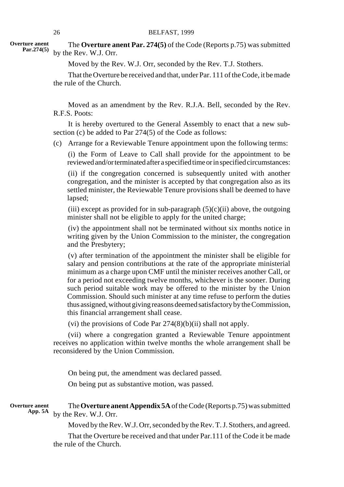**Overture anent Par.274(5)**

The **Overture anent Par. 274(5)** of the Code (Reports p.75) was submitted by the Rev. W.J. Orr.

Moved by the Rev. W.J. Orr, seconded by the Rev. T.J. Stothers.

That the Overture be received and that, under Par. 111 of the Code, it be made the rule of the Church.

Moved as an amendment by the Rev. R.J.A. Bell, seconded by the Rev. R.F.S. Poots:

It is hereby overtured to the General Assembly to enact that a new subsection (c) be added to Par 274(5) of the Code as follows:

(c) Arrange for a Reviewable Tenure appointment upon the following terms:

(i) the Form of Leave to Call shall provide for the appointment to be reviewed and/or terminated after a specified time or in specified circumstances:

(ii) if the congregation concerned is subsequently united with another congregation, and the minister is accepted by that congregation also as its settled minister, the Reviewable Tenure provisions shall be deemed to have lapsed;

(iii) except as provided for in sub-paragraph  $(5)(c)(ii)$  above, the outgoing minister shall not be eligible to apply for the united charge;

(iv) the appointment shall not be terminated without six months notice in writing given by the Union Commission to the minister, the congregation and the Presbytery;

(v) after termination of the appointment the minister shall be eligible for salary and pension contributions at the rate of the appropriate ministerial minimum as a charge upon CMF until the minister receives another Call, or for a period not exceeding twelve months, whichever is the sooner. During such period suitable work may be offered to the minister by the Union Commission. Should such minister at any time refuse to perform the duties thus assigned, without giving reasons deemed satisfactory by the Commission, this financial arrangement shall cease.

(vi) the provisions of Code Par  $274(8)(b)(ii)$  shall not apply.

(vii) where a congregation granted a Reviewable Tenure appointment receives no application within twelve months the whole arrangement shall be reconsidered by the Union Commission.

On being put, the amendment was declared passed.

On being put as substantive motion, was passed.

**Overture anent App. 5A**

The **Overture anent Appendix 5A** of the Code (Reports p.75) was submitted by the Rev. W.J. Orr.

Moved by the Rev. W.J. Orr, seconded by the Rev. T. J. Stothers, and agreed.

That the Overture be received and that under Par.111 of the Code it be made the rule of the Church.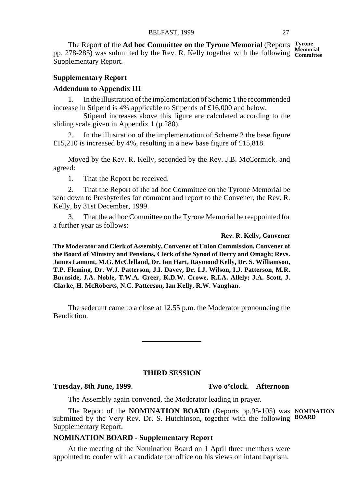The Report of the **Ad hoc Committee on the Tyrone Memorial** (Reports **Tyrone** pp. 278-285) was submitted by the Rev. R. Kelly together with the following Committee Supplementary Report.

### **Supplementary Report**

### **Addendum to Appendix III**

1. In the illustration of the implementation of Scheme 1 the recommended increase in Stipend is 4% applicable to Stipends of £16,000 and below.

Stipend increases above this figure are calculated according to the sliding scale given in Appendix 1 (p.280).

2. In the illustration of the implementation of Scheme 2 the base figure £15,210 is increased by 4%, resulting in a new base figure of £15,818.

Moved by the Rev. R. Kelly, seconded by the Rev. J.B. McCormick, and agreed:

1. That the Report be received.

2. That the Report of the ad hoc Committee on the Tyrone Memorial be sent down to Presbyteries for comment and report to the Convener, the Rev. R. Kelly, by 31st December, 1999.

3. That the ad hoc Committee on the Tyrone Memorial be reappointed for a further year as follows:

### **Rev. R. Kelly, Convener**

**The Moderator and Clerk of Assembly, Convener of Union Commission, Convener of the Board of Ministry and Pensions, Clerk of the Synod of Derry and Omagh; Revs. James Lamont, M.G. McClelland, Dr. Ian Hart, Raymond Kelly, Dr. S. Williamson, T.P. Fleming, Dr. W.J. Patterson, J.I. Davey, Dr. I.J. Wilson, I.J. Patterson, M.R. Burnside, J.A. Noble, T.W.A. Greer, K.D.W. Crowe, R.I.A. Allely; J.A. Scott, J. Clarke, H. McRoberts, N.C. Patterson, Ian Kelly, R.W. Vaughan.**

The sederunt came to a close at 12.55 p.m. the Moderator pronouncing the Bendiction.

### **THIRD SESSION**

### **Tuesday, 8th June, 1999. Two o'clock. Afternoon**

The Assembly again convened, the Moderator leading in prayer.

The Report of the **NOMINATION BOARD** (Reports pp.95-105) was **NOMINATION** submitted by the Very Rev. Dr. S. Hutchinson, together with the following **BOARD** Supplementary Report.

### **NOMINATION BOARD - Supplementary Report**

At the meeting of the Nomination Board on 1 April three members were appointed to confer with a candidate for office on his views on infant baptism.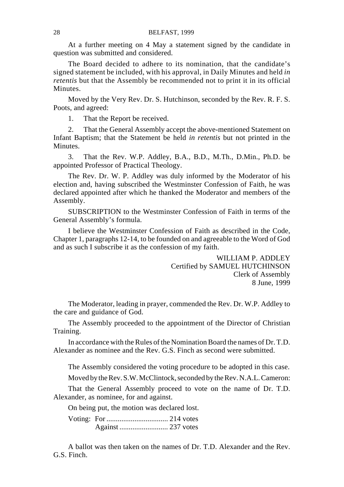At a further meeting on 4 May a statement signed by the candidate in question was submitted and considered.

The Board decided to adhere to its nomination, that the candidate's signed statement be included, with his approval, in Daily Minutes and held *in retentis* but that the Assembly be recommended not to print it in its official Minutes.

Moved by the Very Rev. Dr. S. Hutchinson, seconded by the Rev. R. F. S. Poots, and agreed:

1. That the Report be received.

2. That the General Assembly accept the above-mentioned Statement on Infant Baptism; that the Statement be held *in retentis* but not printed in the **Minutes** 

3. That the Rev. W.P. Addley, B.A., B.D., M.Th., D.Min., Ph.D. be appointed Professor of Practical Theology.

The Rev. Dr. W. P. Addley was duly informed by the Moderator of his election and, having subscribed the Westminster Confession of Faith, he was declared appointed after which he thanked the Moderator and members of the Assembly.

SUBSCRIPTION to the Westminster Confession of Faith in terms of the General Assembly's formula.

I believe the Westminster Confession of Faith as described in the Code, Chapter 1, paragraphs 12-14, to be founded on and agreeable to the Word of God and as such I subscribe it as the confession of my faith.

> WILLIAM P. ADDLEY Certified by SAMUEL HUTCHINSON Clerk of Assembly 8 June, 1999

The Moderator, leading in prayer, commended the Rev. Dr. W.P. Addley to the care and guidance of God.

The Assembly proceeded to the appointment of the Director of Christian Training.

In accordance with the Rules of the Nomination Board the names of Dr. T.D. Alexander as nominee and the Rev. G.S. Finch as second were submitted.

The Assembly considered the voting procedure to be adopted in this case.

Moved by the Rev. S.W. McClintock, seconded by the Rev. N.A.L. Cameron:

That the General Assembly proceed to vote on the name of Dr. T.D. Alexander, as nominee, for and against.

On being put, the motion was declared lost.

Voting: For ................................. 214 votes Against .......................... 237 votes

A ballot was then taken on the names of Dr. T.D. Alexander and the Rev. G.S. Finch.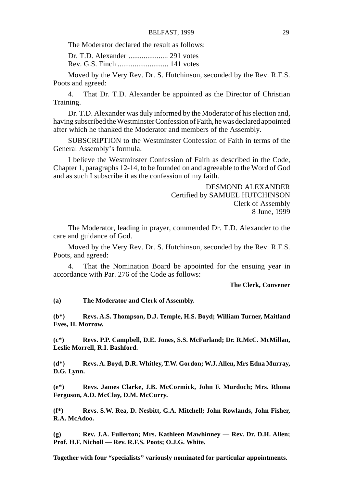The Moderator declared the result as follows:

Dr. T.D. Alexander ..................... 291 votes Rev. G.S. Finch ........................... 141 votes

Moved by the Very Rev. Dr. S. Hutchinson, seconded by the Rev. R.F.S. Poots and agreed:

4. That Dr. T.D. Alexander be appointed as the Director of Christian Training.

Dr. T.D. Alexander was duly informed by the Moderator of his election and, having subscribed the Westminster Confession of Faith, he was declared appointed after which he thanked the Moderator and members of the Assembly.

SUBSCRIPTION to the Westminster Confession of Faith in terms of the General Assembly's formula.

I believe the Westminster Confession of Faith as described in the Code, Chapter 1, paragraphs 12-14, to be founded on and agreeable to the Word of God and as such I subscribe it as the confession of my faith.

> DESMOND ALEXANDER Certified by SAMUEL HUTCHINSON Clerk of Assembly 8 June, 1999

The Moderator, leading in prayer, commended Dr. T.D. Alexander to the care and guidance of God.

Moved by the Very Rev. Dr. S. Hutchinson, seconded by the Rev. R.F.S. Poots, and agreed:

4. That the Nomination Board be appointed for the ensuing year in accordance with Par. 276 of the Code as follows:

**The Clerk, Convener**

**(a) The Moderator and Clerk of Assembly.**

**(b\*) Revs. A.S. Thompson, D.J. Temple, H.S. Boyd; William Turner, Maitland Eves, H. Morrow.**

**(c\*) Revs. P.P. Campbell, D.E. Jones, S.S. McFarland; Dr. R.McC. McMillan, Leslie Morrell, R.I. Bashford.**

**(d\*) Revs. A. Boyd, D.R. Whitley, T.W. Gordon; W.J. Allen, Mrs Edna Murray, D.G. Lynn.**

**(e\*) Revs. James Clarke, J.B. McCormick, John F. Murdoch; Mrs. Rhona Ferguson, A.D. McClay, D.M. McCurry.**

**(f\*) Revs. S.W. Rea, D. Nesbitt, G.A. Mitchell; John Rowlands, John Fisher, R.A. McAdoo.**

**(g) Rev. J.A. Fullerton; Mrs. Kathleen Mawhinney — Rev. Dr. D.H. Allen; Prof. H.F. Nicholl — Rev. R.F.S. Poots; O.J.G. White.**

**Together with four "specialists" variously nominated for particular appointments.**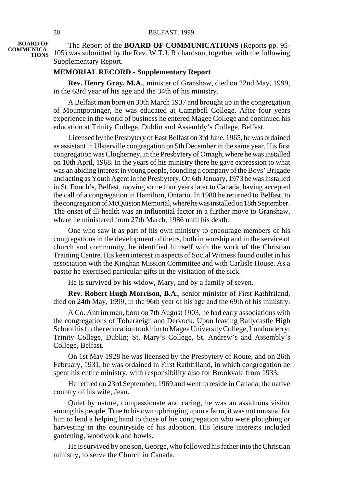**BOARD OF**

The Report of the **BOARD OF COMMUNICATIONS** (Reports pp. 95- **COMMUNICA-**<br>**TIONS** 105) was submitted by the Rev. W.T.J. Richardson, together with the following Supplementary Report.

### **MEMORIAL RECORD - Supplementary Report**

**Rev. Henry Gray, M.A.**, minister of Granshaw, died on 22nd May, 1999, in the 63rd year of his age and the 34th of his ministry.

A Belfast man born on 30th March 1937 and brought up in the congregation of Mountpottinger, he was educated at Campbell College. After four years experience in the world of business he entered Magee College and continued his education at Trinity College, Dublin and Assembly's College, Belfast.

Licensed by the Presbytery of East Belfast on 3rd June, 1965, he was ordained as assistant in Ulsterville congregation on 5th December in the same year. His first congregation was Clogherney, in the Presbytery of Omagh, where he was installed on 10th April, 1968. In the years of his ministry there he gave expression to what was an abiding interest in young people, founding a company of the Boys' Brigade and acting as Youth Agent in the Presbytery. On 6th January, 1973 he was installed in St. Enoch's, Belfast, moving some four years later to Canada, having accepted the call of a congregation in Hamilton, Ontario. In 1980 he returned to Belfast, to the congregation of McQuiston Memorial, where he was installed on 18th September. The onset of ill-health was an influential factor in a further move to Granshaw, where he ministered from 27th March, 1986 until his death.

One who saw it as part of his own ministry to encourage members of his congregations in the development of theirs, both in worship and in the service of church and community, he identified himself with the work of the Christian Training Centre. His keen interest in aspects of Social Witness found outlet in his association with the Kinghan Mission Committee and with Carlisle House. As a pastor he exercised particular gifts in the visitation of the sick.

He is survived by his widow, Mary, and by a family of seven.

**Rev. Robert Hugh Morrison, B.A.**, senior minister of First Rathfriland, died on 24th May, 1999, in the 96th year of his age and the 69th of his ministry.

A Co. Antrim man, born on 7th August 1903, he had early associations with the congregations of Toberkeigh and Dervock. Upon leaving Ballycastle High School his further education took him to Magee University College, Londonderry; Trinity College, Dublin; St. Mary's College, St. Andrew's and Assembly's College, Belfast.

On 1st May 1928 he was licensed by the Presbytery of Route, and on 26th February, 1931, he was ordained in First Rathfriland, in which congregation he spent his entire ministry, with responsibility also for Brookvale from 1933.

He retired on 23rd September, 1969 and went to reside in Canada, the native country of his wife, Jean.

Quiet by nature, compassionate and caring, he was an assiduous visitor among his people. True to his own upbringing upon a farm, it was not unusual for him to lend a helping hand to those of his congregation who were ploughing or harvesting in the countryside of his adoption. His leisure interests included gardening, woodwork and bowls.

He is survived by one son, George, who followed his father into the Christian ministry, to serve the Church in Canada.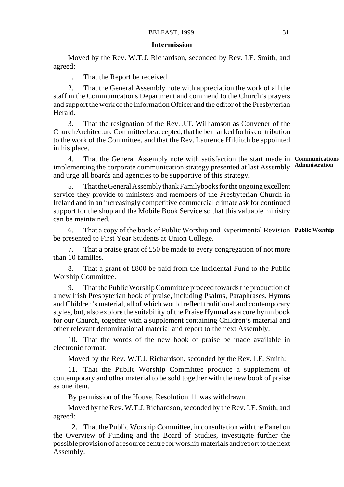### **Intermission**

Moved by the Rev. W.T.J. Richardson, seconded by Rev. I.F. Smith, and agreed:

1. That the Report be received.

2. That the General Assembly note with appreciation the work of all the staff in the Communications Department and commend to the Church's prayers and support the work of the Information Officer and the editor of the Presbyterian Herald.

3. That the resignation of the Rev. J.T. Williamson as Convener of the Church Architecture Committee be accepted, that he be thanked for his contribution to the work of the Committee, and that the Rev. Laurence Hilditch be appointed in his place.

4. That the General Assembly note with satisfaction the start made in **Communications** implementing the corporate communication strategy presented at last Assembly and urge all boards and agencies to be supportive of this strategy. **Administration**

5. That the General Assembly thank Familybooks for the ongoing excellent service they provide to ministers and members of the Presbyterian Church in Ireland and in an increasingly competitive commercial climate ask for continued support for the shop and the Mobile Book Service so that this valuable ministry can be maintained.

6. That a copy of the book of Public Worship and Experimental Revision **Public Worship**be presented to First Year Students at Union College.

7. That a praise grant of £50 be made to every congregation of not more than 10 families.

8. That a grant of £800 be paid from the Incidental Fund to the Public Worship Committee.

9. That the Public Worship Committee proceed towards the production of a new Irish Presbyterian book of praise, including Psalms, Paraphrases, Hymns and Children's material, all of which would reflect traditional and contemporary styles, but, also explore the suitability of the Praise Hymnal as a core hymn book for our Church, together with a supplement containing Children's material and other relevant denominational material and report to the next Assembly.

10. That the words of the new book of praise be made available in electronic format.

Moved by the Rev. W.T.J. Richardson, seconded by the Rev. I.F. Smith:

11. That the Public Worship Committee produce a supplement of contemporary and other material to be sold together with the new book of praise as one item.

By permission of the House, Resolution 11 was withdrawn.

Moved by the Rev. W.T.J. Richardson, seconded by the Rev. I.F. Smith, and agreed:

12. That the Public Worship Committee, in consultation with the Panel on the Overview of Funding and the Board of Studies, investigate further the possible provision of a resource centre for worship materials and report to the next Assembly.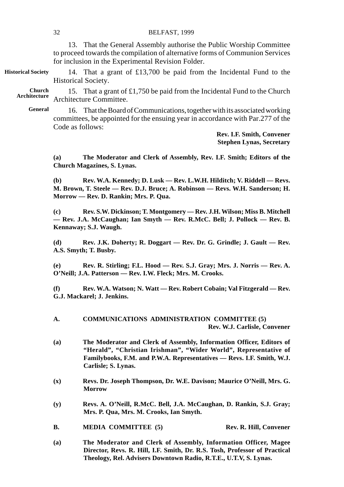15. That a grant of  $£1,750$  be paid from the Incidental Fund to the Church Architecture Committee. **Church Architecture**

16. That the Board of Communications, together with its associated working committees, be appointed for the ensuing year in accordance with Par.277 of the Code as follows: **General**

> **Rev. I.F. Smith, Convener Stephen Lynas, Secretary**

**(a) The Moderator and Clerk of Assembly, Rev. I.F. Smith; Editors of the Church Magazines, S. Lynas.**

**(b) Rev. W.A. Kennedy; D. Lusk — Rev. L.W.H. Hilditch; V. Riddell — Revs. M. Brown, T. Steele — Rev. D.J. Bruce; A. Robinson — Revs. W.H. Sanderson; H. Morrow — Rev. D. Rankin; Mrs. P. Qua.**

**(c) Rev. S.W. Dickinson; T. Montgomery — Rev. J.H. Wilson; Miss B. Mitchell — Rev. J.A. McCaughan; Ian Smyth — Rev. R.McC. Bell; J. Pollock — Rev. B. Kennaway; S.J. Waugh.**

**(d) Rev. J.K. Doherty; R. Doggart — Rev. Dr. G. Grindle; J. Gault — Rev. A.S. Smyth; T. Busby.**

**(e) Rev. R. Stirling; F.L. Hood — Rev. S.J. Gray; Mrs. J. Norris — Rev. A. O'Neill; J.A. Patterson — Rev. I.W. Fleck; Mrs. M. Crooks.**

**(f) Rev. W.A. Watson; N. Watt — Rev. Robert Cobain; Val Fitzgerald — Rev. G.J. Mackarel; J. Jenkins.**

### **A. COMMUNICATIONS ADMINISTRATION COMMITTEE (5) Rev. W.J. Carlisle, Convener**

- **(a) The Moderator and Clerk of Assembly, Information Officer, Editors of "Herald", "Christian Irishman", "Wider World", Representative of Familybooks, F.M. and P.W.A. Representatives — Revs. I.F. Smith, W.J. Carlisle; S. Lynas.**
- **(x) Revs. Dr. Joseph Thompson, Dr. W.E. Davison; Maurice O'Neill, Mrs. G. Morrow**
- **(y) Revs. A. O'Neill, R.McC. Bell, J.A. McCaughan, D. Rankin, S.J. Gray; Mrs. P. Qua, Mrs. M. Crooks, Ian Smyth.**
- **B. MEDIA COMMITTEE** (5) **Rev. R. Hill, Convener**

**(a) The Moderator and Clerk of Assembly, Information Officer, Magee Director, Revs. R. Hill, I.F. Smith, Dr. R.S. Tosh, Professor of Practical Theology, Rel. Advisers Downtown Radio, R.T.E., U.T.V, S. Lynas.**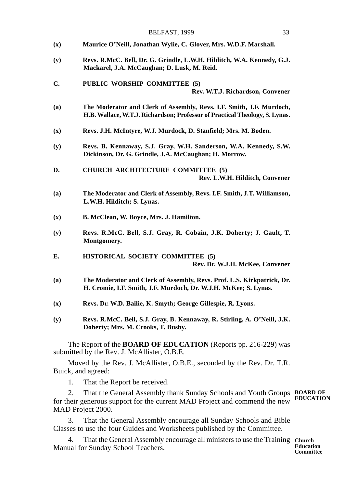|                | BELFAST, 1999<br>33                                                                                                                                 |
|----------------|-----------------------------------------------------------------------------------------------------------------------------------------------------|
| $(\mathbf{x})$ | Maurice O'Neill, Jonathan Wylie, C. Glover, Mrs. W.D.F. Marshall.                                                                                   |
| (y)            | Revs. R.McC. Bell, Dr. G. Grindle, L.W.H. Hilditch, W.A. Kennedy, G.J.<br>Mackarel, J.A. McCaughan; D. Lusk, M. Reid.                               |
| C.             | PUBLIC WORSHIP COMMITTEE (5)<br>Rev. W.T.J. Richardson, Convener                                                                                    |
| (a)            | The Moderator and Clerk of Assembly, Revs. I.F. Smith, J.F. Murdoch,<br>H.B. Wallace, W.T.J. Richardson; Professor of Practical Theology, S. Lynas. |
| $(\mathbf{x})$ | Revs. J.H. McIntyre, W.J. Murdock, D. Stanfield; Mrs. M. Boden.                                                                                     |
| (y)            | Revs. B. Kennaway, S.J. Gray, W.H. Sanderson, W.A. Kennedy, S.W.<br>Dickinson, Dr. G. Grindle, J.A. McCaughan; H. Morrow.                           |
| D.             | <b>CHURCH ARCHITECTURE COMMITTEE (5)</b><br>Rev. L.W.H. Hilditch, Convener                                                                          |
| (a)            | The Moderator and Clerk of Assembly, Revs. I.F. Smith, J.T. Williamson,<br>L.W.H. Hilditch; S. Lynas.                                               |
| $(\mathbf{x})$ | B. McClean, W. Boyce, Mrs. J. Hamilton.                                                                                                             |
| (y)            | Revs. R.McC. Bell, S.J. Gray, R. Cobain, J.K. Doherty; J. Gault, T.<br>Montgomery.                                                                  |
| E.             | <b>HISTORICAL SOCIETY COMMITTEE (5)</b><br>Rev. Dr. W.J.H. McKee, Convener                                                                          |
| (a)            | The Moderator and Clerk of Assembly, Revs. Prof. L.S. Kirkpatrick, Dr.<br>H. Cromie, I.F. Smith, J.F. Murdoch, Dr. W.J.H. McKee; S. Lynas.          |
| $(\mathbf{x})$ | Revs. Dr. W.D. Bailie, K. Smyth; George Gillespie, R. Lyons.                                                                                        |
| (y)            | Revs. R.McC. Bell, S.J. Gray, B. Kennaway, R. Stirling, A. O'Neill, J.K.<br>Doherty; Mrs. M. Crooks, T. Busby.                                      |
|                | The Report of the <b>BOARD OF EDUCATION</b> (Reports pp. 216-229) was                                                                               |

submitted by the Rev. J. McAllister, O.B.E.

Moved by the Rev. J. McAllister, O.B.E., seconded by the Rev. Dr. T.R. Buick, and agreed:

1. That the Report be received.

2. That the General Assembly thank Sunday Schools and Youth Groups **BOARD OF** for their generous support for the current MAD Project and commend the new MAD Project 2000. **EDUCATION**

3. That the General Assembly encourage all Sunday Schools and Bible Classes to use the four Guides and Worksheets published by the Committee.

4. That the General Assembly encourage all ministers to use the Training **Church** Manual for Sunday School Teachers.

**Education Committee**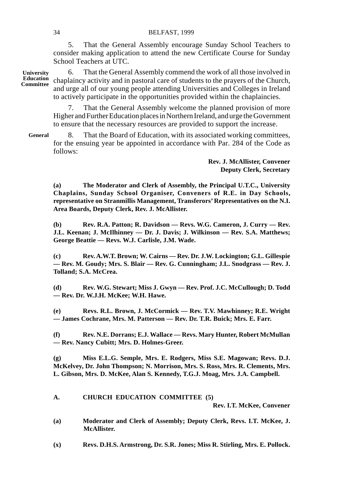5. That the General Assembly encourage Sunday School Teachers to consider making application to attend the new Certificate Course for Sunday School Teachers at UTC.

6. That the General Assembly commend the work of all those involved in chaplaincy activity and in pastoral care of students to the prayers of the Church, and urge all of our young people attending Universities and Colleges in Ireland to actively participate in the opportunities provided within the chaplaincies. **University Education Committee**

> 7. That the General Assembly welcome the planned provision of more Higher and Further Education places in Northern Ireland, and urge the Government to ensure that the necessary resources are provided to support the increase.

8. That the Board of Education, with its associated working committees, for the ensuing year be appointed in accordance with Par. 284 of the Code as follows: **General**

> **Rev. J. McAllister, Convener Deputy Clerk, Secretary**

**(a) The Moderator and Clerk of Assembly, the Principal U.T.C., University Chaplains, Sunday School Organiser, Conveners of R.E. in Day Schools, representative on Stranmillis Management, Transferors' Representatives on the N.I. Area Boards, Deputy Clerk, Rev. J. McAllister.**

**(b) Rev. R.A. Patton; R. Davidson — Revs. W.G. Cameron, J. Curry — Rev. J.L. Keenan; J. McIlhinney — Dr. J. Davis; J. Wilkinson — Rev. S.A. Matthews; George Beattie — Revs. W.J. Carlisle, J.M. Wade.**

**(c) Rev. A.W.T. Brown; W. Cairns — Rev. Dr. J.W. Lockington; G.L. Gillespie — Rev. M. Goudy; Mrs. S. Blair — Rev. G. Cunningham; J.L. Snodgrass — Rev. J. Tolland; S.A. McCrea.**

**(d) Rev. W.G. Stewart; Miss J. Gwyn — Rev. Prof. J.C. McCullough; D. Todd — Rev. Dr. W.J.H. McKee; W.H. Hawe.**

**(e) Revs. R.L. Brown, J. McCormick — Rev. T.V. Mawhinney; R.E. Wright — James Cochrane, Mrs. M. Patterson — Rev. Dr. T.R. Buick; Mrs. E. Farr.**

**(f) Rev. N.E. Dorrans; E.J. Wallace — Revs. Mary Hunter, Robert McMullan — Rev. Nancy Cubitt; Mrs. D. Holmes-Greer.**

**(g) Miss E.L.G. Semple, Mrs. E. Rodgers, Miss S.E. Magowan; Revs. D.J. McKelvey, Dr. John Thompson; N. Morrison, Mrs. S. Ross, Mrs. R. Clements, Mrs. L. Gibson, Mrs. D. McKee, Alan S. Kennedy, T.G.J. Moag, Mrs. J.A. Campbell.**

**A. CHURCH EDUCATION COMMITTEE (5)**

**Rev. I.T. McKee, Convener**

- **(a) Moderator and Clerk of Assembly; Deputy Clerk, Revs. I.T. McKee, J. McAllister.**
- **(x) Revs. D.H.S. Armstrong, Dr. S.R. Jones; Miss R. Stirling, Mrs. E. Pollock.**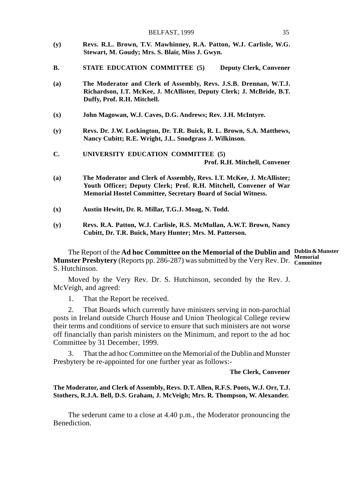- **(y) Revs. R.L. Brown, T.V. Mawhinney, R.A. Patton, W.J. Carlisle, W.G. Stewart, M. Goudy; Mrs. S. Blair, Miss J. Gwyn.**
- **B. STATE EDUCATION COMMITTEE (5) Deputy Clerk, Convener**
- **(a) The Moderator and Clerk of Assembly, Revs. J.S.B. Drennan, W.T.J. Richardson, I.T. McKee, J. McAllister, Deputy Clerk; J. McBride, B.T. Duffy, Prof. R.H. Mitchell.**
- **(x) John Magowan, W.J. Caves, D.G. Andrews; Rev. J.H. McIntyre.**
- **(y) Revs. Dr. J.W. Lockington, Dr. T.R. Buick, R. L. Brown, S.A. Matthews, Nancy Cubitt; R.E. Wright, J.L. Snodgrass J. Wilkinson.**
- **C. UNIVERSITY EDUCATION COMMITTEE (5) Prof. R.H. Mitchell, Convener**
- **(a) The Moderator and Clerk of Assembly, Revs. I.T. McKee, J. McAllister; Youth Officer; Deputy Clerk; Prof. R.H. Mitchell, Convener of War Memorial Hostel Committee, Secretary Board of Social Witness.**
- **(x) Austin Hewitt, Dr. R. Millar, T.G.J. Moag, N. Todd.**
- **(y) Revs. R.A. Patton, W.J. Carlisle, R.S. McMullan, A.W.T. Brown, Nancy Cubitt, Dr. T.R. Buick, Mary Hunter; Mrs. M. Patterson.**

The Report of the **Ad hoc Committee on the Memorial of the Dublin and Dublin & Munster Munster Presbytery** (Reports pp. 286-287) was submitted by the Very Rev. Dr. **Memorial Committee**S. Hutchinson.

Moved by the Very Rev. Dr. S. Hutchinson, seconded by the Rev. J. McVeigh, and agreed:

1. That the Report be received.

2. That Boards which currently have ministers serving in non-parochial posts in Ireland outside Church House and Union Theological College review their terms and conditions of service to ensure that such ministers are not worse off financially than parish ministers on the Minimum, and report to the ad hoc Committee by 31 December, 1999.

3. That the ad hoc Committee on the Memorial of the Dublin and Munster Presbytery be re-appointed for one further year as follows:-

**The Clerk, Convener**

### **The Moderator, and Clerk of Assembly, Revs. D.T. Allen, R.F.S. Poots, W.J. Orr, T.J. Stothers, R.J.A. Bell, D.S. Graham, J. McVeigh; Mrs. R. Thompson, W. Alexander.**

The sederunt came to a close at 4.40 p.m., the Moderator pronouncing the Benediction.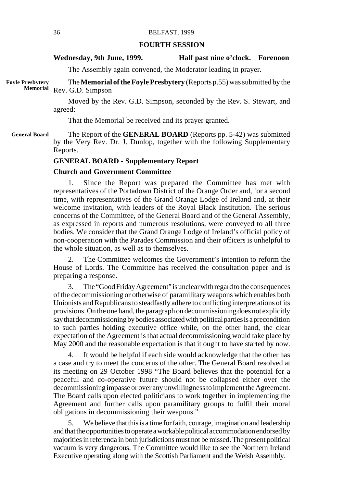### **FOURTH SESSION**

### Wednesday, 9th June, 1999. **Half past nine o'clock.** Forenoon

The Assembly again convened, the Moderator leading in prayer.

The **Memorial of the Foyle Presbytery** (Reports p.55) was submitted by the Rev. G.D. Simpson **Foyle Presbytery Memorial**

> Moved by the Rev. G.D. Simpson, seconded by the Rev. S. Stewart, and agreed:

That the Memorial be received and its prayer granted.

The Report of the **GENERAL BOARD** (Reports pp. 5-42) was submitted by the Very Rev. Dr. J. Dunlop, together with the following Supplementary Reports. **General Board**

### **GENERAL BOARD - Supplementary Report**

### **Church and Government Committee**

1. Since the Report was prepared the Committee has met with representatives of the Portadown District of the Orange Order and, for a second time, with representatives of the Grand Orange Lodge of Ireland and, at their welcome invitation, with leaders of the Royal Black Institution. The serious concerns of the Committee, of the General Board and of the General Assembly, as expressed in reports and numerous resolutions, were conveyed to all three bodies. We consider that the Grand Orange Lodge of Ireland's official policy of non-cooperation with the Parades Commission and their officers is unhelpful to the whole situation, as well as to themselves.

2. The Committee welcomes the Government's intention to reform the House of Lords. The Committee has received the consultation paper and is preparing a response.

3. The "Good Friday Agreement" is unclear with regard to the consequences of the decommissioning or otherwise of paramilitary weapons which enables both Unionists and Republicans to steadfastly adhere to conflicting interpretations of its provisions. On the one hand, the paragraph on decommissioning does not explicitly say that decommissioning by bodies associated with political parties is a precondition to such parties holding executive office while, on the other hand, the clear expectation of the Agreement is that actual decommissioning would take place by May 2000 and the reasonable expectation is that it ought to have started by now.

4. It would be helpful if each side would acknowledge that the other has a case and try to meet the concerns of the other. The General Board resolved at its meeting on 29 October 1998 "The Board believes that the potential for a peaceful and co-operative future should not be collapsed either over the decommissioning impasse or over any unwillingness to implement the Agreement. The Board calls upon elected politicians to work together in implementing the Agreement and further calls upon paramilitary groups to fulfil their moral obligations in decommissioning their weapons."

5. We believe that this is a time for faith, courage, imagination and leadership and that the opportunities to operate a workable political accommodation endorsed by majorities in referenda in both jurisdictions must not be missed. The present political vacuum is very dangerous. The Committee would like to see the Northern Ireland Executive operating along with the Scottish Parliament and the Welsh Assembly.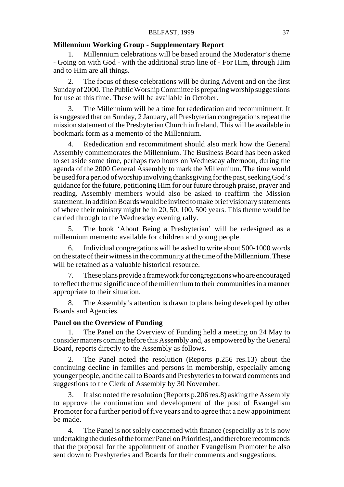# **Millennium Working Group - Supplementary Report**

1. Millennium celebrations will be based around the Moderator's theme - Going on with God - with the additional strap line of - For Him, through Him and to Him are all things.

2. The focus of these celebrations will be during Advent and on the first Sunday of 2000. The Public Worship Committee is preparing worship suggestions for use at this time. These will be available in October.

3. The Millennium will be a time for rededication and recommitment. It is suggested that on Sunday, 2 January, all Presbyterian congregations repeat the mission statement of the Presbyterian Church in Ireland. This will be available in bookmark form as a memento of the Millennium.

4. Rededication and recommitment should also mark how the General Assembly commemorates the Millennium. The Business Board has been asked to set aside some time, perhaps two hours on Wednesday afternoon, during the agenda of the 2000 General Assembly to mark the Millennium. The time would be used for a period of worship involving thanksgiving for the past, seeking God's guidance for the future, petitioning Him for our future through praise, prayer and reading. Assembly members would also be asked to reaffirm the Mission statement. In addition Boards would be invited to make brief visionary statements of where their ministry might be in 20, 50, 100, 500 years. This theme would be carried through to the Wednesday evening rally.

5. The book 'About Being a Presbyterian' will be redesigned as a millennium memento available for children and young people.

6. Individual congregations will be asked to write about 500-1000 words on the state of their witness in the community at the time of the Millennium. These will be retained as a valuable historical resource.

7. These plans provide a framework for congregations who are encouraged to reflect the true significance of the millennium to their communities in a manner appropriate to their situation.

8. The Assembly's attention is drawn to plans being developed by other Boards and Agencies.

# **Panel on the Overview of Funding**

1. The Panel on the Overview of Funding held a meeting on 24 May to consider matters coming before this Assembly and, as empowered by the General Board, reports directly to the Assembly as follows.

2. The Panel noted the resolution (Reports p.256 res.13) about the continuing decline in families and persons in membership, especially among younger people, and the call to Boards and Presbyteries to forward comments and suggestions to the Clerk of Assembly by 30 November.

3. It also noted the resolution (Reports p.206 res.8) asking the Assembly to approve the continuation and development of the post of Evangelism Promoter for a further period of five years and to agree that a new appointment be made.

4. The Panel is not solely concerned with finance (especially as it is now undertaking the duties of the former Panel on Priorities), and therefore recommends that the proposal for the appointment of another Evangelism Promoter be also sent down to Presbyteries and Boards for their comments and suggestions.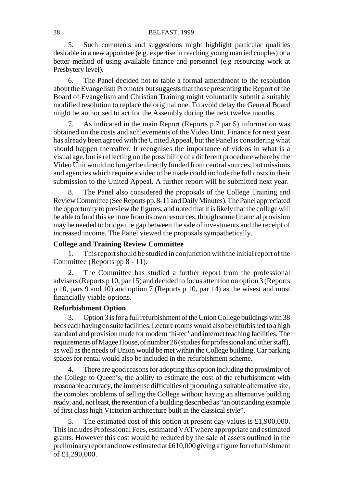## 38 BELFAST, 1999

5. Such comments and suggestions might highlight particular qualities desirable in a new appointee (e.g. expertise in reaching young married couples) or a better method of using available finance and personnel (e.g resourcing work at Presbytery level).

6. The Panel decided not to table a formal amendment to the resolution about the Evangelism Promoter but suggests that those presenting the Report of the Board of Evangelism and Christian Training might voluntarily submit a suitably modified resolution to replace the original one. To avoid delay the General Board might be authorised to act for the Assembly during the next twelve months.

7. As indicated in the main Report (Reports p.7 par.5) information was obtained on the costs and achievements of the Video Unit. Finance for next year has already been agreed with the United Appeal, but the Panel is considering what should happen thereafter. It recognises the importance of videos in what is a visual age, but is reflecting on the possibility of a different procedure whereby the Video Unit would no longer be directly funded from central sources, but missions and agencies which require a video to be made could include the full costs in their submission to the United Appeal. A further report will be submitted next year.

The Panel also considered the proposals of the College Training and Review Committee (See Reports pp. 8-11 and Daily Minutes). The Panel appreciated the opportunity to preview the figures, and noted that it is likely that the college will be able to fund this venture from its own resources, though some financial provision may be needed to bridge the gap between the sale of investments and the receipt of increased income. The Panel viewed the proposals sympathetically.

# **College and Training Review Committee**

1. This report should be studied in conjunction with the initial report of the Committee (Reports pp 8 - 11).

2. The Committee has studied a further report from the professional advisers (Reports p 10, par 15) and decided to focus attention on option 3 (Reports p 10, pars 9 and 10) and option 7 (Reports p 10, par 14) as the wisest and most financially viable options.

# **Refurbishment Option**

3. Option 3 is for a full refurbishment of the Union College buildings with 38 beds each having en suite facilities. Lecture rooms would also be refurbished to a high standard and provision made for modern 'hi-tec' and internet teaching facilities. The requirements of Magee House, of number 26 (studies for professional and other staff), as well as the needs of Union would be met within the College building. Car parking spaces for rental would also be included in the refurbishment scheme.

4. There are good reasons for adopting this option including the proximity of the College to Queen's, the ability to estimate the cost of the refurbishment with reasonable accuracy, the immense difficulties of procuring a suitable alternative site, the complex problems of selling the College without having an alternative building ready, and, not least, the retention of a building described as "an outstanding example of first class high Victorian architecture built in the classical style".

5. The estimated cost of this option at present day values is £1,900,000. This includes Professional Fees, estimated VAT where appropriate and estimated grants. However this cost would be reduced by the sale of assets outlined in the preliminary report and now estimated at £610,000 giving a figure for refurbishment of  $£1,290,000$ .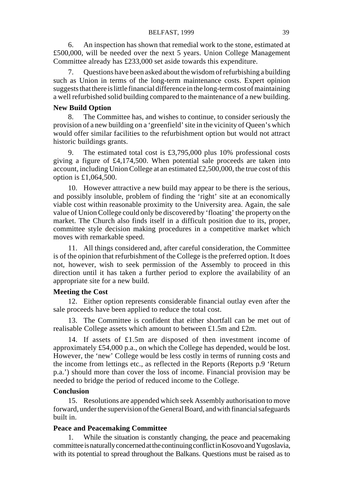6. An inspection has shown that remedial work to the stone, estimated at £500,000, will be needed over the next 5 years. Union College Management Committee already has £233,000 set aside towards this expenditure.

7. Questions have been asked about the wisdom of refurbishing a building such as Union in terms of the long-term maintenance costs. Expert opinion suggests that there is little financial difference in the long-term cost of maintaining a well refurbished solid building compared to the maintenance of a new building.

## **New Build Option**

8. The Committee has, and wishes to continue, to consider seriously the provision of a new building on a 'greenfield' site in the vicinity of Queen's which would offer similar facilities to the refurbishment option but would not attract historic buildings grants.

9. The estimated total cost is £3,795,000 plus 10% professional costs giving a figure of £4,174,500. When potential sale proceeds are taken into account, including Union College at an estimated  $£2,500,000$ , the true cost of this option is £1,064,500.

10. However attractive a new build may appear to be there is the serious, and possibly insoluble, problem of finding the 'right' site at an economically viable cost within reasonable proximity to the University area. Again, the sale value of Union College could only be discovered by 'floating' the property on the market. The Church also finds itself in a difficult position due to its, proper, committee style decision making procedures in a competitive market which moves with remarkable speed.

11. All things considered and, after careful consideration, the Committee is of the opinion that refurbishment of the College is the preferred option. It does not, however, wish to seek permission of the Assembly to proceed in this direction until it has taken a further period to explore the availability of an appropriate site for a new build.

## **Meeting the Cost**

12. Either option represents considerable financial outlay even after the sale proceeds have been applied to reduce the total cost.

13. The Committee is confident that either shortfall can be met out of realisable College assets which amount to between £1.5m and £2m.

14. If assets of £1.5m are disposed of then investment income of approximately £54,000 p.a., on which the College has depended, would be lost. However, the 'new' College would be less costly in terms of running costs and the income from lettings etc., as reflected in the Reports (Reports p.9 'Return p.a.') should more than cover the loss of income. Financial provision may be needed to bridge the period of reduced income to the College.

### **Conclusion**

15. Resolutions are appended which seek Assembly authorisation to move forward, under the supervision of the General Board, and with financial safeguards built in.

# **Peace and Peacemaking Committee**

While the situation is constantly changing, the peace and peacemaking committee is naturally concerned at the continuing conflict in Kosovo and Yugoslavia, with its potential to spread throughout the Balkans. Questions must be raised as to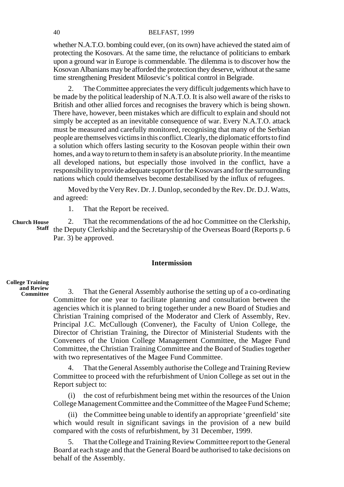### 40 BELFAST, 1999

whether N.A.T.O. bombing could ever, (on its own) have achieved the stated aim of protecting the Kosovars. At the same time, the reluctance of politicians to embark upon a ground war in Europe is commendable. The dilemma is to discover how the Kosovan Albanians may be afforded the protection they deserve, without at the same time strengthening President Milosevic's political control in Belgrade.

2. The Committee appreciates the very difficult judgements which have to be made by the political leadership of N.A.T.O. It is also well aware of the risks to British and other allied forces and recognises the bravery which is being shown. There have, however, been mistakes which are difficult to explain and should not simply be accepted as an inevitable consequence of war. Every N.A.T.O. attack must be measured and carefully monitored, recognising that many of the Serbian people are themselves victims in this conflict. Clearly, the diplomatic efforts to find a solution which offers lasting security to the Kosovan people within their own homes, and a way to return to them in safety is an absolute priority. In the meantime all developed nations, but especially those involved in the conflict, have a responsibility to provide adequate support for the Kosovars and for the surrounding nations which could themselves become destabilised by the influx of refugees.

Moved by the Very Rev. Dr. J. Dunlop, seconded by the Rev. Dr. D.J. Watts, and agreed:

1. That the Report be received.

2. That the recommendations of the ad hoc Committee on the Clerkship, Staff the Deputy Clerkship and the Secretaryship of the Overseas Board (Reports p. 6 Par. 3) be approved. **Church House**

# **Intermission**

#### **College Training and Review Committee**

3. That the General Assembly authorise the setting up of a co-ordinating Committee for one year to facilitate planning and consultation between the agencies which it is planned to bring together under a new Board of Studies and Christian Training comprised of the Moderator and Clerk of Assembly, Rev. Principal J.C. McCullough (Convener), the Faculty of Union College, the Director of Christian Training, the Director of Ministerial Students with the Conveners of the Union College Management Committee, the Magee Fund Committee, the Christian Training Committee and the Board of Studies together with two representatives of the Magee Fund Committee.

4. That the General Assembly authorise the College and Training Review Committee to proceed with the refurbishment of Union College as set out in the Report subject to:

(i) the cost of refurbishment being met within the resources of the Union College Management Committee and the Committee of the Magee Fund Scheme;

(ii) the Committee being unable to identify an appropriate 'greenfield' site which would result in significant savings in the provision of a new build compared with the costs of refurbishment, by 31 December, 1999.

5. That the College and Training Review Committee report to the General Board at each stage and that the General Board be authorised to take decisions on behalf of the Assembly.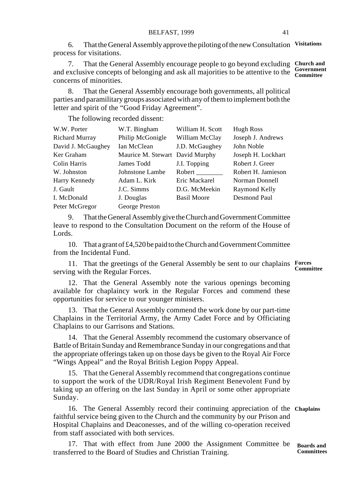6. That the General Assembly approve the piloting of the new Consultation **Visitations** process for visitations.

7. That the General Assembly encourage people to go beyond excluding **Church and** and exclusive concepts of belonging and ask all majorities to be attentive to the **Government Committee** concerns of minorities.

8. That the General Assembly encourage both governments, all political parties and paramilitary groups associated with any of them to implement both the letter and spirit of the "Good Friday Agreement".

The following recorded dissent:

| W.W. Porter           | W.T. Bingham       | William H. Scott   | Hugh Ross          |
|-----------------------|--------------------|--------------------|--------------------|
| <b>Richard Murray</b> | Philip McGonigle   | William McClay     | Joseph J. Andrews  |
| David J. McGaughey    | Ian McClean        | J.D. McGaughey     | John Noble         |
| Ker Graham            | Maurice M. Stewart | David Murphy       | Joseph H. Lockhart |
| Colin Harris          | James Todd         | J.I. Topping       | Robert J. Greer    |
| W. Johnston           | Johnstone Lambe    | Robert             | Robert H. Jamieson |
| Harry Kennedy         | Adam L. Kirk       | Eric Mackarel      | Norman Donnell     |
| J. Gault              | J.C. Simms         | D.G. McMeekin      | Raymond Kelly      |
| I. McDonald           | J. Douglas         | <b>Basil Moore</b> | Desmond Paul       |
| Peter McGregor        | George Preston     |                    |                    |

9. That the General Assembly give the Church and Government Committee leave to respond to the Consultation Document on the reform of the House of Lords.

10. That a grant of £4,520 be paid to the Church and Government Committee from the Incidental Fund.

11. That the greetings of the General Assembly be sent to our chaplains **Forces** serving with the Regular Forces.

**Committee**

12. That the General Assembly note the various openings becoming available for chaplaincy work in the Regular Forces and commend these opportunities for service to our younger ministers.

13. That the General Assembly commend the work done by our part-time Chaplains in the Territorial Army, the Army Cadet Force and by Officiating Chaplains to our Garrisons and Stations.

14. That the General Assembly recommend the customary observance of Battle of Britain Sunday and Remembrance Sunday in our congregations and that the appropriate offerings taken up on those days be given to the Royal Air Force "Wings Appeal" and the Royal British Legion Poppy Appeal.

15. That the General Assembly recommend that congregations continue to support the work of the UDR/Royal Irish Regiment Benevolent Fund by taking up an offering on the last Sunday in April or some other appropriate Sunday.

16. The General Assembly record their continuing appreciation of the **Chaplains** faithful service being given to the Church and the community by our Prison and Hospital Chaplains and Deaconesses, and of the willing co-operation received from staff associated with both services.

17. That with effect from June 2000 the Assignment Committee be transferred to the Board of Studies and Christian Training. **Boards and Committees**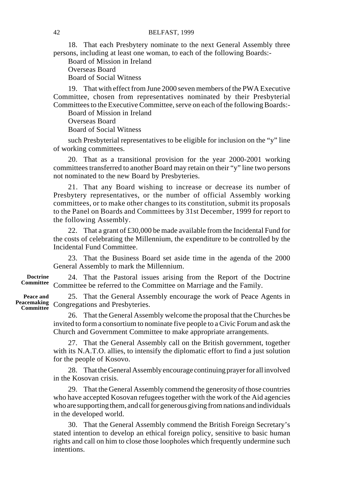18. That each Presbytery nominate to the next General Assembly three persons, including at least one woman, to each of the following Boards:-

Board of Mission in Ireland Overseas Board

Board of Social Witness

19. That with effect from June 2000 seven members of the PWA Executive Committee, chosen from representatives nominated by their Presbyterial Committees to the Executive Committee, serve on each of the following Boards:-

Board of Mission in Ireland

Overseas Board Board of Social Witness

such Presbyterial representatives to be eligible for inclusion on the "y" line of working committees.

20. That as a transitional provision for the year 2000-2001 working committees transferred to another Board may retain on their "y" line two persons not nominated to the new Board by Presbyteries.

21. That any Board wishing to increase or decrease its number of Presbytery representatives, or the number of official Assembly working committees, or to make other changes to its constitution, submit its proposals to the Panel on Boards and Committees by 31st December, 1999 for report to the following Assembly.

22. That a grant of £30,000 be made available from the Incidental Fund for the costs of celebrating the Millennium, the expenditure to be controlled by the Incidental Fund Committee.

23. That the Business Board set aside time in the agenda of the 2000 General Assembly to mark the Millennium.

24. That the Pastoral issues arising from the Report of the Doctrine Committee be referred to the Committee on Marriage and the Family. **Committee**

25. That the General Assembly encourage the work of Peace Agents in Peacemaking Congregations and Presbyteries.

> 26. That the General Assembly welcome the proposal that the Churches be invited to form a consortium to nominate five people to a Civic Forum and ask the Church and Government Committee to make appropriate arrangements.

> 27. That the General Assembly call on the British government, together with its N.A.T.O. allies, to intensify the diplomatic effort to find a just solution for the people of Kosovo.

> 28. That the General Assembly encourage continuing prayer for all involved in the Kosovan crisis.

> 29. That the General Assembly commend the generosity of those countries who have accepted Kosovan refugees together with the work of the Aid agencies who are supporting them, and call for generous giving from nations and individuals in the developed world.

> 30. That the General Assembly commend the British Foreign Secretary's stated intention to develop an ethical foreign policy, sensitive to basic human rights and call on him to close those loopholes which frequently undermine such intentions.

**Doctrine**

**Peace and Committee**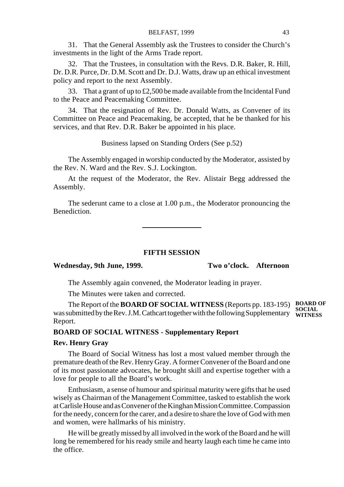31. That the General Assembly ask the Trustees to consider the Church's investments in the light of the Arms Trade report.

32. That the Trustees, in consultation with the Revs. D.R. Baker, R. Hill, Dr. D.R. Purce, Dr. D.M. Scott and Dr. D.J. Watts, draw up an ethical investment policy and report to the next Assembly.

33. That a grant of up to £2,500 be made available from the Incidental Fund to the Peace and Peacemaking Committee.

34. That the resignation of Rev. Dr. Donald Watts, as Convener of its Committee on Peace and Peacemaking, be accepted, that he be thanked for his services, and that Rev. D.R. Baker be appointed in his place.

Business lapsed on Standing Orders (See p.52)

The Assembly engaged in worship conducted by the Moderator, assisted by the Rev. N. Ward and the Rev. S.J. Lockington.

At the request of the Moderator, the Rev. Alistair Begg addressed the Assembly.

The sederunt came to a close at 1.00 p.m., the Moderator pronouncing the Benediction.

# **FIFTH SESSION**

# **Wednesday, 9th June, 1999. Two o'clock. Afternoon**

The Assembly again convened, the Moderator leading in prayer.

The Minutes were taken and corrected.

The Report of the **BOARD OF SOCIAL WITNESS** (Reports pp. 183-195) was submitted by the Rev. J.M. Cathcart together with the following Supplementary Report. **BOARD OF SOCIAL WITNESS**

# **BOARD OF SOCIAL WITNESS - Supplementary Report**

# **Rev. Henry Gray**

The Board of Social Witness has lost a most valued member through the premature death of the Rev. Henry Gray. A former Convener of the Board and one of its most passionate advocates, he brought skill and expertise together with a love for people to all the Board's work.

Enthusiasm, a sense of humour and spiritual maturity were gifts that he used wisely as Chairman of the Management Committee, tasked to establish the work at Carlisle House and as Convener of the Kinghan Mission Committee. Compassion for the needy, concern for the carer, and a desire to share the love of God with men and women, were hallmarks of his ministry.

He will be greatly missed by all involved in the work of the Board and he will long be remembered for his ready smile and hearty laugh each time he came into the office.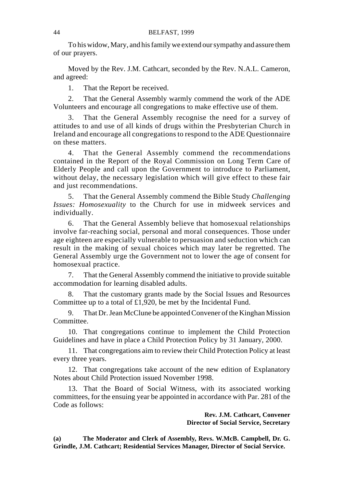To his widow, Mary, and his family we extend our sympathy and assure them of our prayers.

Moved by the Rev. J.M. Cathcart, seconded by the Rev. N.A.L. Cameron, and agreed:

1. That the Report be received.

2. That the General Assembly warmly commend the work of the ADE Volunteers and encourage all congregations to make effective use of them.

3. That the General Assembly recognise the need for a survey of attitudes to and use of all kinds of drugs within the Presbyterian Church in Ireland and encourage all congregations to respond to the ADE Questionnaire on these matters.

4. That the General Assembly commend the recommendations contained in the Report of the Royal Commission on Long Term Care of Elderly People and call upon the Government to introduce to Parliament, without delay, the necessary legislation which will give effect to these fair and just recommendations.

5. That the General Assembly commend the Bible Study *Challenging Issues: Homosexuality* to the Church for use in midweek services and individually.

6. That the General Assembly believe that homosexual relationships involve far-reaching social, personal and moral consequences. Those under age eighteen are especially vulnerable to persuasion and seduction which can result in the making of sexual choices which may later be regretted. The General Assembly urge the Government not to lower the age of consent for homosexual practice.

7. That the General Assembly commend the initiative to provide suitable accommodation for learning disabled adults.

8. That the customary grants made by the Social Issues and Resources Committee up to a total of £1,920, be met by the Incidental Fund.

9. That Dr. Jean McClune be appointed Convener of the Kinghan Mission Committee.

10. That congregations continue to implement the Child Protection Guidelines and have in place a Child Protection Policy by 31 January, 2000.

11. That congregations aim to review their Child Protection Policy at least every three years.

12. That congregations take account of the new edition of Explanatory Notes about Child Protection issued November 1998.

13. That the Board of Social Witness, with its associated working committees, for the ensuing year be appointed in accordance with Par. 281 of the Code as follows:

> **Rev. J.M. Cathcart, Convener Director of Social Service, Secretary**

**(a) The Moderator and Clerk of Assembly, Revs. W.McB. Campbell, Dr. G. Grindle, J.M. Cathcart; Residential Services Manager, Director of Social Service.**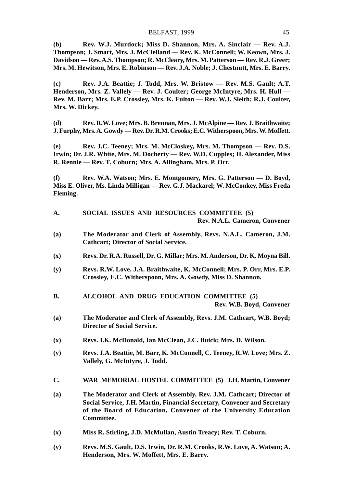**(b) Rev. W.J. Murdock; Miss D. Shannon, Mrs. A. Sinclair — Rev. A.J. Thompson; J. Smart, Mrs. J. McClelland — Rev. K. McConnell; W. Keown, Mrs. J. Davidson — Rev. A.S. Thompson; R. McCleary, Mrs. M. Patterson — Rev. R.J. Greer; Mrs. M. Hewitson, Mrs. E. Robinson — Rev. J.A. Noble; J. Chestnutt, Mrs. E. Barry.**

**(c) Rev. J.A. Beattie; J. Todd, Mrs. W. Bristow — Rev. M.S. Gault; A.T. Henderson, Mrs. Z. Vallely — Rev. J. Coulter; George McIntyre, Mrs. H. Hull — Rev. M. Barr; Mrs. E.P. Crossley, Mrs. K. Fulton — Rev. W.J. Sleith; R.J. Coulter, Mrs. W. Dickey.**

**(d) Rev. R.W. Love; Mrs. B. Brennan, Mrs. J. McAlpine — Rev. J. Braithwaite; J. Furphy, Mrs. A. Gowdy — Rev. Dr. R.M. Crooks; E.C. Witherspoon, Mrs. W. Moffett.**

**(e) Rev. J.C. Teeney; Mrs. M. McCloskey, Mrs. M. Thompson — Rev. D.S. Irwin; Dr. J.R. White, Mrs. M. Docherty — Rev. W.D. Cupples; H. Alexander, Miss R. Rennie — Rev. T. Coburn; Mrs. A. Allingham, Mrs. P. Orr.**

**(f) Rev. W.A. Watson; Mrs. E. Montgomery, Mrs. G. Patterson — D. Boyd, Miss E. Oliver, Ms. Linda Milligan — Rev. G.J. Mackarel; W. McConkey, Miss Freda Fleming.**

| A. |  |  | SOCIAL ISSUES AND RESOURCES COMMITTEE (5) |                               |
|----|--|--|-------------------------------------------|-------------------------------|
|    |  |  |                                           | Rev. N.A.L. Cameron, Convener |

- **(a) The Moderator and Clerk of Assembly, Revs. N.A.L. Cameron, J.M. Cathcart; Director of Social Service.**
- **(x) Revs. Dr. R.A. Russell, Dr. G. Millar; Mrs. M. Anderson, Dr. K. Moyna Bill.**
- **(y) Revs. R.W. Love, J.A. Braithwaite, K. McConnell; Mrs. P. Orr, Mrs. E.P. Crossley, E.C. Witherspoon, Mrs. A. Gowdy, Miss D. Shannon.**
- **B. ALCOHOL AND DRUG EDUCATION COMMITTEE (5) Rev. W.B. Boyd, Convener**
- **(a) The Moderator and Clerk of Assembly, Revs. J.M. Cathcart, W.B. Boyd; Director of Social Service.**
- **(x) Revs. I.K. McDonald, Ian McClean, J.C. Buick; Mrs. D. Wilson.**
- **(y) Revs. J.A. Beattie, M. Barr, K. McConnell, C. Teeney, R.W. Love; Mrs. Z. Vallely, G. McIntyre, J. Todd.**
- **C. WAR MEMORIAL HOSTEL COMMITTEE (5) J.H. Martin, Convener**
- **(a) The Moderator and Clerk of Assembly, Rev. J.M. Cathcart; Director of Social Service, J.H. Martin, Financial Secretary, Convener and Secretary of the Board of Education, Convener of the University Education Committee.**
- **(x) Miss R. Stirling, J.D. McMullan, Austin Treacy; Rev. T. Coburn.**
- **(y) Revs. M.S. Gault, D.S. Irwin, Dr. R.M. Crooks, R.W. Love, A. Watson; A. Henderson, Mrs. W. Moffett, Mrs. E. Barry.**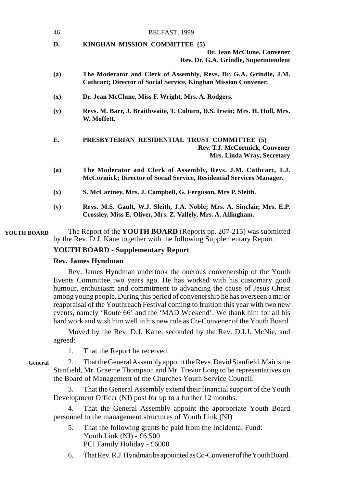| 46  | BELFAST, 1999                                                                                                                               |
|-----|---------------------------------------------------------------------------------------------------------------------------------------------|
| D.  | KINGHAN MISSION COMMITTEE (5)<br>Dr. Jean McClune, Convener<br>Rev. Dr. G.A. Grindle, Superintendent                                        |
| (a) | The Moderator and Clerk of Assembly, Revs. Dr. G.A. Grindle, J.M.<br><b>Cathcart; Director of Social Service, Kinghan Mission Convener.</b> |
| (x) | Dr. Jean McClune, Miss F. Wright, Mrs. A. Rodgers.                                                                                          |
| (y) | Revs. M. Barr, J. Braithwaite, T. Coburn, D.S. Irwin; Mrs. H. Hull, Mrs.<br>W. Moffett.                                                     |
| E.  | PRESBYTERIAN RESIDENTIAL TRUST COMMITTEE (5)<br>Rev. T.J. McCormick, Convener<br>Mrs. Linda Wray, Secretary                                 |
| (a) | The Moderator and Clerk of Assembly, Revs. J.M. Cathcart, T.J.<br>McCormick; Director of Social Service, Residential Services Manager.      |
| (x) | S. McCartney, Mrs. J. Campbell, G. Ferguson, Mrs P. Sleith.                                                                                 |
| (y) | Revs. M.S. Gault, W.J. Sleith, J.A. Noble; Mrs. A. Sinclair, Mrs. E.P.<br>Crossley, Miss E. Oliver, Mrs. Z. Vallely, Mrs. A. Allingham.     |

The Report of the **YOUTH BOARD** (Reports pp. 207-215) was submitted by the Rev. D.J. Kane together with the following Supplementary Report. **YOUTH BOARD**

# **YOUTH BOARD - Supplementary Report**

# **Rev. James Hyndman**

Rev. James Hyndman undertook the onerous convenership of the Youth Events Committee two years ago. He has worked with his customary good humour, enthusiasm and commitment to advancing the cause of Jesus Christ among young people. During this period of convenership he has overseen a major reappraisal of the Youthreach Festival coming to fruition this year with two new events, namely 'Route 66' and the 'MAD Weekend'. We thank him for all his hard work and wish him well in his new role as Co-Convener of the Youth Board.

Moved by the Rev. D.J. Kane, seconded by the Rev. D.I.J. McNie, and agreed:

1. That the Report be received.

#### **General**

2. That the General Assembly appoint the Revs. David Stanfield, Mairisine Stanfield, Mr. Graeme Thompson and Mr. Trevor Long to be representatives on the Board of Management of the Churches Youth Service Council.

3. That the General Assembly extend their financial support of the Youth Development Officer (NI) post for up to a further 12 months.

4. That the General Assembly appoint the appropriate Youth Board personnel to the management structures of Youth Link (NI)

- 5. That the following grants be paid from the Incidental Fund: Youth Link (NI) - £6,500 PCI Family Holiday - £6000
- 6. That Rev. R.J. Hyndman be appointed as Co-Convener of the Youth Board.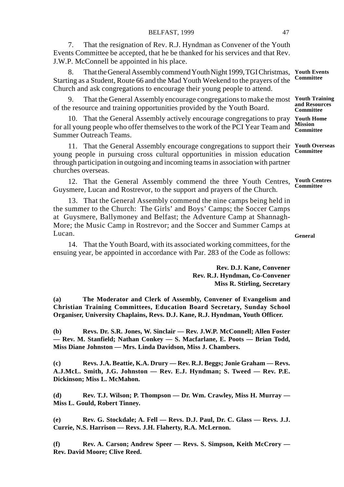7. That the resignation of Rev. R.J. Hyndman as Convener of the Youth Events Committee be accepted, that he be thanked for his services and that Rev. J.W.P. McConnell be appointed in his place.

8. That the General Assembly commend Youth Night 1999, TGI Christmas, Starting as a Student, Route 66 and the Mad Youth Weekend to the prayers of the Church and ask congregations to encourage their young people to attend. **Youth Events Committee**

9. That the General Assembly encourage congregations to make the most **Youth Training** of the resource and training opportunities provided by the Youth Board. **and Resources Committee**

10. That the General Assembly actively encourage congregations to pray **Youth Home** for all young people who offer themselves to the work of the PCI Year Team and Summer Outreach Teams. **Mission Committee**

11. That the General Assembly encourage congregations to support their **Youth Overseas** young people in pursuing cross cultural opportunities in mission education through participation in outgoing and incoming teams in association with partner churches overseas. **Committee**

12. That the General Assembly commend the three Youth Centres, Guysmere, Lucan and Rostrevor, to the support and prayers of the Church. **Youth Centres Committee**

13. That the General Assembly commend the nine camps being held in the summer to the Church: The Girls' and Boys' Camps; the Soccer Camps at Guysmere, Ballymoney and Belfast; the Adventure Camp at Shannagh-More; the Music Camp in Rostrevor; and the Soccer and Summer Camps at Lucan.

14. That the Youth Board, with its associated working committees, for the ensuing year, be appointed in accordance with Par. 283 of the Code as follows:

> **Rev. D.J. Kane, Convener Rev. R.J. Hyndman, Co-Convener Miss R. Stirling, Secretary**

**(a) The Moderator and Clerk of Assembly, Convener of Evangelism and Christian Training Committees, Education Board Secretary, Sunday School Organiser, University Chaplains, Revs. D.J. Kane, R.J. Hyndman, Youth Officer.**

**(b) Revs. Dr. S.R. Jones, W. Sinclair — Rev. J.W.P. McConnell; Allen Foster — Rev. M. Stanfield; Nathan Conkey — S. Macfarlane, E. Poots — Brian Todd, Miss Diane Johnston — Mrs. Linda Davidson, Miss J. Chambers.**

**(c) Revs. J.A. Beattie, K.A. Drury — Rev. R.J. Beggs; Jonie Graham — Revs. A.J.McL. Smith, J.G. Johnston — Rev. E.J. Hyndman; S. Tweed — Rev. P.E. Dickinson; Miss L. McMahon.**

**(d) Rev. T.J. Wilson; P. Thompson — Dr. Wm. Crawley, Miss H. Murray — Miss L. Gould, Robert Tinney.**

**(e) Rev. G. Stockdale; A. Fell — Revs. D.J. Paul, Dr. C. Glass — Revs. J.J. Currie, N.S. Harrison — Revs. J.H. Flaherty, R.A. McLernon.**

**(f) Rev. A. Carson; Andrew Speer — Revs. S. Simpson, Keith McCrory — Rev. David Moore; Clive Reed.**

**General**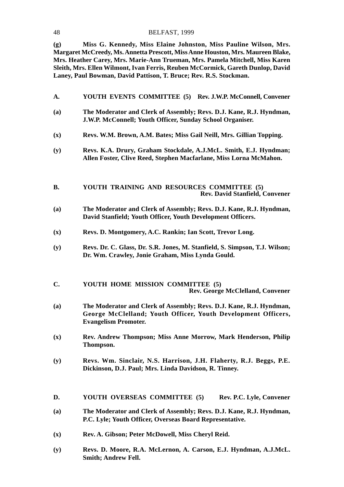#### 48 BELFAST, 1999

**(g) Miss G. Kennedy, Miss Elaine Johnston, Miss Pauline Wilson, Mrs. Margaret McCreedy, Ms. Annetta Prescott, Miss Anne Houston, Mrs. Maureen Blake, Mrs. Heather Carey, Mrs. Marie-Ann Trueman, Mrs. Pamela Mitchell, Miss Karen Sleith, Mrs. Ellen Wilmont, Ivan Ferris, Reuben McCormick, Gareth Dunlop, David Laney, Paul Bowman, David Pattison, T. Bruce; Rev. R.S. Stockman.**

- **A. YOUTH EVENTS COMMITTEE (5) Rev. J.W.P. McConnell, Convener**
- **(a) The Moderator and Clerk of Assembly; Revs. D.J. Kane, R.J. Hyndman, J.W.P. McConnell; Youth Officer, Sunday School Organiser.**
- **(x) Revs. W.M. Brown, A.M. Bates; Miss Gail Neill, Mrs. Gillian Topping.**
- **(y) Revs. K.A. Drury, Graham Stockdale, A.J.McL. Smith, E.J. Hyndman; Allen Foster, Clive Reed, Stephen Macfarlane, Miss Lorna McMahon.**
- **B. YOUTH TRAINING AND RESOURCES COMMITTEE (5) Rev. David Stanfield, Convener**
- **(a) The Moderator and Clerk of Assembly; Revs. D.J. Kane, R.J. Hyndman, David Stanfield; Youth Officer, Youth Development Officers.**
- **(x) Revs. D. Montgomery, A.C. Rankin; Ian Scott, Trevor Long.**
- **(y) Revs. Dr. C. Glass, Dr. S.R. Jones, M. Stanfield, S. Simpson, T.J. Wilson; Dr. Wm. Crawley, Jonie Graham, Miss Lynda Gould.**
- **C. YOUTH HOME MISSION COMMITTEE (5) Rev. George McClelland, Convener**
- **(a) The Moderator and Clerk of Assembly; Revs. D.J. Kane, R.J. Hyndman, George McClelland; Youth Officer, Youth Development Officers, Evangelism Promoter.**
- **(x) Rev. Andrew Thompson; Miss Anne Morrow, Mark Henderson, Philip Thompson.**
- **(y) Revs. Wm. Sinclair, N.S. Harrison, J.H. Flaherty, R.J. Beggs, P.E. Dickinson, D.J. Paul; Mrs. Linda Davidson, R. Tinney.**
- **D. YOUTH OVERSEAS COMMITTEE (5) Rev. P.C. Lyle, Convener**
- **(a) The Moderator and Clerk of Assembly; Revs. D.J. Kane, R.J. Hyndman, P.C. Lyle; Youth Officer, Overseas Board Representative.**
- **(x) Rev. A. Gibson; Peter McDowell, Miss Cheryl Reid.**
- **(y) Revs. D. Moore, R.A. McLernon, A. Carson, E.J. Hyndman, A.J.McL. Smith; Andrew Fell.**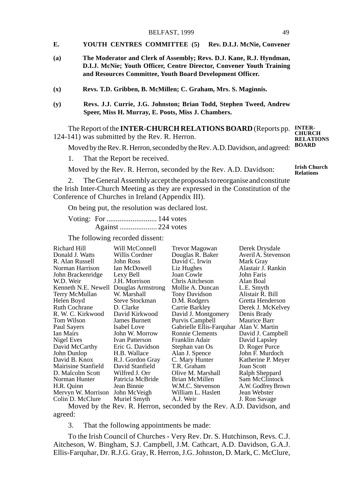- **E. YOUTH CENTRES COMMITTEE (5) Rev. D.I.J. McNie, Convener**
- **(a) The Moderator and Clerk of Assembly; Revs. D.J. Kane, R.J. Hyndman, D.I.J. McNie; Youth Officer, Centre Director, Convener Youth Training and Resources Committee, Youth Board Development Officer.**
- **(x) Revs. T.D. Gribben, B. McMillen; C. Graham, Mrs. S. Maginnis.**
- **(y) Revs. J.J. Currie, J.G. Johnston; Brian Todd, Stephen Tweed, Andrew Speer, Miss H. Murray, E. Poots, Miss J. Chambers.**

The Report of the **INTER-CHURCH RELATIONS BOARD** (Reports pp. **INTER-**124-141) was submitted by the Rev. R. Herron. **CHURCH RELATIONS**

Moved by the Rev. R. Herron, seconded by the Rev. A.D. Davidson, and agreed:

1. That the Report be received.

Moved by the Rev. R. Herron, seconded by the Rev. A.D. Davidson:

**Irish Church Relations**

**BOARD**

2. The General Assembly accept the proposals to reorganise and constitute the Irish Inter-Church Meeting as they are expressed in the Constitution of the Conference of Churches in Ireland (Appendix III).

On being put, the resolution was declared lost.

Voting: For ........................... 144 votes Against .................... 224 votes

The following recorded dissent:

| Richard Hill         | Will McConnell       | Trevor Magowan           | Derek Drysdale      |
|----------------------|----------------------|--------------------------|---------------------|
| Donald J. Watts      | Willis Cordner       | Douglas R. Baker         | Averil A. Stevenson |
| R. Alan Russell      | John Ross            | David C. Irwin           | Mark Gray           |
| Norman Harrison      | Ian McDowell         | Liz Hughes               | Alastair J. Rankin  |
| John Brackenridge    | Lexy Bell            | Joan Cowle               | John Faris          |
| W.D. Weir            | J.H. Morrison        | Chris Aitcheson          | Alan Boal           |
| Kenneth N.E. Newell  | Douglas Armstrong    | Mollie A. Duncan         | L.E. Smyth          |
| Terry McMullan       | W. Marshall          | Tony Davidson            | Alistair R. Bill    |
| Helen Boyd           | Steve Stockman       | D.M. Rodgers             | Gretta Henderson    |
| <b>Ruth Cochrane</b> | D. Clarke            | Carrie Barkley           | Derek J. McKelvey   |
| R. W. C. Kirkwood    | David Kirkwood       | David J. Montgomery      | Denis Brady         |
| Tom Wilson           | <b>James Burnett</b> | Purvis Campbell          | Maurice Barr        |
| Paul Sayers          | Isabel Love          | Gabrielle Ellis-Farquhar | Alan V. Martin      |
| Ian Mairs            | John W. Morrow       | Ronnie Clements          | David J. Campbell   |
| Nigel Eves           | Ivan Patterson       | Franklin Adair           | David Lapsley       |
| David McCarthy       | Eric G. Davidson     | Stephan van Os           | D. Roger Purce      |
| John Dunlop          | H.B. Wallace         | Alan J. Spence           | John F. Murdoch     |
| David B. Knox        | R.J. Gordon Gray     | C. Mary Hunter           | Katherine P. Meyer  |
| Mairisine Stanfield  | David Stanfield      | T.R. Graham              | Joan Scott          |
| D. Malcolm Scott     | Wilfred J. Orr       | Olive M. Marshall        | Ralph Sheppard      |
| Norman Hunter        | Patricia McBride     | Brian McMillen           | Sam McClintock      |
| H.R. Quinn           | Jean Binnie          | W.M.C. Stevenson         | A.W. Godfrey Brown  |
| Mervyn W. Morrison   | John McVeigh         | William L. Haslett       | Jean Webster        |
| Colin D. McClure     | Muriel Smyth         | A.J. Weir                | J. Ron Savage       |

Moved by the Rev. R. Herron, seconded by the Rev. A.D. Davidson, and agreed:

3. That the following appointments be made:

To the Irish Council of Churches - Very Rev. Dr. S. Hutchinson, Revs. C.J. Aitcheson, W. Bingham, S.J. Campbell, J.M. Cathcart, A.D. Davidson, G.A.J. Ellis-Farquhar, Dr. R.J.G. Gray, R. Herron, J.G. Johnston, D. Mark, C. McClure,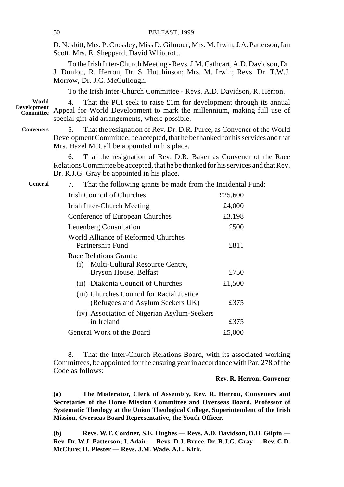D. Nesbitt, Mrs. P. Crossley, Miss D. Gilmour, Mrs. M. Irwin, J.A. Patterson, Ian Scott, Mrs. E. Sheppard, David Whitcroft.

To the Irish Inter-Church Meeting - Revs. J.M. Cathcart, A.D. Davidson, Dr. J. Dunlop, R. Herron, Dr. S. Hutchinson; Mrs. M. Irwin; Revs. Dr. T.W.J. Morrow, Dr. J.C. McCullough.

To the Irish Inter-Church Committee - Revs. A.D. Davidson, R. Herron.

4. That the PCI seek to raise £1m for development through its annual Appeal for World Development to mark the millennium, making full use of special gift-aid arrangements, where possible. **World Development Committee**

**Conveners**

5. That the resignation of Rev. Dr. D.R. Purce, as Convener of the World Development Committee, be accepted, that he be thanked for his services and that Mrs. Hazel McCall be appointed in his place.

6. That the resignation of Rev. D.R. Baker as Convener of the Race Relations Committee be accepted, that he be thanked for his services and that Rev. Dr. R.J.G. Gray be appointed in his place.

**General**

7. That the following grants be made from the Incidental Fund:

| Irish Council of Churches                                                     | £25,600 |
|-------------------------------------------------------------------------------|---------|
| Irish Inter-Church Meeting                                                    | £4,000  |
| Conference of European Churches                                               | £3,198  |
| Leuenberg Consultation                                                        | £500    |
| World Alliance of Reformed Churches<br>Partnership Fund                       | £811    |
| Race Relations Grants:                                                        |         |
| Multi-Cultural Resource Centre,<br>(i)                                        |         |
| Bryson House, Belfast                                                         | £750    |
| (ii) Diakonia Council of Churches                                             | £1,500  |
| (iii) Churches Council for Racial Justice<br>(Refugees and Asylum Seekers UK) | £375    |
| (iv) Association of Nigerian Asylum-Seekers                                   |         |
| in Ireland                                                                    | £375    |
| General Work of the Board                                                     | £5,000  |

8. That the Inter-Church Relations Board, with its associated working Committees, be appointed for the ensuing year in accordance with Par. 278 of the Code as follows:

# **Rev. R. Herron, Convener**

**(a) The Moderator, Clerk of Assembly, Rev. R. Herron, Conveners and Secretaries of the Home Mission Committee and Overseas Board, Professor of Systematic Theology at the Union Theological College, Superintendent of the Irish Mission, Overseas Board Representative, the Youth Officer.**

**(b) Revs. W.T. Cordner, S.E. Hughes — Revs. A.D. Davidson, D.H. Gilpin — Rev. Dr. W.J. Patterson; I. Adair — Revs. D.J. Bruce, Dr. R.J.G. Gray — Rev. C.D. McClure; H. Plester — Revs. J.M. Wade, A.L. Kirk.**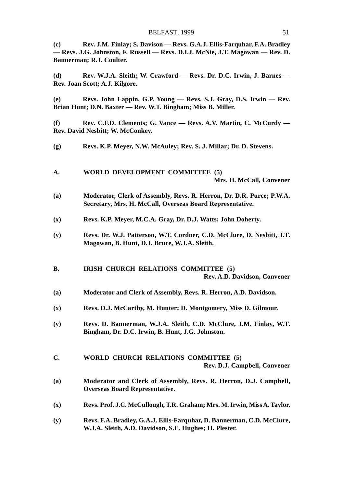**(c) Rev. J.M. Finlay; S. Davison — Revs. G.A.J. Ellis-Farquhar, F.A. Bradley — Revs. J.G. Johnston, F. Russell — Revs. D.I.J. McNie, J.T. Magowan — Rev. D. Bannerman; R.J. Coulter.**

**(d) Rev. W.J.A. Sleith; W. Crawford — Revs. Dr. D.C. Irwin, J. Barnes — Rev. Joan Scott; A.J. Kilgore.**

**(e) Revs. John Lappin, G.P. Young — Revs. S.J. Gray, D.S. Irwin — Rev. Brian Hunt; D.N. Baxter — Rev. W.T. Bingham; Miss B. Miller.**

**(f) Rev. C.F.D. Clements; G. Vance — Revs. A.V. Martin, C. McCurdy — Rev. David Nesbitt; W. McConkey.**

- **(g) Revs. K.P. Meyer, N.W. McAuley; Rev. S. J. Millar; Dr. D. Stevens.**
- **A. WORLD DEVELOPMENT COMMITTEE (5) Mrs. H. McCall, Convener**
- **(a) Moderator, Clerk of Assembly, Revs. R. Herron, Dr. D.R. Purce; P.W.A. Secretary, Mrs. H. McCall, Overseas Board Representative.**
- **(x) Revs. K.P. Meyer, M.C.A. Gray, Dr. D.J. Watts; John Doherty.**
- **(y) Revs. Dr. W.J. Patterson, W.T. Cordner, C.D. McClure, D. Nesbitt, J.T. Magowan, B. Hunt, D.J. Bruce, W.J.A. Sleith.**
- **B. IRISH CHURCH RELATIONS COMMITTEE (5) Rev. A.D. Davidson, Convener**
- **(a) Moderator and Clerk of Assembly, Revs. R. Herron, A.D. Davidson.**
- **(x) Revs. D.J. McCarthy, M. Hunter; D. Montgomery, Miss D. Gilmour.**
- **(y) Revs. D. Bannerman, W.J.A. Sleith, C.D. McClure, J.M. Finlay, W.T. Bingham, Dr. D.C. Irwin, B. Hunt, J.G. Johnston.**

#### **C. WORLD CHURCH RELATIONS COMMITTEE (5) Rev. D.J. Campbell, Convener**

- **(a) Moderator and Clerk of Assembly, Revs. R. Herron, D.J. Campbell, Overseas Board Representative.**
- **(x) Revs. Prof. J.C. McCullough, T.R. Graham; Mrs. M. Irwin, Miss A. Taylor.**
- **(y) Revs. F.A. Bradley, G.A.J. Ellis-Farquhar, D. Bannerman, C.D. McClure, W.J.A. Sleith, A.D. Davidson, S.E. Hughes; H. Plester.**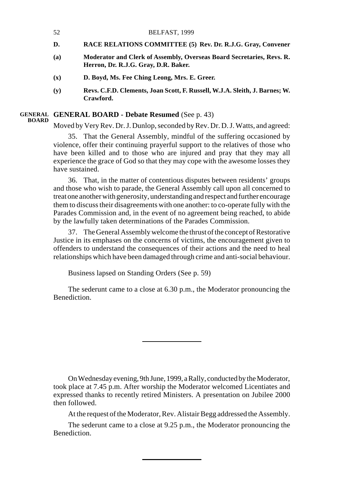- 52 BELFAST, 1999
- **D. RACE RELATIONS COMMITTEE (5) Rev. Dr. R.J.G. Gray, Convener**
- **(a) Moderator and Clerk of Assembly, Overseas Board Secretaries, Revs. R. Herron, Dr. R.J.G. Gray, D.R. Baker.**
- **(x) D. Boyd, Ms. Fee Ching Leong, Mrs. E. Greer.**
- **(y) Revs. C.F.D. Clements, Joan Scott, F. Russell, W.J.A. Sleith, J. Barnes; W. Crawford.**

#### **GENERAL BOARD - Debate Resumed** (See p. 43) **GENERAL BOARD**

Moved by Very Rev. Dr. J. Dunlop, seconded by Rev. Dr. D. J. Watts, and agreed:

35. That the General Assembly, mindful of the suffering occasioned by violence, offer their continuing prayerful support to the relatives of those who have been killed and to those who are injured and pray that they may all experience the grace of God so that they may cope with the awesome losses they have sustained.

36. That, in the matter of contentious disputes between residents' groups and those who wish to parade, the General Assembly call upon all concerned to treat one another with generosity, understanding and respect and further encourage them to discuss their disagreements with one another: to co-operate fully with the Parades Commission and, in the event of no agreement being reached, to abide by the lawfully taken determinations of the Parades Commission.

37. The General Assembly welcome the thrust of the concept of Restorative Justice in its emphases on the concerns of victims, the encouragement given to offenders to understand the consequences of their actions and the need to heal relationships which have been damaged through crime and anti-social behaviour.

Business lapsed on Standing Orders (See p. 59)

The sederunt came to a close at 6.30 p.m., the Moderator pronouncing the Benediction.

On Wednesday evening, 9th June, 1999, a Rally, conducted by the Moderator, took place at 7.45 p.m. After worship the Moderator welcomed Licentiates and expressed thanks to recently retired Ministers. A presentation on Jubilee 2000 then followed.

At the request of the Moderator, Rev. Alistair Begg addressed the Assembly.

The sederunt came to a close at 9.25 p.m., the Moderator pronouncing the Benediction.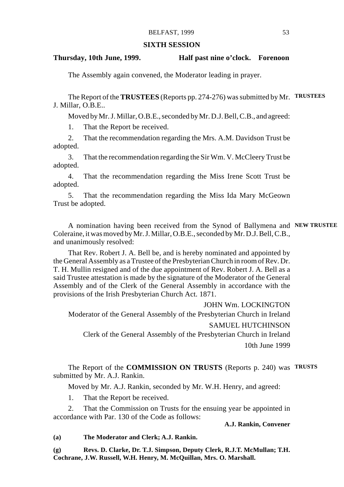## **SIXTH SESSION**

## **Thursday, 10th June, 1999. Half past nine o'clock. Forenoon**

The Assembly again convened, the Moderator leading in prayer.

The Report of the **TRUSTEES** (Reports pp. 274-276) was submitted by Mr. **TRUSTEES** J. Millar, O.B.E..

Moved by Mr. J. Millar, O.B.E., seconded by Mr. D.J. Bell, C.B., and agreed:

1. That the Report be received.

2. That the recommendation regarding the Mrs. A.M. Davidson Trust be adopted.

3. That the recommendation regarding the Sir Wm. V. McCleery Trust be adopted.

4. That the recommendation regarding the Miss Irene Scott Trust be adopted.

5. That the recommendation regarding the Miss Ida Mary McGeown Trust be adopted.

A nomination having been received from the Synod of Ballymena and **NEW TRUSTEE** Coleraine, it was moved by Mr. J. Millar, O.B.E., seconded by Mr. D.J. Bell, C.B., and unanimously resolved:

That Rev. Robert J. A. Bell be, and is hereby nominated and appointed by the General Assembly as a Trustee of the Presbyterian Church in room of Rev. Dr. T. H. Mullin resigned and of the due appointment of Rev. Robert J. A. Bell as a said Trustee attestation is made by the signature of the Moderator of the General Assembly and of the Clerk of the General Assembly in accordance with the provisions of the Irish Presbyterian Church Act. 1871.

JOHN Wm. LOCKINGTON Moderator of the General Assembly of the Presbyterian Church in Ireland SAMUEL HUTCHINSON Clerk of the General Assembly of the Presbyterian Church in Ireland 10th June 1999

The Report of the **COMMISSION ON TRUSTS** (Reports p. 240) was **TRUSTS**submitted by Mr. A.J. Rankin.

Moved by Mr. A.J. Rankin, seconded by Mr. W.H. Henry, and agreed:

1. That the Report be received.

2. That the Commission on Trusts for the ensuing year be appointed in accordance with Par. 130 of the Code as follows:

# **A.J. Rankin, Convener**

**(a) The Moderator and Clerk; A.J. Rankin.**

**(g) Revs. D. Clarke, Dr. T.J. Simpson, Deputy Clerk, R.J.T. McMullan; T.H. Cochrane, J.W. Russell, W.H. Henry, M. McQuillan, Mrs. O. Marshall.**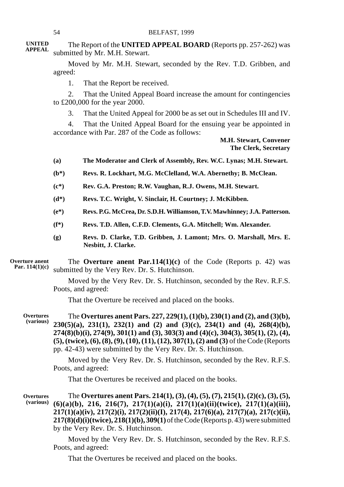The Report of the **UNITED APPEAL BOARD** (Reports pp. 257-262) was submitted by Mr. M.H. Stewart. **UNITED APPEAL**

> Moved by Mr. M.H. Stewart, seconded by the Rev. T.D. Gribben, and agreed:

1. That the Report be received.

2. That the United Appeal Board increase the amount for contingencies to £200,000 for the year 2000.

3. That the United Appeal for 2000 be as set out in Schedules III and IV.

4. That the United Appeal Board for the ensuing year be appointed in accordance with Par. 287 of the Code as follows:

# **M.H. Stewart, Convener The Clerk, Secretary**

- **(a) The Moderator and Clerk of Assembly, Rev. W.C. Lynas; M.H. Stewart.**
- **(b\*) Revs. R. Lockhart, M.G. McClelland, W.A. Abernethy; B. McClean.**
- **(c\*) Rev. G.A. Preston; R.W. Vaughan, R.J. Owens, M.H. Stewart.**
- **(d\*) Revs. T.C. Wright, V. Sinclair, H. Courtney; J. McKibben.**
- **(e\*) Revs. P.G. McCrea, Dr. S.D.H. Williamson, T.V. Mawhinney; J.A. Patterson.**
- **(f\*) Revs. T.D. Allen, C.F.D. Clements, G.A. Mitchell; Wm. Alexander.**
- **(g) Revs. D. Clarke, T.D. Gribben, J. Lamont; Mrs. O. Marshall, Mrs. E. Nesbitt, J. Clarke.**

The **Overture anent Par.114(1)(c)** of the Code (Reports p. 42) was submitted by the Very Rev. Dr. S. Hutchinson. **Overture anent Par. 114(1)(c)**

> Moved by the Very Rev. Dr. S. Hutchinson, seconded by the Rev. R.F.S. Poots, and agreed:

That the Overture be received and placed on the books.

The **Overtures anent Pars. 227, 229(1), (1)(b), 230(1) and (2), and (3)(b), 230(5)(a), 231(1), 232(1) and (2) and (3)(c), 234(1) and (4), 268(4)(b), 274(8)(b)(i), 274(9), 301(1) and (3), 303(3) and (4)(c), 304(3), 305(1), (2), (4), (5), (twice), (6), (8), (9), (10), (11), (12), 307(1), (2) and (3)** of the Code (Reports pp. 42-43) were submitted by the Very Rev. Dr. S. Hutchinson. **Overtures (various)**

> Moved by the Very Rev. Dr. S. Hutchinson, seconded by the Rev. R.F.S. Poots, and agreed:

That the Overtures be received and placed on the books.

The **Overtures anent Pars. 214(1), (3), (4), (5), (7), 215(1), (2)(c), (3), (5), (6)(a)(b), 216, 216(7), 217(1)(a)(i), 217(1)(a)(ii)(twice), 217(1)(a)(iii), 217(1)(a)(iv), 217(2)(i), 217(2)(ii)(I), 217(4), 217(6)(a), 217(7)(a), 217(c)(ii), 217(8)(d)(i)(twice), 218(1)(b), 309(1)** of the Code (Reports p. 43) were submitted by the Very Rev. Dr. S. Hutchinson. **Overtures (various)**

> Moved by the Very Rev. Dr. S. Hutchinson, seconded by the Rev. R.F.S. Poots, and agreed:

That the Overtures be received and placed on the books.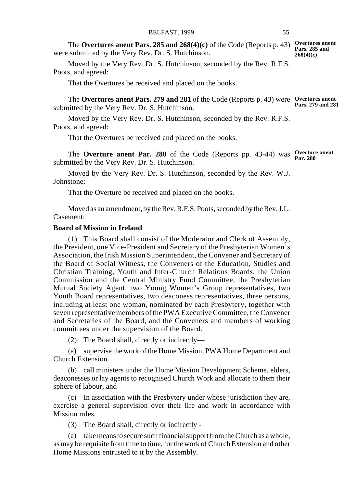The **Overtures anent Pars. 285 and 268(4)(c)** of the Code (Reports p. 43) **Overtures anent Pars. 285 and** were submitted by the Very Rev. Dr. S. Hutchinson. **268(4)(c)**

Moved by the Very Rev. Dr. S. Hutchinson, seconded by the Rev. R.F.S. Poots, and agreed:

That the Overtures be received and placed on the books.

The **Overtures anent Pars. 279 and 281** of the Code (Reports p. 43) were **Overtures anent** submitted by the Very Rev. Dr. S. Hutchinson. **Pars. 279 and 281**

Moved by the Very Rev. Dr. S. Hutchinson, seconded by the Rev. R.F.S. Poots, and agreed:

That the Overtures be received and placed on the books.

The **Overture anent Par. 280** of the Code (Reports pp. 43-44) was **Overture anent** submitted by the Very Rev. Dr. S. Hutchinson.

Moved by the Very Rev. Dr. S. Hutchinson, seconded by the Rev. W.J. Johnstone:

That the Overture be received and placed on the books.

Moved as an amendment, by the Rev. R.F.S. Poots, seconded by the Rev. J.L. Casement:

# **Board of Mission in Ireland**

(1) This Board shall consist of the Moderator and Clerk of Assembly, the President, one Vice-President and Secretary of the Presbyterian Women's Association, the Irish Mission Superintendent, the Convener and Secretary of the Board of Social Witness, the Conveners of the Education, Studies and Christian Training, Youth and Inter-Church Relations Boards, the Union Commission and the Central Ministry Fund Committee, the Presbyterian Mutual Society Agent, two Young Women's Group representatives, two Youth Board representatives, two deaconess representatives, three persons, including at least one woman, nominated by each Presbytery, together with seven representative members of the PWA Executive Committee, the Convener and Secretaries of the Board, and the Conveners and members of working committees under the supervision of the Board.

(2) The Board shall, directly or indirectly—

(a) supervise the work of the Home Mission, PWA Home Department and Church Extension.

(b) call ministers under the Home Mission Development Scheme, elders, deaconesses or lay agents to recognised Church Work and allocate to them their sphere of labour, and

(c) In association with the Presbytery under whose jurisdiction they are, exercise a general supervision over their life and work in accordance with Mission rules.

(3) The Board shall, directly or indirectly -

(a) take means to secure such financial support from the Church as a whole, as may be requisite from time to time, for the work of Church Extension and other Home Missions entrusted to it by the Assembly.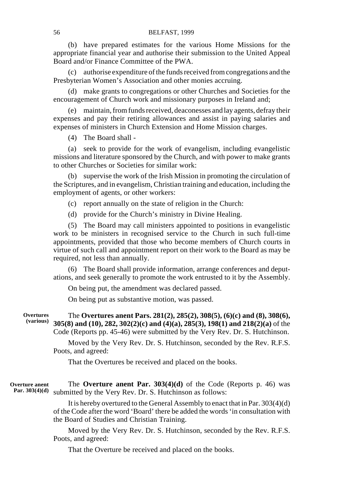(b) have prepared estimates for the various Home Missions for the appropriate financial year and authorise their submission to the United Appeal Board and/or Finance Committee of the PWA.

(c) authorise expenditure of the funds received from congregations and the Presbyterian Women's Association and other monies accruing.

(d) make grants to congregations or other Churches and Societies for the encouragement of Church work and missionary purposes in Ireland and;

(e) maintain, from funds received, deaconesses and lay agents, defray their expenses and pay their retiring allowances and assist in paying salaries and expenses of ministers in Church Extension and Home Mission charges.

(4) The Board shall -

(a) seek to provide for the work of evangelism, including evangelistic missions and literature sponsored by the Church, and with power to make grants to other Churches or Societies for similar work:

(b) supervise the work of the Irish Mission in promoting the circulation of the Scriptures, and in evangelism, Christian training and education, including the employment of agents, or other workers:

(c) report annually on the state of religion in the Church:

(d) provide for the Church's ministry in Divine Healing.

(5) The Board may call ministers appointed to positions in evangelistic work to be ministers in recognised service to the Church in such full-time appointments, provided that those who become members of Church courts in virtue of such call and appointment report on their work to the Board as may be required, not less than annually.

(6) The Board shall provide information, arrange conferences and deputations, and seek generally to promote the work entrusted to it by the Assembly.

On being put, the amendment was declared passed.

On being put as substantive motion, was passed.

The **Overtures anent Pars. 281(2), 285(2), 308(5), (6)(c) and (8), 308(6), 305(8) and (10), 282, 302(2)(c) and (4)(a), 285(3), 198(1) and 218(2)(a)** of the Code (Reports pp. 45-46) were submitted by the Very Rev. Dr. S. Hutchinson. **Overtures (various)**

> Moved by the Very Rev. Dr. S. Hutchinson, seconded by the Rev. R.F.S. Poots, and agreed:

That the Overtures be received and placed on the books.

The **Overture anent Par. 303(4)(d)** of the Code (Reports p. 46) was Par. 303(4)(d) submitted by the Very Rev. Dr. S. Hutchinson as follows: **Overture anent**

> It is hereby overtured to the General Assembly to enact that in Par. 303(4)(d) of the Code after the word 'Board' there be added the words 'in consultation with the Board of Studies and Christian Training.

> Moved by the Very Rev. Dr. S. Hutchinson, seconded by the Rev. R.F.S. Poots, and agreed:

That the Overture be received and placed on the books.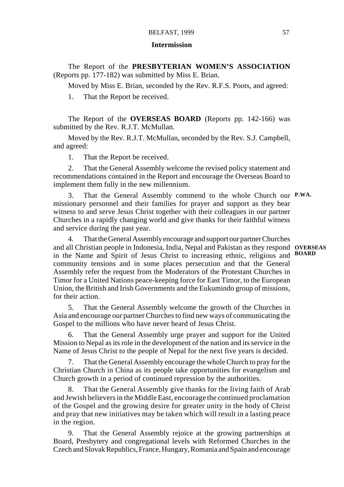#### **Intermission**

The Report of the **PRESBYTERIAN WOMEN'S ASSOCIATION** (Reports pp. 177-182) was submitted by Miss E. Brian.

Moved by Miss E. Brian, seconded by the Rev. R.F.S. Poots, and agreed:

1. That the Report be received.

The Report of the **OVERSEAS BOARD** (Reports pp. 142-166) was submitted by the Rev. R.J.T. McMullan.

Moved by the Rev. R.J.T. McMullan, seconded by the Rev. S.J. Campbell, and agreed:

1. That the Report be received.

2. That the General Assembly welcome the revised policy statement and recommendations contained in the Report and encourage the Overseas Board to implement them fully in the new millennium.

3. That the General Assembly commend to the whole Church our **P.WA.** missionary personnel and their families for prayer and support as they bear witness to and serve Jesus Christ together with their colleagues in our partner Churches in a rapidly changing world and give thanks for their faithful witness and service during the past year.

4. That the General Assembly encourage and support our partner Churches and all Christian people in Indonesia, India, Nepal and Pakistan as they respond **OVERSEAS** in the Name and Spirit of Jesus Christ to increasing ethnic, religious and **BOARD**community tensions and in some places persecution and that the General Assembly refer the request from the Moderators of the Protestant Churches in Timor for a United Nations peace-keeping force for East Timor, to the European Union, the British and Irish Governments and the Eukumindo group of missions, for their action.

5. That the General Assembly welcome the growth of the Churches in Asia and encourage our partner Churches to find new ways of communicating the Gospel to the millions who have never heard of Jesus Christ.

6. That the General Assembly urge prayer and support for the United Mission to Nepal as its role in the development of the nation and its service in the Name of Jesus Christ to the people of Nepal for the next five years is decided.

That the General Assembly encourage the whole Church to pray for the Christian Church in China as its people take opportunities for evangelism and Church growth in a period of continued repression by the authorities.

8. That the General Assembly give thanks for the living faith of Arab and Jewish believers in the Middle East, encourage the continued proclamation of the Gospel and the growing desire for greater unity in the body of Christ and pray that new initiatives may be taken which will result in a lasting peace in the region.

9. That the General Assembly rejoice at the growing partnerships at Board, Presbytery and congregational levels with Reformed Churches in the Czech and Slovak Republics, France, Hungary, Romania and Spain and encourage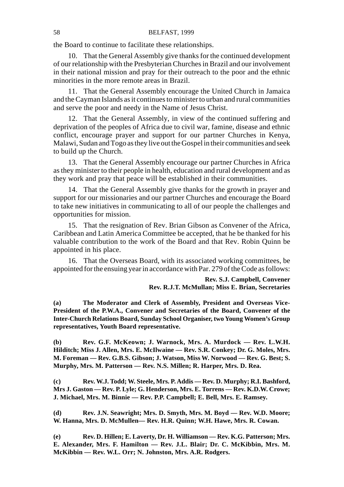the Board to continue to facilitate these relationships.

10. That the General Assembly give thanks for the continued development of our relationship with the Presbyterian Churches in Brazil and our involvement in their national mission and pray for their outreach to the poor and the ethnic minorities in the more remote areas in Brazil.

11. That the General Assembly encourage the United Church in Jamaica and the Cayman Islands as it continues to minister to urban and rural communities and serve the poor and needy in the Name of Jesus Christ.

12. That the General Assembly, in view of the continued suffering and deprivation of the peoples of Africa due to civil war, famine, disease and ethnic conflict, encourage prayer and support for our partner Churches in Kenya, Malawi, Sudan and Togo as they live out the Gospel in their communities and seek to build up the Church.

13. That the General Assembly encourage our partner Churches in Africa as they minister to their people in health, education and rural development and as they work and pray that peace will be established in their communities.

14. That the General Assembly give thanks for the growth in prayer and support for our missionaries and our partner Churches and encourage the Board to take new initiatives in communicating to all of our people the challenges and opportunities for mission.

15. That the resignation of Rev. Brian Gibson as Convener of the Africa, Caribbean and Latin America Committee be accepted, that he be thanked for his valuable contribution to the work of the Board and that Rev. Robin Quinn be appointed in his place.

16. That the Overseas Board, with its associated working committees, be appointed for the ensuing year in accordance with Par. 279 of the Code as follows:

> **Rev. S.J. Campbell, Convener Rev. R.J.T. McMullan; Miss E. Brian, Secretaries**

**(a) The Moderator and Clerk of Assembly, President and Overseas Vice-President of the P.W.A., Convener and Secretaries of the Board, Convener of the Inter-Church Relations Board, Sunday School Organiser, two Young Women's Group representatives, Youth Board representative.**

**(b) Rev. G.F. McKeown; J. Warnock, Mrs. A. Murdock — Rev. L.W.H. Hilditch; Miss J. Allen, Mrs. E. McIlwaine — Rev. S.R. Conkey; Dr. G. Moles, Mrs. M. Foreman — Rev. G.B.S. Gibson; J. Watson, Miss W. Norwood — Rev. G. Best; S. Murphy, Mrs. M. Patterson — Rev. N.S. Millen; R. Harper, Mrs. D. Rea.**

**(c) Rev. W.J. Todd; W. Steele, Mrs. P. Addis — Rev. D. Murphy; R.I. Bashford, Mrs J. Gaston — Rev. P. Lyle; G. Henderson, Mrs. E. Torrens — Rev. K.D.W. Crowe; J. Michael, Mrs. M. Binnie — Rev. P.P. Campbell; E. Bell, Mrs. E. Ramsey.**

**(d) Rev. J.N. Seawright; Mrs. D. Smyth, Mrs. M. Boyd — Rev. W.D. Moore; W. Hanna, Mrs. D. McMullen— Rev. H.R. Quinn; W.H. Hawe, Mrs. R. Cowan.**

**(e) Rev. D. Hillen; E. Laverty, Dr. H. Williamson — Rev. K.G. Patterson; Mrs. E. Alexander, Mrs. F. Hamilton — Rev. J.L. Blair; Dr. C. McKibbin, Mrs. M. McKibbin — Rev. W.L. Orr; N. Johnston, Mrs. A.R. Rodgers.**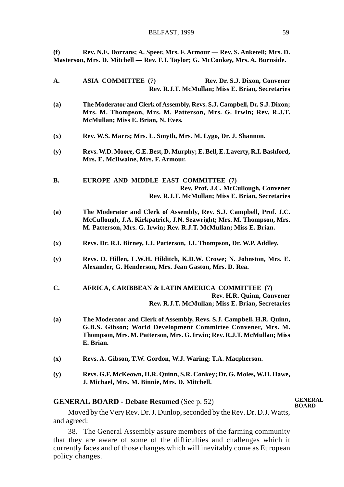**(f) Rev. N.E. Dorrans; A. Speer, Mrs. F. Armour — Rev. S. Anketell; Mrs. D. Masterson, Mrs. D. Mitchell — Rev. F.J. Taylor; G. McConkey, Mrs. A. Burnside.**

**A. ASIA COMMITTEE (7) Rev. Dr. S.J. Dixon, Convener Rev. R.J.T. McMullan; Miss E. Brian, Secretaries (a) The Moderator and Clerk of Assembly, Revs. S.J. Campbell, Dr. S.J. Dixon; Mrs. M. Thompson, Mrs. M. Patterson, Mrs. G. Irwin; Rev. R.J.T. McMullan; Miss E. Brian, N. Eves. (x) Rev. W.S. Marrs; Mrs. L. Smyth, Mrs. M. Lygo, Dr. J. Shannon. (y) Revs. W.D. Moore, G.E. Best, D. Murphy; E. Bell, E. Laverty, R.I. Bashford, Mrs. E. McIlwaine, Mrs. F. Armour. B. EUROPE AND MIDDLE EAST COMMITTEE (7) Rev. Prof. J.C. McCullough, Convener Rev. R.J.T. McMullan; Miss E. Brian, Secretaries (a) The Moderator and Clerk of Assembly, Rev. S.J. Campbell, Prof. J.C. McCullough, J.A. Kirkpatrick, J.N. Seawright; Mrs. M. Thompson, Mrs. M. Patterson, Mrs. G. Irwin; Rev. R.J.T. McMullan; Miss E. Brian. (x) Revs. Dr. R.I. Birney, I.J. Patterson, J.I. Thompson, Dr. W.P. Addley. (y) Revs. D. Hillen, L.W.H. Hilditch, K.D.W. Crowe; N. Johnston, Mrs. E. Alexander, G. Henderson, Mrs. Jean Gaston, Mrs. D. Rea. C. AFRICA, CARIBBEAN & LATIN AMERICA COMMITTEE (7) Rev. H.R. Quinn, Convener Rev. R.J.T. McMullan; Miss E. Brian, Secretaries (a) The Moderator and Clerk of Assembly, Revs. S.J. Campbell, H.R. Quinn, G.B.S. Gibson; World Development Committee Convener, Mrs. M. Thompson, Mrs. M. Patterson, Mrs. G. Irwin; Rev. R.J.T. McMullan; Miss E. Brian. (x) Revs. A. Gibson, T.W. Gordon, W.J. Waring; T.A. Macpherson. (y) Revs. G.F. McKeown, H.R. Quinn, S.R. Conkey; Dr. G. Moles, W.H. Hawe, J. Michael, Mrs. M. Binnie, Mrs. D. Mitchell.**

#### **GENERAL BOARD - Debate Resumed** (See p. 52)

**GENERAL BOARD**

Moved by the Very Rev. Dr. J. Dunlop, seconded by the Rev. Dr. D.J. Watts, and agreed:

38. The General Assembly assure members of the farming community that they are aware of some of the difficulties and challenges which it currently faces and of those changes which will inevitably come as European policy changes.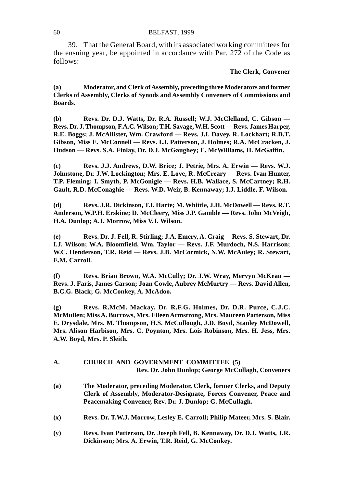## 60 BELFAST, 1999

39. That the General Board, with its associated working committees for the ensuing year, be appointed in accordance with Par. 272 of the Code as follows:

### **The Clerk, Convener**

**(a) Moderator, and Clerk of Assembly, preceding three Moderators and former Clerks of Assembly, Clerks of Synods and Assembly Conveners of Commissions and Boards.**

**(b) Revs. Dr. D.J. Watts, Dr. R.A. Russell; W.J. McClelland, C. Gibson — Revs. Dr. J. Thompson, F.A.C. Wilson; T.H. Savage, W.H. Scott — Revs. James Harper, R.E. Boggs; J. McAllister, Wm. Crawford — Revs. J.I. Davey, R. Lockhart; R.D.T. Gibson, Miss E. McConnell — Revs. I.J. Patterson, J. Holmes; R.A. McCracken, J. Hudson — Revs. S.A. Finlay, Dr. D.J. McGaughey; E. McWilliams, H. McGaffin.**

**(c) Revs. J.J. Andrews, D.W. Brice; J. Petrie, Mrs. A. Erwin — Revs. W.J. Johnstone, Dr. J.W. Lockington; Mrs. E. Love, R. McCreary — Revs. Ivan Hunter, T.P. Fleming; I. Smyth, P. McGonigle — Revs. H.B. Wallace, S. McCartney; R.H. Gault, R.D. McConaghie — Revs. W.D. Weir, B. Kennaway; I.J. Liddle, F. Wilson.**

**(d) Revs. J.R. Dickinson, T.I. Harte; M. Whittle, J.H. McDowell — Revs. R.T. Anderson, W.P.H. Erskine; D. McCleery, Miss J.P. Gamble — Revs. John McVeigh, H.A. Dunlop; A.J. Morrow, Miss V.J. Wilson.**

**(e) Revs. Dr. J. Fell, R. Stirling; J.A. Emery, A. Craig —Revs. S. Stewart, Dr. I.J. Wilson; W.A. Bloomfield, Wm. Taylor — Revs. J.F. Murdoch, N.S. Harrison; W.C. Henderson, T.R. Reid — Revs. J.B. McCormick, N.W. McAuley; R. Stewart, E.M. Carroll.**

**(f) Revs. Brian Brown, W.A. McCully; Dr. J.W. Wray, Mervyn McKean — Revs. J. Faris, James Carson; Joan Cowle, Aubrey McMurtry — Revs. David Allen, B.C.G. Black; G. McConkey, A. McAdoo.**

**(g) Revs. R.McM. Mackay, Dr. R.F.G. Holmes, Dr. D.R. Purce, C.J.C. McMullen; Miss A. Burrows, Mrs. Eileen Armstrong, Mrs. Maureen Patterson, Miss E. Drysdale, Mrs. M. Thompson, H.S. McCullough, J.D. Boyd, Stanley McDowell, Mrs. Alison Harbison, Mrs. C. Poynton, Mrs. Lois Robinson, Mrs. H. Jess, Mrs. A.W. Boyd, Mrs. P. Sleith.**

| A. |  | CHURCH AND GOVERNMENT COMMITTEE (5)               |  |
|----|--|---------------------------------------------------|--|
|    |  | Rev. Dr. John Dunlop; George McCullagh, Conveners |  |

- **(a) The Moderator, preceding Moderator, Clerk, former Clerks, and Deputy Clerk of Assembly, Moderator-Designate, Forces Convener, Peace and Peacemaking Convener, Rev. Dr. J. Dunlop; G. McCullagh.**
- **(x) Revs. Dr. T.W.J. Morrow, Lesley E. Carroll; Philip Mateer, Mrs. S. Blair.**
- **(y) Revs. Ivan Patterson, Dr. Joseph Fell, B. Kennaway, Dr. D.J. Watts, J.R. Dickinson; Mrs. A. Erwin, T.R. Reid, G. McConkey.**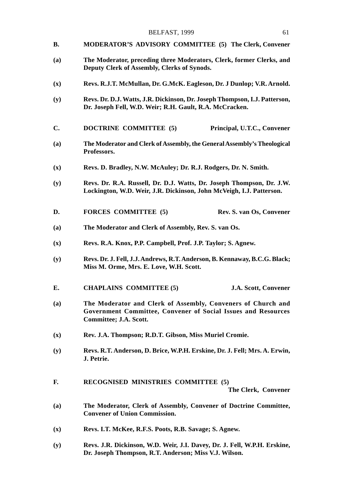- **B. MODERATOR'S ADVISORY COMMITTEE (5) The Clerk, Convener**
- **(a) The Moderator, preceding three Moderators, Clerk, former Clerks, and Deputy Clerk of Assembly, Clerks of Synods.**
- **(x) Revs. R.J.T. McMullan, Dr. G.McK. Eagleson, Dr. J Dunlop; V.R. Arnold.**
- **(y) Revs. Dr. D.J. Watts, J.R. Dickinson, Dr. Joseph Thompson, I.J. Patterson, Dr. Joseph Fell, W.D. Weir; R.H. Gault, R.A. McCracken.**
- **C. DOCTRINE COMMITTEE (5) Principal, U.T.C., Convener**
- **(a) The Moderator and Clerk of Assembly, the General Assembly's Theological Professors.**
- **(x) Revs. D. Bradley, N.W. McAuley; Dr. R.J. Rodgers, Dr. N. Smith.**
- **(y) Revs. Dr. R.A. Russell, Dr. D.J. Watts, Dr. Joseph Thompson, Dr. J.W. Lockington, W.D. Weir, J.R. Dickinson, John McVeigh, I.J. Patterson.**
- **D. FORCES COMMITTEE (5) Rev. S. van Os, Convener**
- **(a) The Moderator and Clerk of Assembly, Rev. S. van Os.**
- **(x) Revs. R.A. Knox, P.P. Campbell, Prof. J.P. Taylor; S. Agnew.**
- **(y) Revs. Dr. J. Fell, J.J. Andrews, R.T. Anderson, B. Kennaway, B.C.G. Black; Miss M. Orme, Mrs. E. Love, W.H. Scott.**
- **E. CHAPLAINS COMMITTEE (5) J.A. Scott, Convener**
- **(a) The Moderator and Clerk of Assembly, Conveners of Church and Government Committee, Convener of Social Issues and Resources Committee; J.A. Scott.**
- **(x) Rev. J.A. Thompson; R.D.T. Gibson, Miss Muriel Cromie.**
- **(y) Revs. R.T. Anderson, D. Brice, W.P.H. Erskine, Dr. J. Fell; Mrs. A. Erwin, J. Petrie.**
- **F. RECOGNISED MINISTRIES COMMITTEE (5)**

**The Clerk, Convener**

- **(a) The Moderator, Clerk of Assembly, Convener of Doctrine Committee, Convener of Union Commission.**
- **(x) Revs. I.T. McKee, R.F.S. Poots, R.B. Savage; S. Agnew.**
- **(y) Revs. J.R. Dickinson, W.D. Weir, J.I. Davey, Dr. J. Fell, W.P.H. Erskine, Dr. Joseph Thompson, R.T. Anderson; Miss V.J. Wilson.**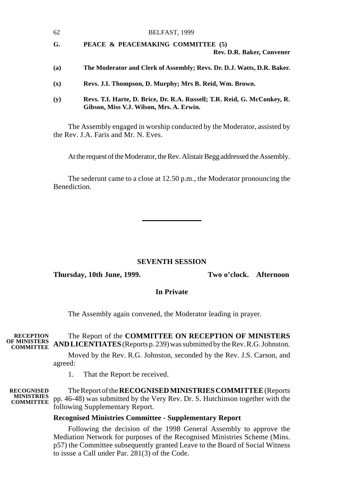| 62  | BELFAST, 1999                                                                                                        |  |
|-----|----------------------------------------------------------------------------------------------------------------------|--|
| G.  | PEACE & PEACEMAKING COMMITTEE (5)                                                                                    |  |
|     | Rev. D.R. Baker, Convener                                                                                            |  |
| (a) | The Moderator and Clerk of Assembly; Revs. Dr. D.J. Watts, D.R. Baker.                                               |  |
| (x) | Revs. J.I. Thompson, D. Murphy; Mrs B. Reid, Wm. Brown.                                                              |  |
| (y) | Revs. T.I. Harte, D. Brice, Dr. R.A. Russell; T.R. Reid, G. McConkey, R.<br>Gibson, Miss V.J. Wilson, Mrs. A. Erwin. |  |

The Assembly engaged in worship conducted by the Moderator, assisted by the Rev. J.A. Faris and Mr. N. Eves.

At the request of the Moderator, the Rev. Alistair Begg addressed the Assembly.

The sederunt came to a close at 12.50 p.m., the Moderator pronouncing the Benediction.

# **SEVENTH SESSION**

#### **Thursday, 10th June, 1999. Two o'clock. Afternoon**

#### **In Private**

The Assembly again convened, the Moderator leading in prayer.

#### The Report of the **COMMITTEE ON RECEPTION OF MINISTERS AND LICENTIATES** (Reports p. 239) was submitted by the Rev. R.G. Johnston. **OF MINISTERS COMMITTEE RECEPTION**<br>OF MINISTERS

Moved by the Rev. R.G. Johnston, seconded by the Rev. J.S. Carson, and agreed:

1. That the Report be received.

The Report of the **RECOGNISED MINISTRIES COMMITTEE** (Reports **MINISTRIES** pp. 46-48) was submitted by the Very Rev. Dr. S. Hutchinson together with the **COMMITTEE** following Supplementary Report. **RECOGNISED**

# **Recognised Ministries Committee - Supplementary Report**

Following the decision of the 1998 General Assembly to approve the Mediation Network for purposes of the Recognised Ministries Scheme (Mins. p57) the Committee subsequently granted Leave to the Board of Social Witness to issue a Call under Par. 281(3) of the Code.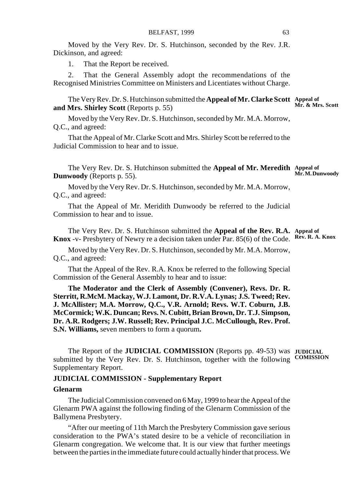Moved by the Very Rev. Dr. S. Hutchinson, seconded by the Rev. J.R. Dickinson, and agreed:

1. That the Report be received.

2. That the General Assembly adopt the recommendations of the Recognised Ministries Committee on Ministers and Licentiates without Charge.

The Very Rev. Dr. S. Hutchinson submitted the **Appeal of Mr. Clarke Scott Appeal of Mr. & Mrs. Scott and Mrs. Shirley Scott** (Reports p. 55)

Moved by the Very Rev. Dr. S. Hutchinson, seconded by Mr. M.A. Morrow, Q.C., and agreed:

That the Appeal of Mr. Clarke Scott and Mrs. Shirley Scott be referred to the Judicial Commission to hear and to issue.

The Very Rev. Dr. S. Hutchinson submitted the **Appeal of Mr. Meredith Appeal of Dunwoody** (Reports p. 55). **Mr. M. Dunwoody**

Moved by the Very Rev. Dr. S. Hutchinson, seconded by Mr. M.A. Morrow, Q.C., and agreed:

That the Appeal of Mr. Meridith Dunwoody be referred to the Judicial Commission to hear and to issue.

The Very Rev. Dr. S. Hutchinson submitted the **Appeal of the Rev. R.A. Appeal of Knox** -v- Presbytery of Newry re a decision taken under Par. 85(6) of the Code. **Rev. R. A. Knox**

Moved by the Very Rev. Dr. S. Hutchinson, seconded by Mr. M.A. Morrow, Q.C., and agreed:

That the Appeal of the Rev. R.A. Knox be referred to the following Special Commission of the General Assembly to hear and to issue:

**The Moderator and the Clerk of Assembly (Convener), Revs. Dr. R. Sterritt, R.McM. Mackay, W.J. Lamont, Dr. R.V.A. Lynas; J.S. Tweed; Rev. J. McAllister; M.A. Morrow, Q.C., V.R. Arnold; Revs. W.T. Coburn, J.B. McCormick; W.K. Duncan; Revs. N. Cubitt, Brian Brown, Dr. T.J. Simpson, Dr. A.R. Rodgers; J.W. Russell; Rev. Principal J.C. McCullough, Rev. Prof. S.N. Williams,** seven members to form a quorum**.**

The Report of the **JUDICIAL COMMISSION** (Reports pp. 49-53) was **JUDICIAL** submitted by the Very Rev. Dr. S. Hutchinson, together with the following **COMISSION**Supplementary Report.

# **JUDICIAL COMMISSION - Supplementary Report**

#### **Glenarm**

The Judicial Commission convened on 6 May, 1999 to hear the Appeal of the Glenarm PWA against the following finding of the Glenarm Commission of the Ballymena Presbytery.

"After our meeting of 11th March the Presbytery Commission gave serious consideration to the PWA's stated desire to be a vehicle of reconciliation in Glenarm congregation. We welcome that. It is our view that further meetings between the parties in the immediate future could actually hinder that process. We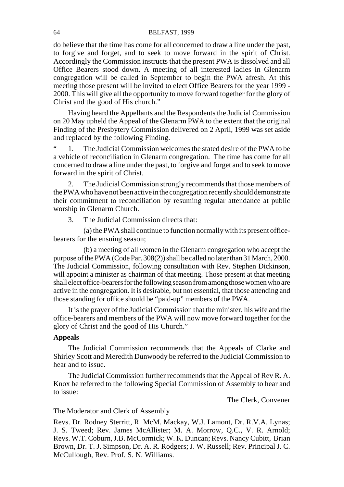### 64 BELFAST, 1999

do believe that the time has come for all concerned to draw a line under the past, to forgive and forget, and to seek to move forward in the spirit of Christ. Accordingly the Commission instructs that the present PWA is dissolved and all Office Bearers stood down. A meeting of all interested ladies in Glenarm congregation will be called in September to begin the PWA afresh. At this meeting those present will be invited to elect Office Bearers for the year 1999 - 2000. This will give all the opportunity to move forward together for the glory of Christ and the good of His church."

Having heard the Appellants and the Respondents the Judicial Commission on 20 May upheld the Appeal of the Glenarm PWA to the extent that the original Finding of the Presbytery Commission delivered on 2 April, 1999 was set aside and replaced by the following Finding.

" 1. The Judicial Commission welcomes the stated desire of the PWA to be a vehicle of reconciliation in Glenarm congregation. The time has come for all concerned to draw a line under the past, to forgive and forget and to seek to move forward in the spirit of Christ.

2. The Judicial Commission strongly recommends that those members of the PWA who have not been active in the congregation recently should demonstrate their commitment to reconciliation by resuming regular attendance at public worship in Glenarm Church.

3. The Judicial Commission directs that:

(a) the PWA shall continue to function normally with its present officebearers for the ensuing season;

(b) a meeting of all women in the Glenarm congregation who accept the purpose of the PWA (Code Par. 308(2)) shall be called no later than 31 March, 2000. The Judicial Commission, following consultation with Rev. Stephen Dickinson, will appoint a minister as chairman of that meeting. Those present at that meeting shall elect office-bearers for the following season from among those women who are active in the congregation. It is desirable, but not essential, that those attending and those standing for office should be "paid-up" members of the PWA.

It is the prayer of the Judicial Commission that the minister, his wife and the office-bearers and members of the PWA will now move forward together for the glory of Christ and the good of His Church."

# **Appeals**

The Judicial Commission recommends that the Appeals of Clarke and Shirley Scott and Meredith Dunwoody be referred to the Judicial Commission to hear and to issue.

The Judicial Commission further recommends that the Appeal of Rev R. A. Knox be referred to the following Special Commission of Assembly to hear and to issue:

The Clerk, Convener

# The Moderator and Clerk of Assembly

Revs. Dr. Rodney Sterritt, R. McM. Mackay, W.J. Lamont, Dr. R.V.A. Lynas; J. S. Tweed; Rev. James McAllister; M. A. Morrow, Q.C., V. R. Arnold; Revs. W.T. Coburn, J.B. McCormick; W. K. Duncan; Revs. Nancy Cubitt, Brian Brown, Dr. T. J. Simpson, Dr. A. R. Rodgers; J. W. Russell; Rev. Principal J. C. McCullough, Rev. Prof. S. N. Williams.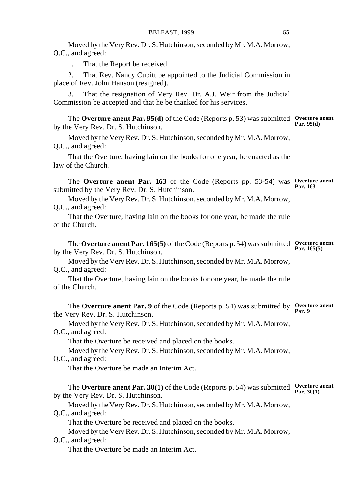Moved by the Very Rev. Dr. S. Hutchinson, seconded by Mr. M.A. Morrow, Q.C., and agreed:

1. That the Report be received.

2. That Rev. Nancy Cubitt be appointed to the Judicial Commission in place of Rev. John Hanson (resigned).

3. That the resignation of Very Rev. Dr. A.J. Weir from the Judicial Commission be accepted and that he be thanked for his services.

The **Overture anent Par. 95(d)** of the Code (Reports p. 53) was submitted **Overture anent** by the Very Rev. Dr. S. Hutchinson. **Par. 95(d)**

Moved by the Very Rev. Dr. S. Hutchinson, seconded by Mr. M.A. Morrow, Q.C., and agreed:

That the Overture, having lain on the books for one year, be enacted as the law of the Church.

The **Overture anent Par. 163** of the Code (Reports pp. 53-54) was **Overture anent** submitted by the Very Rev. Dr. S. Hutchinson. **Par. 163**

Moved by the Very Rev. Dr. S. Hutchinson, seconded by Mr. M.A. Morrow, Q.C., and agreed:

That the Overture, having lain on the books for one year, be made the rule of the Church.

The **Overture anent Par. 165(5)** of the Code (Reports p. 54) was submitted **Overture anent Par. 165(5)** by the Very Rev. Dr. S. Hutchinson.

Moved by the Very Rev. Dr. S. Hutchinson, seconded by Mr. M.A. Morrow, Q.C., and agreed:

That the Overture, having lain on the books for one year, be made the rule of the Church.

The **Overture anent Par. 9** of the Code (Reports p. 54) was submitted by **Overture anent** the Very Rev. Dr. S. Hutchinson. **Par. 9**

Moved by the Very Rev. Dr. S. Hutchinson, seconded by Mr. M.A. Morrow, Q.C., and agreed:

That the Overture be received and placed on the books.

Moved by the Very Rev. Dr. S. Hutchinson, seconded by Mr. M.A. Morrow,

# Q.C., and agreed:

That the Overture be made an Interim Act.

The **Overture anent Par. 30(1)** of the Code (Reports p. 54) was submitted **Overture anent** by the Very Rev. Dr. S. Hutchinson. **Par. 30(1)**

Moved by the Very Rev. Dr. S. Hutchinson, seconded by Mr. M.A. Morrow, Q.C., and agreed:

That the Overture be received and placed on the books.

Moved by the Very Rev. Dr. S. Hutchinson, seconded by Mr. M.A. Morrow,

# Q.C., and agreed:

That the Overture be made an Interim Act.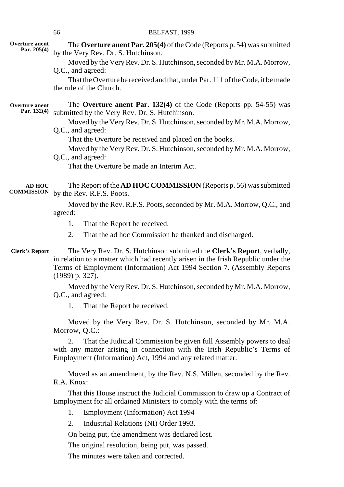|                                      | 66<br>BELFAST, 1999                                                                                                                                                                                                                                                                                                                                                                                                      |
|--------------------------------------|--------------------------------------------------------------------------------------------------------------------------------------------------------------------------------------------------------------------------------------------------------------------------------------------------------------------------------------------------------------------------------------------------------------------------|
| Overture anent<br>Par. $205(4)$      | The Overture anent Par. 205(4) of the Code (Reports p. 54) was submitted<br>by the Very Rev. Dr. S. Hutchinson.<br>Moved by the Very Rev. Dr. S. Hutchinson, seconded by Mr. M.A. Morrow,<br>Q.C., and agreed:<br>That the Overture be received and that, under Par. 111 of the Code, it be made<br>the rule of the Church.                                                                                              |
| <b>Overture anent</b><br>Par. 132(4) | The Overture anent Par. 132(4) of the Code (Reports pp. 54-55) was<br>submitted by the Very Rev. Dr. S. Hutchinson.<br>Moved by the Very Rev. Dr. S. Hutchinson, seconded by Mr. M.A. Morrow,<br>Q.C., and agreed:<br>That the Overture be received and placed on the books.<br>Moved by the Very Rev. Dr. S. Hutchinson, seconded by Mr. M.A. Morrow,<br>Q.C., and agreed:<br>That the Overture be made an Interim Act. |
| <b>AD HOC</b><br><b>COMMISSION</b>   | The Report of the AD HOC COMMISSION (Reports p. 56) was submitted<br>by the Rev. R.F.S. Poots.<br>Moved by the Rev. R.F.S. Poots, seconded by Mr. M.A. Morrow, Q.C., and<br>agreed:<br>1.<br>That the Report be received.                                                                                                                                                                                                |
|                                      | 2.<br>That the ad hoc Commission be thanked and discharged.                                                                                                                                                                                                                                                                                                                                                              |
| <b>Clerk's Report</b>                | The Very Rev. Dr. S. Hutchinson submitted the Clerk's Report, verbally,<br>in relation to a matter which had recently arisen in the Irish Republic under the<br>Terms of Employment (Information) Act 1994 Section 7. (Assembly Reports<br>$(1989)$ p. 327).                                                                                                                                                             |
|                                      | Moved by the Very Rev. Dr. S. Hutchinson, seconded by Mr. M.A. Morrow,                                                                                                                                                                                                                                                                                                                                                   |
|                                      | Q.C., and agreed:<br>1.<br>That the Report be received.                                                                                                                                                                                                                                                                                                                                                                  |
|                                      | Moved by the Very Rev. Dr. S. Hutchinson, seconded by Mr. M.A.<br>Morrow, Q.C.:                                                                                                                                                                                                                                                                                                                                          |
|                                      | That the Judicial Commission be given full Assembly powers to deal<br>2.<br>with any matter arising in connection with the Irish Republic's Terms of<br>Employment (Information) Act, 1994 and any related matter.                                                                                                                                                                                                       |
|                                      | Moved as an amendment, by the Rev. N.S. Millen, seconded by the Rev.<br>R.A. Knox:                                                                                                                                                                                                                                                                                                                                       |
|                                      | That this House instruct the Judicial Commission to draw up a Contract of<br>Employment for all ordained Ministers to comply with the terms of:                                                                                                                                                                                                                                                                          |
|                                      | Employment (Information) Act 1994<br>1.                                                                                                                                                                                                                                                                                                                                                                                  |

2. Industrial Relations (NI) Order 1993.

On being put, the amendment was declared lost.

The original resolution, being put, was passed.

The minutes were taken and corrected.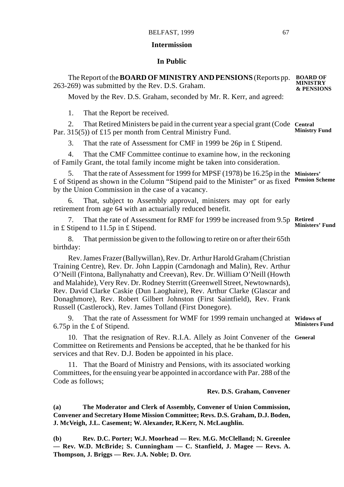## **Intermission**

## **In Public**

The Report of the **BOARD OF MINISTRY AND PENSIONS** (Reports pp. **BOARD OF** 263-269) was submitted by the Rev. D.S. Graham. Moved by the Rev. D.S. Graham, seconded by Mr. R. Kerr, and agreed: 1. That the Report be received. 2. That Retired Ministers be paid in the current year a special grant (Code **Central** Par. 315(5)) of £15 per month from Central Ministry Fund. 3. That the rate of Assessment for CMF in 1999 be 26p in £ Stipend. 4. That the CMF Committee continue to examine how, in the reckoning of Family Grant, the total family income might be taken into consideration. 5. That the rate of Assessment for 1999 for MPSF (1978) be 16.25p in the **Ministers'** £ of Stipend as shown in the Column "Stipend paid to the Minister" or as fixed **Pension Scheme** by the Union Commission in the case of a vacancy. 6. That, subject to Assembly approval, ministers may opt for early retirement from age 64 with an actuarially reduced benefit. 7. That the rate of Assessment for RMF for 1999 be increased from 9.5p **Retired** in £ Stipend to 11.5p in £ Stipend. 8. That permission be given to the following to retire on or after their 65th birthday: Rev. James Frazer (Ballywillan), Rev. Dr. Arthur Harold Graham (Christian Training Centre), Rev. Dr. John Lappin (Carndonagh and Malin), Rev. Arthur O'Neill (Fintona, Ballynahatty and Creevan), Rev. Dr. William O'Neill (Howth and Malahide), Very Rev. Dr. Rodney Sterritt (Greenwell Street, Newtownards), Rev. David Clarke Caskie (Dun Laoghaire), Rev. Arthur Clarke (Glascar and Donaghmore), Rev. Robert Gilbert Johnston (First Saintfield), Rev. Frank Russell (Castlerock), Rev. James Tolland (First Donegore). 9. That the rate of Assessment for WMF for 1999 remain unchanged at **Widows of** 6.75p in the £ of Stipend. 10. That the resignation of Rev. R.I.A. Allely as Joint Convener of the **General**Committee on Retirements and Pensions be accepted, that he be thanked for his services and that Rev. D.J. Boden be appointed in his place. 11. That the Board of Ministry and Pensions, with its associated working Committees, for the ensuing year be appointed in accordance with Par. 288 of the Code as follows; **Rev. D.S. Graham, Convener (a) The Moderator and Clerk of Assembly, Convener of Union Commission, MINISTRY & PENSIONS Ministry Fund Ministers' Fund Ministers Fund**

**Convener and Secretary Home Mission Committee; Revs. D.S. Graham, D.J. Boden, J. McVeigh, J.L. Casement; W. Alexander, R.Kerr, N. McLaughlin.**

**(b) Rev. D.C. Porter; W.J. Moorhead — Rev. M.G. McClelland; N. Greenlee — Rev. W.D. McBride; S. Cunningham — C. Stanfield, J. Magee — Revs. A. Thompson, J. Briggs — Rev. J.A. Noble; D. Orr.**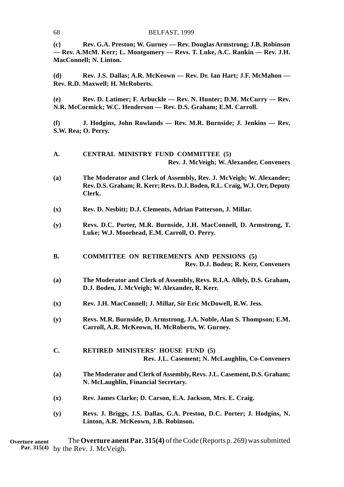**(c) Rev. G.A. Preston; W. Gurney — Rev. Douglas Armstrong; J.B. Robinson — Rev. A.McM. Kerr; L. Montgomery — Revs. T. Luke, A.C. Rankin — Rev. J.H. MacConnell; N. Linton.**

**(d) Rev. J.S. Dallas; A.R. McKeown — Rev. Dr. Ian Hart; J.F. McMahon — Rev. R.D. Maxwell; H. McRoberts.**

**(e) Rev. D. Latimer; F. Arbuckle — Rev. N. Hunter; D.M. McCurry — Rev. N.R. McCormick; W.C. Henderson — Rev. D.S. Graham; E.M. Carroll.**

**(f) J. Hodgins, John Rowlands — Rev. M.R. Burnside; J. Jenkins — Rev. S.W. Rea; O. Perry.**

| A.             | CENTRAL MINISTRY FUND COMMITTEE (5)<br>Rev. J. McVeigh; W. Alexander, Conveners                                                                            |
|----------------|------------------------------------------------------------------------------------------------------------------------------------------------------------|
| (a)            | The Moderator and Clerk of Assembly, Rev. J. McVeigh; W. Alexander;<br>Rev. D.S. Graham; R. Kerr; Revs. D.J. Boden, R.L. Craig, W.J. Orr, Deputy<br>Clerk. |
| (x)            | Rev. D. Nesbitt; D.J. Clements, Adrian Patterson, J. Millar.                                                                                               |
| (y)            | Revs. D.C. Porter, M.R. Burnside, J.H. MacConnell, D. Armstrong, T.<br>Luke; W.J. Moorhead, E.M. Carroll, O. Perry.                                        |
| В.             | <b>COMMITTEE ON RETIREMENTS AND PENSIONS (5)</b><br>Rev. D.J. Boden; R. Kerr, Conveners                                                                    |
| (a)            | The Moderator and Clerk of Assembly, Revs. R.I.A. Allely, D.S. Graham,<br>D.J. Boden, J. McVeigh; W. Alexander, R. Kerr.                                   |
| $(\mathbf{x})$ | Rev. J.H. MacConnell; J. Millar, Sir Eric McDowell, R.W. Jess.                                                                                             |
| (y)            | Revs. M.R. Burnside, D. Armstrong, J.A. Noble, Alan S. Thompson; E.M.<br>Carroll, A.R. McKeown, H. McRoberts, W. Gurney.                                   |
| C.             | <b>RETIRED MINISTERS' HOUSE FUND (5)</b><br>Rev. J.L. Casement; N. McLaughlin, Co-Conveners                                                                |
| (a)            | The Moderator and Clerk of Assembly, Revs. J.L. Casement, D.S. Graham;<br>N. McLaughlin, Financial Secretary.                                              |
| (x)            | Rev. James Clarke; D. Carson, E.A. Jackson, Mrs. E. Craig.                                                                                                 |
| (y)            | Revs. J. Briggs, J.S. Dallas, G.A. Preston, D.C. Porter; J. Hodgins, N.<br>Linton, A.R. McKeown, J.B. Robinson.                                            |

The **Overture anent Par. 315(4)** of the Code (Reports p. 269) was submitted Par. 315(4) by the Rev. J. McVeigh. **Overture anent**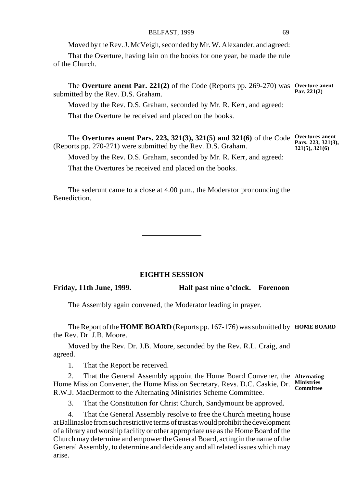Moved by the Rev. J. McVeigh, seconded by Mr. W. Alexander, and agreed:

That the Overture, having lain on the books for one year, be made the rule of the Church.

The **Overture anent Par. 221(2)** of the Code (Reports pp. 269-270) was **Overture anent** submitted by the Rev. D.S. Graham. **Par. 221(2)**

Moved by the Rev. D.S. Graham, seconded by Mr. R. Kerr, and agreed:

That the Overture be received and placed on the books.

The **Overtures anent Pars. 223, 321(3), 321(5) and 321(6)** of the Code **Overtures anent Pars. 223, 321(3),** (Reports pp. 270-271) were submitted by the Rev. D.S. Graham. **321(5), 321(6)**

Moved by the Rev. D.S. Graham, seconded by Mr. R. Kerr, and agreed:

That the Overtures be received and placed on the books.

The sederunt came to a close at 4.00 p.m., the Moderator pronouncing the Benediction.

### **EIGHTH SESSION**

**Friday, 11th June, 1999. Half past nine o'clock. Forenoon**

The Assembly again convened, the Moderator leading in prayer.

The Report of the **HOME BOARD** (Reports pp. 167-176) was submitted by **HOME BOARD** the Rev. Dr. J.B. Moore.

Moved by the Rev. Dr. J.B. Moore, seconded by the Rev. R.L. Craig, and agreed.

1. That the Report be received.

2. That the General Assembly appoint the Home Board Convener, the **Alternating** Home Mission Convener, the Home Mission Secretary, Revs. D.C. Caskie, Dr. **Ministries Committee**R.W.J. MacDermott to the Alternating Ministries Scheme Committee.

3. That the Constitution for Christ Church, Sandymount be approved.

4. That the General Assembly resolve to free the Church meeting house at Ballinasloe from such restrictive terms of trust as would prohibit the development of a library and worship facility or other appropriate use as the Home Board of the Church may determine and empower the General Board, acting in the name of the General Assembly, to determine and decide any and all related issues which may arise.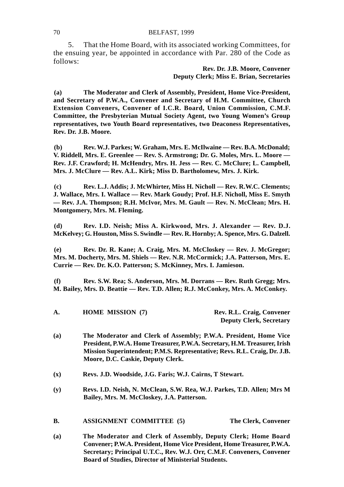### 70 BELFAST, 1999

5. That the Home Board, with its associated working Committees, for the ensuing year, be appointed in accordance with Par. 280 of the Code as follows:

## **Rev. Dr. J.B. Moore, Convener Deputy Clerk; Miss E. Brian, Secretaries**

**(a) The Moderator and Clerk of Assembly, President, Home Vice-President, and Secretary of P.W.A., Convener and Secretary of H.M. Committee, Church Extension Conveners, Convener of I.C.R. Board, Union Commission, C.M.F. Committee, the Presbyterian Mutual Society Agent, two Young Women's Group representatives, two Youth Board representatives, two Deaconess Representatives, Rev. Dr. J.B. Moore.**

**(b) Rev. W.J. Parkes; W. Graham, Mrs. E. McIlwaine — Rev. B.A. McDonald; V. Riddell, Mrs. E. Greenlee — Rev. S. Armstrong; Dr. G. Moles, Mrs. L. Moore — Rev. J.F. Crawford; H. McHendry, Mrs. H. Jess — Rev. C. McClure; L. Campbell, Mrs. J. McClure — Rev. A.L. Kirk; Miss D. Bartholomew, Mrs. J. Kirk.**

**(c) Rev. L.J. Addis; J. McWhirter, Miss H. Nicholl — Rev. R.W.C. Clements; J. Wallace, Mrs. I. Wallace — Rev. Mark Goudy; Prof. H.F. Nicholl, Miss E. Smyth — Rev. J.A. Thompson; R.H. McIvor, Mrs. M. Gault — Rev. N. McClean; Mrs. H. Montgomery, Mrs. M. Fleming.**

**(d) Rev. I.D. Neish; Miss A. Kirkwood, Mrs. J. Alexander — Rev. D.J. McKelvey; G. Houston, Miss S. Swindle — Rev. R. Hornby; A. Spence, Mrs. G. Dalzell.**

**(e) Rev. Dr. R. Kane; A. Craig, Mrs. M. McCloskey — Rev. J. McGregor; Mrs. M. Docherty, Mrs. M. Shiels — Rev. N.R. McCormick; J.A. Patterson, Mrs. E. Currie — Rev. Dr. K.O. Patterson; S. McKinney, Mrs. I. Jamieson.**

**(f) Rev. S.W. Rea; S. Anderson, Mrs. M. Dorrans — Rev. Ruth Gregg; Mrs. M. Bailey, Mrs. D. Beattie — Rev. T.D. Allen; R.J. McConkey, Mrs. A. McConkey.**

| А. | <b>HOME MISSION (7)</b> | Rev. R.L. Craig, Convener      |
|----|-------------------------|--------------------------------|
|    |                         | <b>Deputy Clerk, Secretary</b> |

- **(a) The Moderator and Clerk of Assembly; P.W.A. President, Home Vice President, P.W.A. Home Treasurer, P.W.A. Secretary, H.M. Treasurer, Irish Mission Superintendent; P.M.S. Representative; Revs. R.L. Craig, Dr. J.B. Moore, D.C. Caskie, Deputy Clerk.**
- **(x) Revs. J.D. Woodside, J.G. Faris; W.J. Cairns, T Stewart.**
- **(y) Revs. I.D. Neish, N. McClean, S.W. Rea, W.J. Parkes, T.D. Allen; Mrs M Bailey, Mrs. M. McCloskey, J.A. Patterson.**

# **B. ASSIGNMENT COMMITTEE (5) The Clerk, Convener**

**(a) The Moderator and Clerk of Assembly, Deputy Clerk; Home Board Convener; P.W.A. President, Home Vice President, Home Treasurer, P.W.A. Secretary; Principal U.T.C., Rev. W.J. Orr, C.M.F. Conveners, Convener Board of Studies, Director of Ministerial Students.**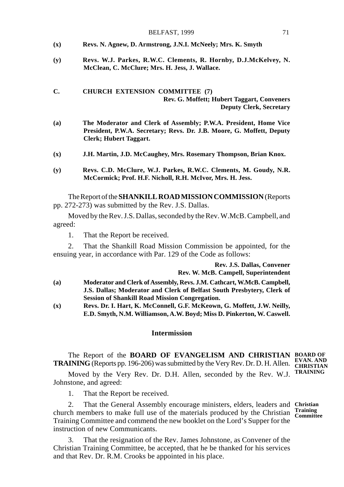| BELFAST, 1999 |  |
|---------------|--|
|---------------|--|

- **(x) Revs. N. Agnew, D. Armstrong, J.N.I. McNeely; Mrs. K. Smyth**
- **(y) Revs. W.J. Parkes, R.W.C. Clements, R. Hornby, D.J.McKelvey, N. McClean, C. McClure; Mrs. H. Jess, J. Wallace.**

### **C. CHURCH EXTENSION COMMITTEE (7) Rev. G. Moffett; Hubert Taggart, Conveners Deputy Clerk, Secretary**

- **(a) The Moderator and Clerk of Assembly; P.W.A. President, Home Vice President, P.W.A. Secretary; Revs. Dr. J.B. Moore, G. Moffett, Deputy Clerk; Hubert Taggart.**
- **(x) J.H. Martin, J.D. McCaughey, Mrs. Rosemary Thompson, Brian Knox.**
- **(y) Revs. C.D. McClure, W.J. Parkes, R.W.C. Clements, M. Goudy, N.R. McCormick; Prof. H.F. Nicholl, R.H. McIvor, Mrs. H. Jess.**

The Report of the **SHANKILL ROAD MISSION COMMISSION** (Reports pp. 272-273) was submitted by the Rev. J.S. Dallas.

Moved by the Rev. J.S. Dallas, seconded by the Rev. W.McB. Campbell, and agreed:

1. That the Report be received.

2. That the Shankill Road Mission Commission be appointed, for the ensuing year, in accordance with Par. 129 of the Code as follows:

> **Rev. J.S. Dallas, Convener Rev. W. McB. Campell, Superintendent**

- **(a) Moderator and Clerk of Assembly, Revs. J.M. Cathcart, W.McB. Campbell, J.S. Dallas; Moderator and Clerk of Belfast South Presbytery, Clerk of Session of Shankill Road Mission Congregation.**
- **(x) Revs. Dr. I. Hart, K. McConnell, G.F. McKeown, G. Moffett, J.W. Neilly, E.D. Smyth, N.M. Williamson, A.W. Boyd; Miss D. Pinkerton, W. Caswell.**

### **Intermission**

The Report of the **BOARD OF EVANGELISM AND CHRISTIAN BOARD OF TRAINING** (Reports pp. 196-206) was submitted by the Very Rev. Dr. D. H. Allen. **EVAN. AND** 

Moved by the Very Rev. Dr. D.H. Allen, seconded by the Rev. W.J. Johnstone, and agreed:

1. That the Report be received.

2. That the General Assembly encourage ministers, elders, leaders and **Christian** church members to make full use of the materials produced by the Christian **Training Committee** Training Committee and commend the new booklet on the Lord's Supper for the instruction of new Communicants.

That the resignation of the Rev. James Johnstone, as Convener of the Christian Training Committee, be accepted, that he be thanked for his services and that Rev. Dr. R.M. Crooks be appointed in his place.

**TRAINING**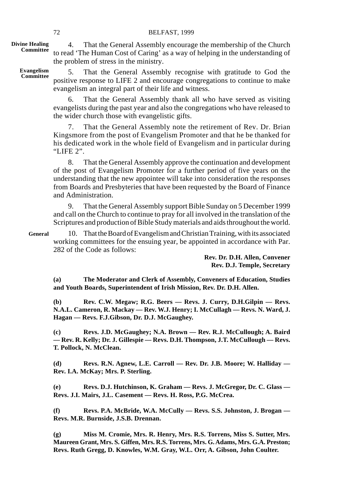**Divine Healing Committee**

4. That the General Assembly encourage the membership of the Church to read 'The Human Cost of Caring' as a way of helping in the understanding of the problem of stress in the ministry.

5. That the General Assembly recognise with gratitude to God the positive response to LIFE 2 and encourage congregations to continue to make evangelism an integral part of their life and witness. **Evangelism Committee**

> 6. That the General Assembly thank all who have served as visiting evangelists during the past year and also the congregations who have released to the wider church those with evangelistic gifts.

> 7. That the General Assembly note the retirement of Rev. Dr. Brian Kingsmore from the post of Evangelism Promoter and that he be thanked for his dedicated work in the whole field of Evangelism and in particular during "LIFE 2".

> 8. That the General Assembly approve the continuation and development of the post of Evangelism Promoter for a further period of five years on the understanding that the new appointee will take into consideration the responses from Boards and Presbyteries that have been requested by the Board of Finance and Administration.

> 9. That the General Assembly support Bible Sunday on 5 December 1999 and call on the Church to continue to pray for all involved in the translation of the Scriptures and production of Bible Study materials and aids throughout the world.

**General**

10. That the Board of Evangelism and Christian Training, with its associated working committees for the ensuing year, be appointed in accordance with Par. 282 of the Code as follows:

> **Rev. Dr. D.H. Allen, Convener Rev. D.J. Temple, Secretary**

**(a) The Moderator and Clerk of Assembly, Conveners of Education, Studies and Youth Boards, Superintendent of Irish Mission, Rev. Dr. D.H. Allen.**

**(b) Rev. C.W. Megaw; R.G. Beers — Revs. J. Curry, D.H.Gilpin — Revs. N.A.L. Cameron, R. Mackay — Rev. W.J. Henry; I. McCullagh — Revs. N. Ward, J. Hagan — Revs. F.J.Gibson, Dr. D.J. McGaughey.**

**(c) Revs. J.D. McGaughey; N.A. Brown — Rev. R.J. McCullough; A. Baird — Rev. R. Kelly; Dr. J. Gillespie — Revs. D.H. Thompson, J.T. McCullough — Revs. T. Pollock, N. McClean.**

**(d) Revs. R.N. Agnew, L.E. Carroll — Rev. Dr. J.B. Moore; W. Halliday — Rev. I.A. McKay; Mrs. P. Sterling.**

**(e) Revs. D.J. Hutchinson, K. Graham — Revs. J. McGregor, Dr. C. Glass — Revs. J.I. Mairs, J.L. Casement — Revs. H. Ross, P.G. McCrea.**

**(f) Revs. P.A. McBride, W.A. McCully — Revs. S.S. Johnston, J. Brogan — Revs. M.R. Burnside, J.S.B. Drennan.**

**(g) Miss M. Cromie, Mrs. R. Henry, Mrs. R.S. Torrens, Miss S. Sutter, Mrs. Maureen Grant, Mrs. S. Giffen, Mrs. R.S. Torrens, Mrs. G. Adams, Mrs. G.A. Preston; Revs. Ruth Gregg, D. Knowles, W.M. Gray, W.L. Orr, A. Gibson, John Coulter.**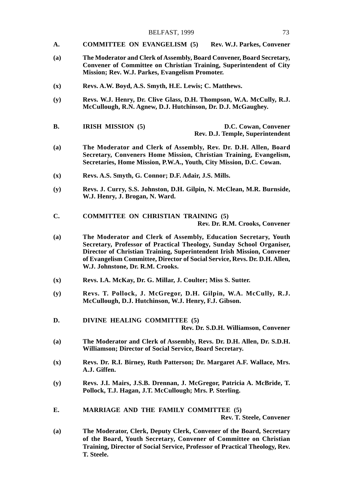- **A. COMMITTEE ON EVANGELISM (5) Rev. W.J. Parkes, Convener**
- **(a) The Moderator and Clerk of Assembly, Board Convener, Board Secretary, Convener of Committee on Christian Training, Superintendent of City Mission; Rev. W.J. Parkes, Evangelism Promoter.**
- **(x) Revs. A.W. Boyd, A.S. Smyth, H.E. Lewis; C. Matthews.**
- **(y) Revs. W.J. Henry, Dr. Clive Glass, D.H. Thompson, W.A. McCully, R.J. McCullough, R.N. Agnew, D.J. Hutchinson, Dr. D.J. McGaughey.**
- **B. IRISH MISSION (5) D.C. Cowan, Convener Rev. D.J. Temple, Superintendent**
- **(a) The Moderator and Clerk of Assembly, Rev. Dr. D.H. Allen, Board Secretary, Conveners Home Mission, Christian Training, Evangelism, Secretaries, Home Mission, P.W.A., Youth, City Mission, D.C. Cowan.**
- **(x) Revs. A.S. Smyth, G. Connor; D.F. Adair, J.S. Mills.**
- **(y) Revs. J. Curry, S.S. Johnston, D.H. Gilpin, N. McClean, M.R. Burnside, W.J. Henry, J. Brogan, N. Ward.**
- **C. COMMITTEE ON CHRISTIAN TRAINING (5) Rev. Dr. R.M. Crooks, Convener**
- **(a) The Moderator and Clerk of Assembly, Education Secretary, Youth Secretary, Professor of Practical Theology, Sunday School Organiser, Director of Christian Training, Superintendent Irish Mission, Convener of Evangelism Committee, Director of Social Service, Revs. Dr. D.H. Allen, W.J. Johnstone, Dr. R.M. Crooks.**
- **(x) Revs. I.A. McKay, Dr. G. Millar, J. Coulter; Miss S. Sutter.**
- **(y) Revs. T. Pollock, J. McGregor, D.H. Gilpin, W.A. McCully, R.J. McCullough, D.J. Hutchinson, W.J. Henry, F.J. Gibson.**
- **D. DIVINE HEALING COMMITTEE (5) Rev. Dr. S.D.H. Williamson, Convener**
- **(a) The Moderator and Clerk of Assembly, Revs. Dr. D.H. Allen, Dr. S.D.H. Williamson; Director of Social Service, Board Secretary.**
- **(x) Revs. Dr. R.I. Birney, Ruth Patterson; Dr. Margaret A.F. Wallace, Mrs. A.J. Giffen.**
- **(y) Revs. J.I. Mairs, J.S.B. Drennan, J. McGregor, Patricia A. McBride, T. Pollock, T.J. Hagan, J.T. McCullough; Mrs. P. Sterling.**
- **E. MARRIAGE AND THE FAMILY COMMITTEE (5) Rev. T. Steele, Convener**
- **(a) The Moderator, Clerk, Deputy Clerk, Convener of the Board, Secretary of the Board, Youth Secretary, Convener of Committee on Christian Training, Director of Social Service, Professor of Practical Theology, Rev. T. Steele.**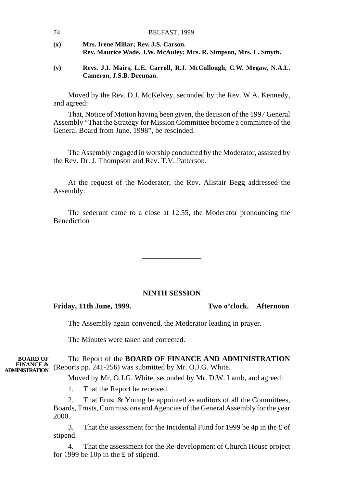| 74  | BELFAST, 1999                                                                                            |
|-----|----------------------------------------------------------------------------------------------------------|
| (x) | Mrs. Irene Millar; Rev. J.S. Carson.<br>Rev. Maurice Wade, J.W. McAuley; Mrs. R. Simpson, Mrs. L. Smyth. |
|     |                                                                                                          |

**(y) Revs. J.I. Mairs, L.E. Carroll, R.J. McCullough, C.W. Megaw, N.A.L. Cameron, J.S.B. Drennan.**

Moved by the Rev. D.J. McKelvey, seconded by the Rev. W.A. Kennedy, and agreed:

That, Notice of Motion having been given, the decision of the 1997 General Assembly "That the Strategy for Mission Committee become a committee of the General Board from June, 1998", be rescinded.

The Assembly engaged in worship conducted by the Moderator, assisted by the Rev. Dr. J. Thompson and Rev. T.V. Patterson.

At the request of the Moderator, the Rev. Alistair Begg addressed the Assembly.

The sederunt came to a close at 12.55, the Moderator pronouncing the Benediction

### **NINTH SESSION**

**Friday, 11th June, 1999. Two o'clock. Afternoon**

The Assembly again convened, the Moderator leading in prayer.

The Minutes were taken and corrected.

The Report of the **BOARD OF FINANCE AND ADMINISTRATION FINANCE &** (Reports pp. 241-256) was submitted by Mr. O.J.G. White. **BOARD OF**

Moved by Mr. O.J.G. White, seconded by Mr. D.W. Lamb, and agreed:

1. That the Report be received.

2. That Ernst & Young be appointed as auditors of all the Committees, Boards, Trusts, Commissions and Agencies of the General Assembly for the year 2000.

3. That the assessment for the Incidental Fund for 1999 be 4p in the £ of stipend.

4. That the assessment for the Re-development of Church House project for 1999 be 10p in the £ of stipend.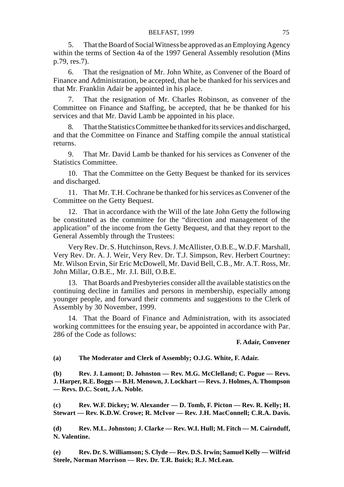5. That the Board of Social Witness be approved as an Employing Agency within the terms of Section 4a of the 1997 General Assembly resolution (Mins p.79, res.7).

6. That the resignation of Mr. John White, as Convener of the Board of Finance and Administration, be accepted, that he be thanked for his services and that Mr. Franklin Adair be appointed in his place.

7. That the resignation of Mr. Charles Robinson, as convener of the Committee on Finance and Staffing, be accepted, that he be thanked for his services and that Mr. David Lamb be appointed in his place.

8. That the Statistics Committee be thanked for its services and discharged, and that the Committee on Finance and Staffing compile the annual statistical returns.

9. That Mr. David Lamb be thanked for his services as Convener of the Statistics Committee.

10. That the Committee on the Getty Bequest be thanked for its services and discharged.

11. That Mr. T.H. Cochrane be thanked for his services as Convener of the Committee on the Getty Bequest.

12. That in accordance with the Will of the late John Getty the following be constituted as the committee for the "direction and management of the application" of the income from the Getty Bequest, and that they report to the General Assembly through the Trustees:

Very Rev. Dr. S. Hutchinson, Revs. J. McAllister, O.B.E., W.D.F. Marshall, Very Rev. Dr. A. J. Weir, Very Rev. Dr. T.J. Simpson, Rev. Herbert Courtney: Mr. Wilson Ervin, Sir Eric McDowell, Mr. David Bell, C.B., Mr. A.T. Ross, Mr. John Millar, O.B.E., Mr. J.I. Bill, O.B.E.

13. That Boards and Presbyteries consider all the available statistics on the continuing decline in families and persons in membership, especially among younger people, and forward their comments and suggestions to the Clerk of Assembly by 30 November, 1999.

14. That the Board of Finance and Administration, with its associated working committees for the ensuing year, be appointed in accordance with Par. 286 of the Code as follows:

### **F. Adair, Convener**

### **(a) The Moderator and Clerk of Assembly; O.J.G. White, F. Adair.**

**(b) Rev. J. Lamont; D. Johnston — Rev. M.G. McClelland; C. Pogue — Revs. J. Harper, R.E. Boggs — B.H. Menown, J. Lockhart — Revs. J. Holmes, A. Thompson — Revs. D.C. Scott, J.A. Noble.**

**(c) Rev. W.F. Dickey; W. Alexander — D. Tomb, F. Picton — Rev. R. Kelly; H. Stewart — Rev. K.D.W. Crowe; R. McIvor — Rev. J.H. MacConnell; C.R.A. Davis.**

**(d) Rev. M.L. Johnston; J. Clarke — Rev. W.I. Hull; M. Fitch — M. Cairnduff, N. Valentine.**

**(e) Rev. Dr. S. Williamson; S. Clyde — Rev. D.S. Irwin; Samuel Kelly — Wilfrid Steele, Norman Morrison — Rev. Dr. T.R. Buick; R.J. McLean.**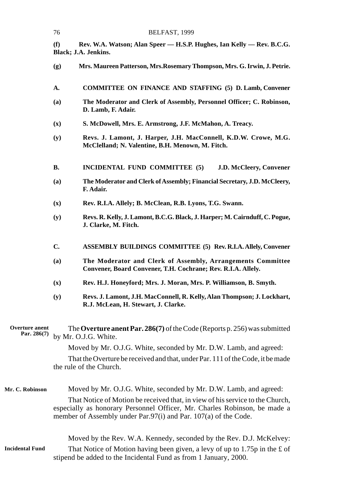|                                        | 76                                                                                                                                                                                                                            | BELFAST, 1999                                                                                                               |  |  |
|----------------------------------------|-------------------------------------------------------------------------------------------------------------------------------------------------------------------------------------------------------------------------------|-----------------------------------------------------------------------------------------------------------------------------|--|--|
|                                        | (f)                                                                                                                                                                                                                           | Rev. W.A. Watson; Alan Speer - H.S.P. Hughes, Ian Kelly - Rev. B.C.G.<br>Black; J.A. Jenkins.                               |  |  |
|                                        | (g)                                                                                                                                                                                                                           | Mrs. Maureen Patterson, Mrs.Rosemary Thompson, Mrs. G. Irwin, J. Petrie.                                                    |  |  |
|                                        | А.                                                                                                                                                                                                                            | COMMITTEE ON FINANCE AND STAFFING (5) D. Lamb, Convener                                                                     |  |  |
|                                        | (a)                                                                                                                                                                                                                           | The Moderator and Clerk of Assembly, Personnel Officer; C. Robinson,<br>D. Lamb, F. Adair.                                  |  |  |
|                                        | $(\mathbf{x})$                                                                                                                                                                                                                | S. McDowell, Mrs. E. Armstrong, J.F. McMahon, A. Treacy.                                                                    |  |  |
|                                        | (y)                                                                                                                                                                                                                           | Revs. J. Lamont, J. Harper, J.H. MacConnell, K.D.W. Crowe, M.G.<br>McClelland; N. Valentine, B.H. Menown, M. Fitch.         |  |  |
|                                        | В.                                                                                                                                                                                                                            | INCIDENTAL FUND COMMITTEE (5)<br>J.D. McCleery, Convener                                                                    |  |  |
|                                        | (a)                                                                                                                                                                                                                           | The Moderator and Clerk of Assembly; Financial Secretary, J.D. McCleery,<br>F. Adair.                                       |  |  |
|                                        | $(\mathbf{x})$                                                                                                                                                                                                                | Rev. R.I.A. Allely; B. McClean, R.B. Lyons, T.G. Swann.                                                                     |  |  |
|                                        | (y)                                                                                                                                                                                                                           | Revs. R. Kelly, J. Lamont, B.C.G. Black, J. Harper; M. Cairnduff, C. Pogue,<br>J. Clarke, M. Fitch.                         |  |  |
|                                        | C.                                                                                                                                                                                                                            | <b>ASSEMBLY BUILDINGS COMMITTEE (5) Rev. R.I.A. Allely, Convener</b>                                                        |  |  |
|                                        | (a)                                                                                                                                                                                                                           | The Moderator and Clerk of Assembly, Arrangements Committee<br>Convener, Board Convener, T.H. Cochrane; Rev. R.I.A. Allely. |  |  |
|                                        | $(\mathbf{x})$                                                                                                                                                                                                                | Rev. H.J. Honeyford; Mrs. J. Moran, Mrs. P. Williamson, B. Smyth.                                                           |  |  |
|                                        | (y)                                                                                                                                                                                                                           | Revs. J. Lamont, J.H. MacConnell, R. Kelly, Alan Thompson; J. Lockhart,<br>R.J. McLean, H. Stewart, J. Clarke.              |  |  |
| <b>Overture</b> anent<br>Par. $286(7)$ |                                                                                                                                                                                                                               | The Overture anent Par. $286(7)$ of the Code (Reports p. 256) was submitted<br>by Mr. O.J.G. White.                         |  |  |
|                                        |                                                                                                                                                                                                                               | Moved by Mr. O.J.G. White, seconded by Mr. D.W. Lamb, and agreed:                                                           |  |  |
|                                        |                                                                                                                                                                                                                               | That the Overture be received and that, under Par. 111 of the Code, it be made<br>the rule of the Church.                   |  |  |
| Mr. C. Robinson                        |                                                                                                                                                                                                                               | Moved by Mr. O.J.G. White, seconded by Mr. D.W. Lamb, and agreed:                                                           |  |  |
|                                        | That Notice of Motion be received that, in view of his service to the Church,<br>especially as honorary Personnel Officer, Mr. Charles Robinson, be made a<br>member of Assembly under Par.97(i) and Par. 107(a) of the Code. |                                                                                                                             |  |  |
|                                        |                                                                                                                                                                                                                               | Moved by the Rev. W.A. Kennedy, seconded by the Rev. D.J. McKelvey:                                                         |  |  |
| <b>Incidental Fund</b>                 | That Notice of Motion having been given, a levy of up to 1.75p in the £ of<br>stipend be added to the Incidental Fund as from 1 January, 2000.                                                                                |                                                                                                                             |  |  |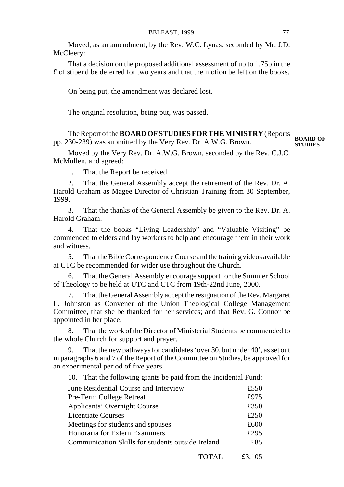Moved, as an amendment, by the Rev. W.C. Lynas, seconded by Mr. J.D. McCleery:

That a decision on the proposed additional assessment of up to 1.75p in the £ of stipend be deferred for two years and that the motion be left on the books.

On being put, the amendment was declared lost.

The original resolution, being put, was passed.

The Report of the **BOARD OF STUDIES FOR THE MINISTRY** (Reports pp. 230-239) was submitted by the Very Rev. Dr. A.W.G. Brown. **BOARD OF STUDIES**

Moved by the Very Rev. Dr. A.W.G. Brown, seconded by the Rev. C.J.C. McMullen, and agreed:

1. That the Report be received.

2. That the General Assembly accept the retirement of the Rev. Dr. A. Harold Graham as Magee Director of Christian Training from 30 September, 1999.

3. That the thanks of the General Assembly be given to the Rev. Dr. A. Harold Graham.

4. That the books "Living Leadership" and "Valuable Visiting" be commended to elders and lay workers to help and encourage them in their work and witness.

5. That the Bible Correspondence Course and the training videos available at CTC be recommended for wider use throughout the Church.

6. That the General Assembly encourage support for the Summer School of Theology to be held at UTC and CTC from 19th-22nd June, 2000.

7. That the General Assembly accept the resignation of the Rev. Margaret L. Johnston as Convener of the Union Theological College Management Committee, that she be thanked for her services; and that Rev. G. Connor be appointed in her place.

8. That the work of the Director of Ministerial Students be commended to the whole Church for support and prayer.

That the new pathways for candidates 'over 30, but under 40', as set out in paragraphs 6 and 7 of the Report of the Committee on Studies, be approved for an experimental period of five years.

10. That the following grants be paid from the Incidental Fund:

| June Residential Course and Interview             | £550 |
|---------------------------------------------------|------|
| Pre-Term College Retreat                          | £975 |
| <b>Applicants' Overnight Course</b>               | £350 |
| Licentiate Courses                                | £250 |
| Meetings for students and spouses                 | £600 |
| Honoraria for Extern Examiners                    | £295 |
| Communication Skills for students outside Ireland | £85  |
|                                                   |      |

TOTAL £3,105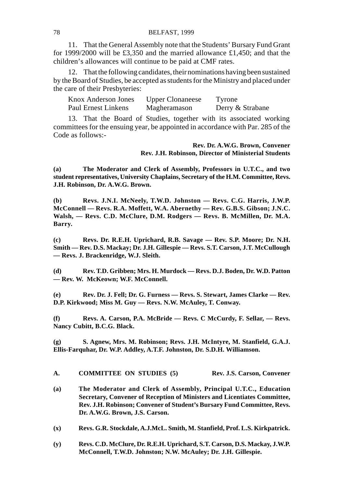11. That the General Assembly note that the Students' Bursary Fund Grant for 1999/2000 will be £3,350 and the married allowance £1,450; and that the children's allowances will continue to be paid at CMF rates.

12. That the following candidates, their nominations having been sustained by the Board of Studies, be accepted as students for the Ministry and placed under the care of their Presbyteries:

| Knox Anderson Jones | <b>Upper Clonaneese</b> | Tyrone           |
|---------------------|-------------------------|------------------|
| Paul Ernest Linkens | Magheramason            | Derry & Strabane |

13. That the Board of Studies, together with its associated working committees for the ensuing year, be appointed in accordance with Par. 285 of the Code as follows:-

> **Rev. Dr. A.W.G. Brown, Convener Rev. J.H. Robinson, Director of Ministerial Students**

**(a) The Moderator and Clerk of Assembly, Professors in U.T.C., and two student representatives, University Chaplains, Secretary of the H.M. Committee, Revs. J.H. Robinson, Dr. A.W.G. Brown.**

**(b) Revs. J.N.I. McNeely, T.W.D. Johnston — Revs. C.G. Harris, J.W.P. McConnell — Revs. R.A. Moffett, W.A. Abernethy — Rev. G.B.S. Gibson; J.N.C. Walsh, — Revs. C.D. McClure, D.M. Rodgers — Revs. B. McMillen, Dr. M.A. Barry.**

**(c) Revs. Dr. R.E.H. Uprichard, R.B. Savage — Rev. S.P. Moore; Dr. N.H. Smith — Rev. D.S. Mackay; Dr. J.H. Gillespie — Revs. S.T. Carson, J.T. McCullough — Revs. J. Brackenridge, W.J. Sleith.**

**(d) Rev. T.D. Gribben; Mrs. H. Murdock — Revs. D.J. Boden, Dr. W.D. Patton — Rev. W. McKeown; W.F. McConnell.**

**(e) Rev. Dr. J. Fell; Dr. G. Furness — Revs. S. Stewart, James Clarke — Rev. D.P. Kirkwood; Miss M. Guy — Revs. N.W. McAuley, T. Conway.**

**(f) Revs. A. Carson, P.A. McBride — Revs. C McCurdy, F. Sellar, — Revs. Nancy Cubitt, B.C.G. Black.**

**(g) S. Agnew, Mrs. M. Robinson; Revs. J.H. McIntyre, M. Stanfield, G.A.J. Ellis-Farquhar, Dr. W.P. Addley, A.T.F. Johnston, Dr. S.D.H. Williamson.**

### **A. COMMITTEE ON STUDIES (5) Rev. J.S. Carson, Convener**

- **(a) The Moderator and Clerk of Assembly, Principal U.T.C., Education Secretary, Convener of Reception of Ministers and Licentiates Committee, Rev. J.H. Robinson; Convener of Student's Bursary Fund Committee, Revs. Dr. A.W.G. Brown, J.S. Carson.**
- **(x) Revs. G.R. Stockdale, A.J.McL. Smith, M. Stanfield, Prof. L.S. Kirkpatrick.**
- **(y) Revs. C.D. McClure, Dr. R.E.H. Uprichard, S.T. Carson, D.S. Mackay, J.W.P. McConnell, T.W.D. Johnston; N.W. McAuley; Dr. J.H. Gillespie.**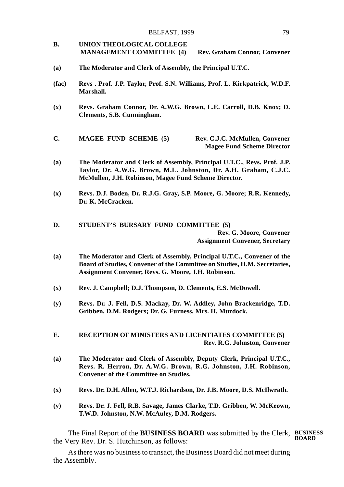- **B. UNION THEOLOGICAL COLLEGE MANAGEMENT COMMITTEE (4) Rev. Graham Connor, Convener**
- **(a) The Moderator and Clerk of Assembly, the Principal U.T.C.**
- **(fac) Revs . Prof. J.P. Taylor, Prof. S.N. Williams, Prof. L. Kirkpatrick, W.D.F. Marshall.**
- **(x) Revs. Graham Connor, Dr. A.W.G. Brown, L.E. Carroll, D.B. Knox; D. Clements, S.B. Cunningham.**
- **C. MAGEE FUND SCHEME (5) Rev. C.J.C. McMullen, Convener Magee Fund Scheme Director**
- **(a) The Moderator and Clerk of Assembly, Principal U.T.C., Revs. Prof. J.P. Taylor, Dr. A.W.G. Brown, M.L. Johnston, Dr. A.H. Graham, C.J.C. McMullen, J.H. Robinson, Magee Fund Scheme Director.**
- **(x) Revs. D.J. Boden, Dr. R.J.G. Gray, S.P. Moore, G. Moore; R.R. Kennedy, Dr. K. McCracken.**

**D. STUDENT'S BURSARY FUND COMMITTEE (5) Rev. G. Moore, Convener Assignment Convener, Secretary**

- **(a) The Moderator and Clerk of Assembly, Principal U.T.C., Convener of the Board of Studies, Convener of the Committee on Studies, H.M. Secretaries, Assignment Convener, Revs. G. Moore, J.H. Robinson.**
- **(x) Rev. J. Campbell; D.J. Thompson, D. Clements, E.S. McDowell.**
- **(y) Revs. Dr. J. Fell, D.S. Mackay, Dr. W. Addley, John Brackenridge, T.D. Gribben, D.M. Rodgers; Dr. G. Furness, Mrs. H. Murdock.**
- **E. RECEPTION OF MINISTERS AND LICENTIATES COMMITTEE (5) Rev. R.G. Johnston, Convener**
- **(a) The Moderator and Clerk of Assembly, Deputy Clerk, Principal U.T.C., Revs. R. Herron, Dr. A.W.G. Brown, R.G. Johnston, J.H. Robinson, Convener of the Committee on Studies.**
- **(x) Revs. Dr. D.H. Allen, W.T.J. Richardson, Dr. J.B. Moore, D.S. McIlwrath.**
- **(y) Revs. Dr. J. Fell, R.B. Savage, James Clarke, T.D. Gribben, W. McKeown, T.W.D. Johnston, N.W. McAuley, D.M. Rodgers.**

The Final Report of the **BUSINESS BOARD** was submitted by the Clerk, **BUSINESS** the Very Rev. Dr. S. Hutchinson, as follows: **BOARD**

As there was no business to transact, the Business Board did not meet during the Assembly.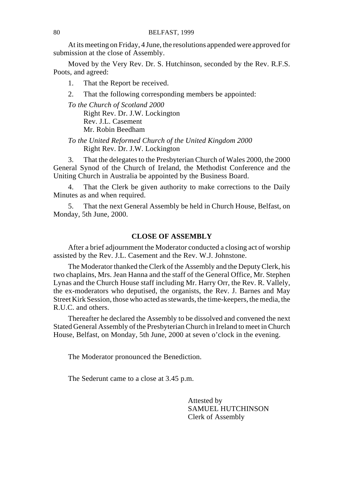At its meeting on Friday, 4 June, the resolutions appended were approved for submission at the close of Assembly.

Moved by the Very Rev. Dr. S. Hutchinson, seconded by the Rev. R.F.S. Poots, and agreed:

1. That the Report be received.

2. That the following corresponding members be appointed:

*To the Church of Scotland 2000* Right Rev. Dr. J.W. Lockington Rev. J.L. Casement Mr. Robin Beedham

*To the United Reformed Church of the United Kingdom 2000* Right Rev. Dr. J.W. Lockington

3. That the delegates to the Presbyterian Church of Wales 2000, the 2000 General Synod of the Church of Ireland, the Methodist Conference and the Uniting Church in Australia be appointed by the Business Board.

4. That the Clerk be given authority to make corrections to the Daily Minutes as and when required.

5. That the next General Assembly be held in Church House, Belfast, on Monday, 5th June, 2000.

### **CLOSE OF ASSEMBLY**

After a brief adjournment the Moderator conducted a closing act of worship assisted by the Rev. J.L. Casement and the Rev. W.J. Johnstone.

The Moderator thanked the Clerk of the Assembly and the Deputy Clerk, his two chaplains, Mrs. Jean Hanna and the staff of the General Office, Mr. Stephen Lynas and the Church House staff including Mr. Harry Orr, the Rev. R. Vallely, the ex-moderators who deputised, the organists, the Rev. J. Barnes and May Street Kirk Session, those who acted as stewards, the time-keepers, the media, the R.U.C. and others.

Thereafter he declared the Assembly to be dissolved and convened the next Stated General Assembly of the Presbyterian Church in Ireland to meet in Church House, Belfast, on Monday, 5th June, 2000 at seven o'clock in the evening.

The Moderator pronounced the Benediction.

The Sederunt came to a close at 3.45 p.m.

Attested by SAMUEL HUTCHINSON Clerk of Assembly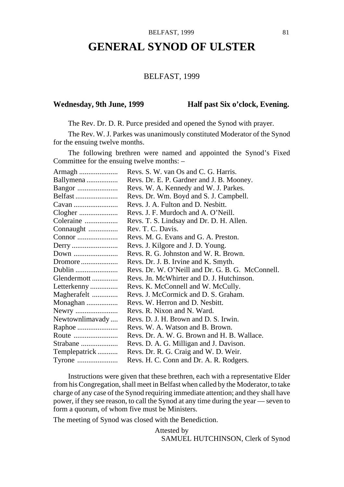# **GENERAL SYNOD OF ULSTER**

### BELFAST, 1999

### Wednesday, 9th June, 1999 **Half past Six o'clock, Evening.**

The Rev. Dr. D. R. Purce presided and opened the Synod with prayer.

The Rev. W. J. Parkes was unanimously constituted Moderator of the Synod for the ensuing twelve months.

The following brethren were named and appointed the Synod's Fixed Committee for the ensuing twelve months: –

| Armagh          | Revs. S. W. van Os and C. G. Harris.             |
|-----------------|--------------------------------------------------|
| Ballymena       | Revs. Dr. E. P. Gardner and J. B. Mooney.        |
|                 | Revs. W. A. Kennedy and W. J. Parkes.            |
| Belfast         | Revs. Dr. Wm. Boyd and S. J. Campbell.           |
| Cavan           | Revs. J. A. Fulton and D. Nesbitt.               |
|                 | Revs. J. F. Murdoch and A. O'Neill.              |
| Coleraine       | Revs. T. S. Lindsay and Dr. D. H. Allen.         |
| Connaught       | Rev. T. C. Davis.                                |
| Connor          | Revs. M. G. Evans and G. A. Preston.             |
|                 | Revs. J. Kilgore and J. D. Young.                |
| Down            | Revs. R. G. Johnston and W. R. Brown.            |
| Dromore         | Revs. Dr. J. B. Irvine and K. Smyth.             |
| Dublin          | Revs. Dr. W. O'Neill and Dr. G. B. G. McConnell. |
| Glendermott     | Revs. Jn. McWhirter and D. J. Hutchinson.        |
| Letterkenny     | Revs. K. McConnell and W. McCully.               |
| Magherafelt     | Revs. J. McCormick and D. S. Graham.             |
| Monaghan        | Revs. W. Herron and D. Nesbitt.                  |
| Newry           | Revs. R. Nixon and N. Ward.                      |
| Newtownlimavady | Revs. D. J. H. Brown and D. S. Irwin.            |
| Raphoe          | Revs. W. A. Watson and B. Brown.                 |
| Route           | Revs. Dr. A. W. G. Brown and H. B. Wallace.      |
| Strabane        | Revs. D. A. G. Milligan and J. Davison.          |
| Templepatrick   | Revs. Dr. R. G. Craig and W. D. Weir.            |
| Tyrone          | Revs. H. C. Conn and Dr. A. R. Rodgers.          |

Instructions were given that these brethren, each with a representative Elder from his Congregation, shall meet in Belfast when called by the Moderator, to take charge of any case of the Synod requiring immediate attention; and they shall have power, if they see reason, to call the Synod at any time during the year — seven to form a quorum, of whom five must be Ministers.

The meeting of Synod was closed with the Benediction.

Attested by SAMUEL HUTCHINSON, Clerk of Synod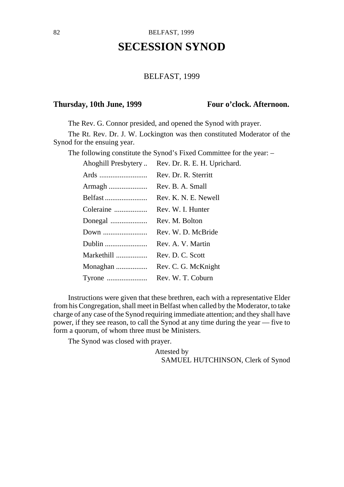# **SECESSION SYNOD**

### BELFAST, 1999

### Thursday, 10th June, 1999 **Four o'clock. Afternoon.**

The Rev. G. Connor presided, and opened the Synod with prayer.

The Rt. Rev. Dr. J. W. Lockington was then constituted Moderator of the Synod for the ensuing year.

The following constitute the Synod's Fixed Committee for the year: –

| Ahoghill Presbytery | Rev. Dr. R. E. H. Uprichard. |
|---------------------|------------------------------|
| Ards                | Rev. Dr. R. Sterritt         |
| Armagh              | Rev. B. A. Small             |
| Belfast             | Rev. K. N. E. Newell         |
| Coleraine           | Rev. W. I. Hunter            |
| Donegal             | Rev. M. Bolton               |
| Down                | Rev. W. D. McBride           |
| Dublin              | Rev. A. V. Martin            |
| Markethill          | Rev. D. C. Scott             |
| Monaghan            | Rev. C. G. McKnight          |
| Tyrone              | Rev. W. T. Coburn            |

Instructions were given that these brethren, each with a representative Elder from his Congregation, shall meet in Belfast when called by the Moderator, to take charge of any case of the Synod requiring immediate attention; and they shall have power, if they see reason, to call the Synod at any time during the year — five to form a quorum, of whom three must be Ministers.

The Synod was closed with prayer.

Attested by SAMUEL HUTCHINSON, Clerk of Synod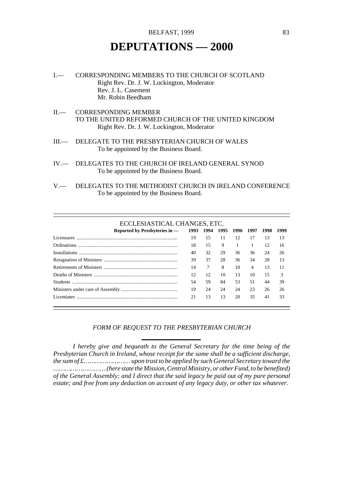# **DEPUTATIONS — 2000**

- I.— CORRESPONDING MEMBERS TO THE CHURCH OF SCOTLAND Right Rev. Dr. J. W. Lockington, Moderator Rev. J. L. Casement Mr. Robin Beedham
- II.— CORRESPONDING MEMBER TO THE UNITED REFORMED CHURCH OF THE UNITED KINGDOM Right Rev. Dr. J. W. Lockington, Moderator
- III.— DELEGATE TO THE PRESBYTERIAN CHURCH OF WALES To be appointed by the Business Board.
- IV.— DELEGATES TO THE CHURCH OF IRELAND GENERAL SYNOD To be appointed by the Business Board.
- V.— DELEGATES TO THE METHODIST CHURCH IN IRELAND CONFERENCE To be appointed by the Business Board.

### ECCLESIASTICAL CHANGES, ETC.

| Reported by Presbyteries in — |    | 1993 1994 1995 1996 1997 |    |    |    | 1998 | 1999 |
|-------------------------------|----|--------------------------|----|----|----|------|------|
| Licensures                    | 19 | 15                       | 11 | 12 | 17 | 13   | 13   |
|                               | 18 | 15                       | 9  |    |    | 12   | 16   |
|                               | 40 | 32                       | 29 | 36 | 36 | 24   | 26   |
|                               | 39 | 37                       | 28 | 36 | 34 | 28   | 13   |
|                               | 14 | 7                        | 8  | 10 | 4  | 13   | 11   |
|                               | 12 | 12                       | 10 | 13 | 10 | 15   | 3    |
|                               | 54 | 59                       | 84 | 53 | 51 | 44   | 39   |
|                               | 19 | 24                       | 24 | 24 | 23 | 26   | 26   |
| Licentiates                   | 21 | 13                       | 13 | 20 | 35 | 41   | 33   |

### *FORM OF BEQUEST TO THE PRESBYTERIAN CHURCH*

*I hereby give and bequeath to the General Secretary for the time being of the Presbyterian Church in Ireland, whose receipt for the same shall be a sufficient discharge, the sum of £…………………… upon trust to be applied by such General Secretary toward the ……………………… (here state the Mission, Central Ministry, or other Fund, to be benefited) of the General Assembly; and I direct that the said legacy be paid out of my pure personal estate; and free from any deduction on account of any legacy duty, or other tax whatever.*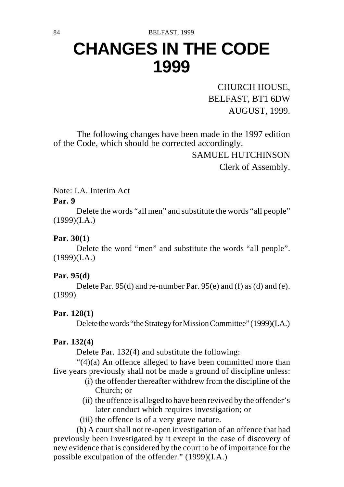# **CHANGES IN THE CODE 1999**

CHURCH HOUSE, BELFAST, BT1 6DW AUGUST, 1999.

The following changes have been made in the 1997 edition of the Code, which should be corrected accordingly.

> SAMUEL HUTCHINSON Clerk of Assembly.

Note: I.A. Interim Act

### **Par. 9**

Delete the words "all men" and substitute the words "all people"  $(1999)(I.A.)$ 

### **Par. 30(1)**

Delete the word "men" and substitute the words "all people".  $(1999)(I.A.)$ 

## **Par. 95(d)**

Delete Par. 95(d) and re-number Par. 95(e) and (f) as (d) and (e). (1999)

## **Par. 128(1)**

Delete the words "the Strategy for Mission Committee" (1999)(I.A.)

## **Par. 132(4)**

Delete Par. 132(4) and substitute the following:

"(4)(a) An offence alleged to have been committed more than five years previously shall not be made a ground of discipline unless:

- (i) the offender thereafter withdrew from the discipline of the Church; or
- (ii) the offence is alleged to have been revived by the offender's later conduct which requires investigation; or
- (iii) the offence is of a very grave nature.

(b) A court shall not re-open investigation of an offence that had previously been investigated by it except in the case of discovery of new evidence that is considered by the court to be of importance for the possible exculpation of the offender." (1999)(I.A.)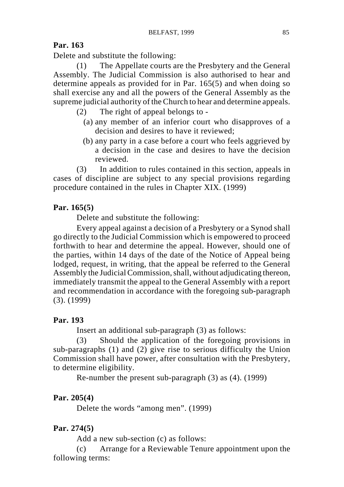### **Par. 163**

Delete and substitute the following:

(1) The Appellate courts are the Presbytery and the General Assembly. The Judicial Commission is also authorised to hear and determine appeals as provided for in Par. 165(5) and when doing so shall exercise any and all the powers of the General Assembly as the supreme judicial authority of the Church to hear and determine appeals.

- (2) The right of appeal belongs to
	- (a) any member of an inferior court who disapproves of a decision and desires to have it reviewed;
	- (b) any party in a case before a court who feels aggrieved by a decision in the case and desires to have the decision reviewed.

(3) In addition to rules contained in this section, appeals in cases of discipline are subject to any special provisions regarding procedure contained in the rules in Chapter XIX. (1999)

## **Par. 165(5)**

Delete and substitute the following:

Every appeal against a decision of a Presbytery or a Synod shall go directly to the Judicial Commission which is empowered to proceed forthwith to hear and determine the appeal. However, should one of the parties, within 14 days of the date of the Notice of Appeal being lodged, request, in writing, that the appeal be referred to the General Assembly the Judicial Commission, shall, without adjudicating thereon, immediately transmit the appeal to the General Assembly with a report and recommendation in accordance with the foregoing sub-paragraph (3). (1999)

### **Par. 193**

Insert an additional sub-paragraph (3) as follows:

(3) Should the application of the foregoing provisions in sub-paragraphs (1) and (2) give rise to serious difficulty the Union Commission shall have power, after consultation with the Presbytery, to determine eligibility.

Re-number the present sub-paragraph (3) as (4). (1999)

### **Par. 205(4)**

Delete the words "among men". (1999)

### **Par. 274(5)**

Add a new sub-section (c) as follows:

(c) Arrange for a Reviewable Tenure appointment upon the following terms: